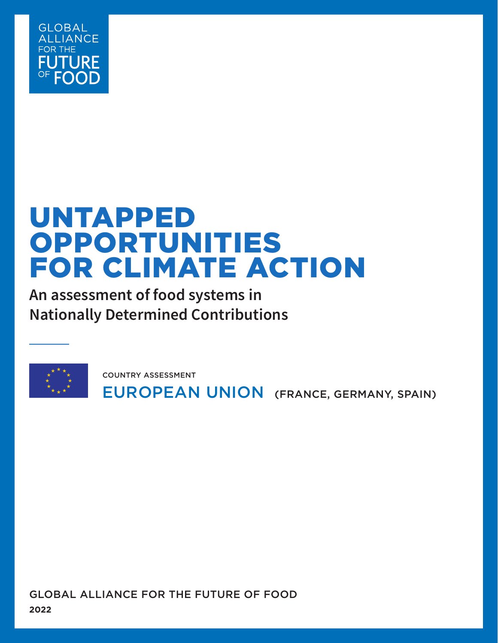

# UNTAPPED OPPORTUNITIES FOR CLIMATE ACTION

**An assessment of food systems in Nationally Determined Contributions**



EUROPEAN UNION (FRANCE, GERMANY, SPAIN) COUNTRY ASSESSMENT

GLOBAL ALLIANCE FOR THE FUTURE OF FOOD **2022**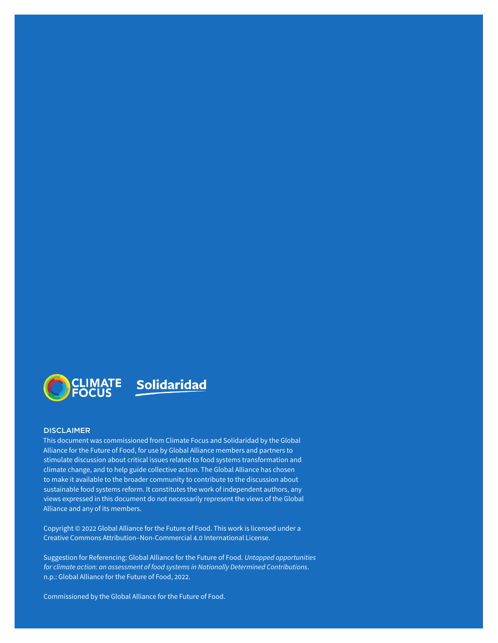

#### **DISCLAIMER**

This document was commissioned from Climate Focus and Solidaridad by the Global Alliance for the Future of Food, for use by Global Alliance members and partners to stimulate discussion about critical issues related to food systems transformation and climate change, and to help guide collective action. The Global Alliance has chosen to make it available to the broader community to contribute to the discussion about sustainable food systems reform. It constitutes the work of independent authors, any views expressed in this document do not necessarily represent the views of the Global Alliance and any of its members.

Copyright © 2022 Global Alliance for the Future of Food. This work is licensed under a Creative Commons Attribution–Non-Commercial 4.0 International License.

Suggestion for Referencing: Global Alliance for the Future of Food. *Untapped opportunities for climate action: an assessment of food systems in Nationally Determined Contributions*. n.p.: Global Alliance for the Future of Food, 2022.

Commissioned by the Global Alliance for the Future of Food.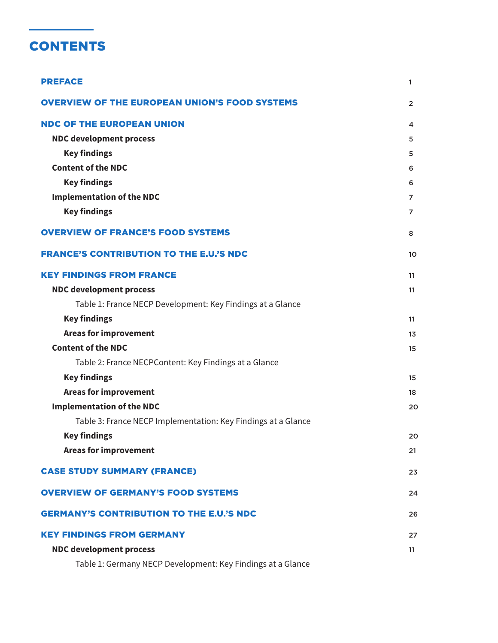# **CONTENTS**

| <b>PREFACE</b>                                                | 1              |
|---------------------------------------------------------------|----------------|
| <b>OVERVIEW OF THE EUROPEAN UNION'S FOOD SYSTEMS</b>          | $\overline{2}$ |
| <b>NDC OF THE EUROPEAN UNION</b>                              | 4              |
| <b>NDC development process</b>                                | 5              |
| <b>Key findings</b>                                           | 5              |
| <b>Content of the NDC</b>                                     | 6              |
| <b>Key findings</b>                                           | 6              |
| <b>Implementation of the NDC</b>                              | 7              |
| <b>Key findings</b>                                           | $\overline{7}$ |
| <b>OVERVIEW OF FRANCE'S FOOD SYSTEMS</b>                      | 8              |
| <b>FRANCE'S CONTRIBUTION TO THE E.U.'S NDC</b>                | 10             |
| <b>KEY FINDINGS FROM FRANCE</b>                               | 11             |
| <b>NDC development process</b>                                | 11             |
| Table 1: France NECP Development: Key Findings at a Glance    |                |
| <b>Key findings</b>                                           | 11             |
| <b>Areas for improvement</b>                                  | 13             |
| <b>Content of the NDC</b>                                     | 15             |
| Table 2: France NECPContent: Key Findings at a Glance         |                |
| <b>Key findings</b>                                           | 15             |
| <b>Areas for improvement</b>                                  | 18             |
| <b>Implementation of the NDC</b>                              | 20             |
| Table 3: France NECP Implementation: Key Findings at a Glance |                |
| <b>Key findings</b>                                           | 20             |
| <b>Areas for improvement</b>                                  | 21             |
| <b>CASE STUDY SUMMARY (FRANCE)</b>                            | 23             |
| <b>OVERVIEW OF GERMANY'S FOOD SYSTEMS</b>                     | 24             |
| <b>GERMANY'S CONTRIBUTION TO THE E.U.'S NDC</b>               | 26             |
| <b>KEY FINDINGS FROM GERMANY</b>                              | 27             |
| <b>NDC development process</b>                                | 11             |
| Table 1: Germany NECP Development: Key Findings at a Glance   |                |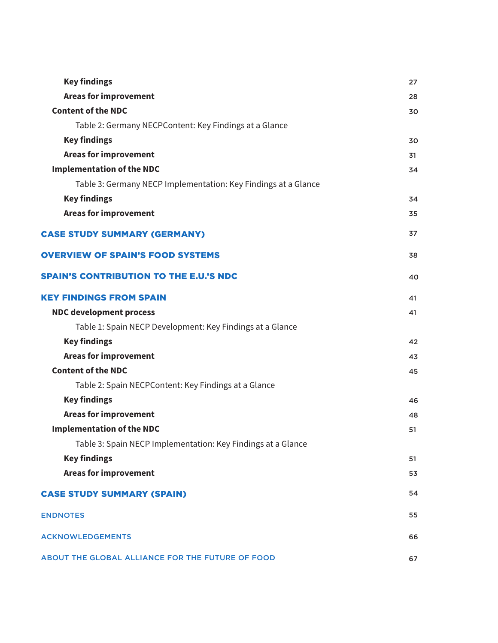| <b>Key findings</b>                                            | 27 |
|----------------------------------------------------------------|----|
| <b>Areas for improvement</b>                                   | 28 |
| <b>Content of the NDC</b>                                      | 30 |
| Table 2: Germany NECPContent: Key Findings at a Glance         |    |
| <b>Key findings</b>                                            | 30 |
| <b>Areas for improvement</b>                                   | 31 |
| <b>Implementation of the NDC</b>                               | 34 |
| Table 3: Germany NECP Implementation: Key Findings at a Glance |    |
| <b>Key findings</b>                                            | 34 |
| <b>Areas for improvement</b>                                   | 35 |
| <b>CASE STUDY SUMMARY (GERMANY)</b>                            | 37 |
| <b>OVERVIEW OF SPAIN'S FOOD SYSTEMS</b>                        | 38 |
| <b>SPAIN'S CONTRIBUTION TO THE E.U.'S NDC</b>                  | 40 |
| <b>KEY FINDINGS FROM SPAIN</b>                                 | 41 |
| <b>NDC development process</b>                                 | 41 |
| Table 1: Spain NECP Development: Key Findings at a Glance      |    |
| <b>Key findings</b>                                            | 42 |
| <b>Areas for improvement</b>                                   | 43 |
| <b>Content of the NDC</b>                                      | 45 |
| Table 2: Spain NECPContent: Key Findings at a Glance           |    |
| <b>Key findings</b>                                            | 46 |
| <b>Areas for improvement</b>                                   | 48 |
| <b>Implementation of the NDC</b>                               | 51 |
| Table 3: Spain NECP Implementation: Key Findings at a Glance   |    |
| <b>Key findings</b>                                            | 51 |
| <b>Areas for improvement</b>                                   | 53 |
| <b>CASE STUDY SUMMARY (SPAIN)</b>                              | 54 |
| <b>ENDNOTES</b>                                                | 55 |
| <b>ACKNOWLEDGEMENTS</b>                                        | 66 |
| ABOUT THE GLOBAL ALLIANCE FOR THE FUTURE OF FOOD               | 67 |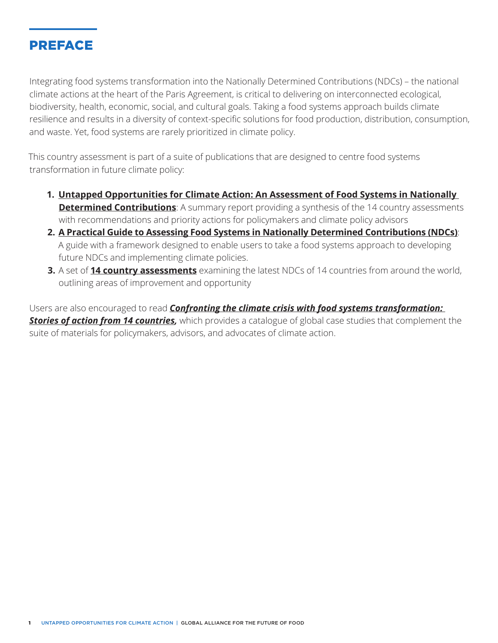

Integrating food systems transformation into the Nationally Determined Contributions (NDCs) – the national climate actions at the heart of the Paris Agreement, is critical to delivering on interconnected ecological, biodiversity, health, economic, social, and cultural goals. Taking a food systems approach builds climate resilience and results in a diversity of context-specific solutions for food production, distribution, consumption, and waste. Yet, food systems are rarely prioritized in climate policy.

This country assessment is part of a suite of publications that are designed to centre food systems transformation in future climate policy:

- **1. [Untapped Opportunities for Climate Action: An Assessment of Food Systems in Nationally](http://futureoffood.org/wp-content/uploads/2022/03/assessment-of-food-systems-in-ndcs.pdf)  [Determined Contributions](http://futureoffood.org/wp-content/uploads/2022/03/assessment-of-food-systems-in-ndcs.pdf)**: A summary report providing a synthesis of the 14 country assessments with recommendations and priority actions for policymakers and climate policy advisors
- **2. [A Practical Guide to Assessing Food Systems in Nationally Determined Contributions \(NDCs\)](http://futureoffood.org/wp-content/uploads/2022/03/practical-guide-to-assessing-food-systems-in-ndcs.pdf)**: A guide with a framework designed to enable users to take a food systems approach to developing future NDCs and implementing climate policies.
- **3.** A set of **[14 country assessments](https://futureoffood.org/insights/nationally-determined-contributions-country-assessments)** examining the latest NDCs of 14 countries from around the world, outlining areas of improvement and opportunity

Users are also encouraged to read *[Confronting the climate crisis with food systems transformation:](http://futureoffood.org/wp-content/uploads/2022/03/stories-of-action-from-14-countries.pdf)*  **[Stories of action from 14 countries,](http://futureoffood.org/wp-content/uploads/2022/03/stories-of-action-from-14-countries.pdf)** which provides a catalogue of global case studies that complement the suite of materials for policymakers, advisors, and advocates of climate action.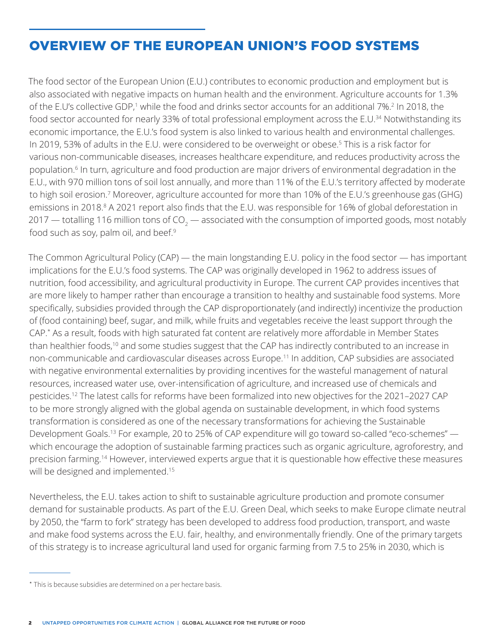# OVERVIEW OF THE EUROPEAN UNION'S FOOD SYSTEMS

The food sector of the European Union (E.U.) contributes to economic production and employment but is also associated with negative impacts on human health and the environment. Agriculture accounts for 1.3% of the E.U's collective GDP,<sup>1</sup> while the food and drinks sector accounts for an additional 7%.<sup>2</sup> In 2018, the food sector accounted for nearly 33% of total professional employment across the E.U.<sup>34</sup> Notwithstanding its economic importance, the E.U.'s food system is also linked to various health and environmental challenges. In 2019, 53% of adults in the E.U. were considered to be overweight or obese.<sup>5</sup> This is a risk factor for various non-communicable diseases, increases healthcare expenditure, and reduces productivity across the population.6 In turn, agriculture and food production are major drivers of environmental degradation in the E.U., with 970 million tons of soil lost annually, and more than 11% of the E.U.'s territory affected by moderate to high soil erosion.7 Moreover, agriculture accounted for more than 10% of the E.U.'s greenhouse gas (GHG) emissions in 2018.<sup>8</sup> A 2021 report also finds that the E.U. was responsible for 16% of global deforestation in 2017 — totalling 116 million tons of CO $_{\rm 2}$  — associated with the consumption of imported goods, most notably food such as soy, palm oil, and beef.<sup>9</sup>

The Common Agricultural Policy (CAP) — the main longstanding E.U. policy in the food sector — has important implications for the E.U.'s food systems. The CAP was originally developed in 1962 to address issues of nutrition, food accessibility, and agricultural productivity in Europe. The current CAP provides incentives that are more likely to hamper rather than encourage a transition to healthy and sustainable food systems. More specifically, subsidies provided through the CAP disproportionately (and indirectly) incentivize the production of (food containing) beef, sugar, and milk, while fruits and vegetables receive the least support through the CAP.\* As a result, foods with high saturated fat content are relatively more affordable in Member States than healthier foods,<sup>10</sup> and some studies suggest that the CAP has indirectly contributed to an increase in non-communicable and cardiovascular diseases across Europe.11 In addition, CAP subsidies are associated with negative environmental externalities by providing incentives for the wasteful management of natural resources, increased water use, over-intensification of agriculture, and increased use of chemicals and pesticides.12 The latest calls for reforms have been formalized into new objectives for the 2021–2027 CAP to be more strongly aligned with the global agenda on sustainable development, in which food systems transformation is considered as one of the necessary transformations for achieving the Sustainable Development Goals.<sup>13</sup> For example, 20 to 25% of CAP expenditure will go toward so-called "eco-schemes" which encourage the adoption of sustainable farming practices such as organic agriculture, agroforestry, and precision farming.14 However, interviewed experts argue that it is questionable how effective these measures will be designed and implemented.<sup>15</sup>

Nevertheless, the E.U. takes action to shift to sustainable agriculture production and promote consumer demand for sustainable products. As part of the E.U. Green Deal, which seeks to make Europe climate neutral by 2050, the "farm to fork" strategy has been developed to address food production, transport, and waste and make food systems across the E.U. fair, healthy, and environmentally friendly. One of the primary targets of this strategy is to increase agricultural land used for organic farming from 7.5 to 25% in 2030, which is

<sup>\*</sup> This is because subsidies are determined on a per hectare basis.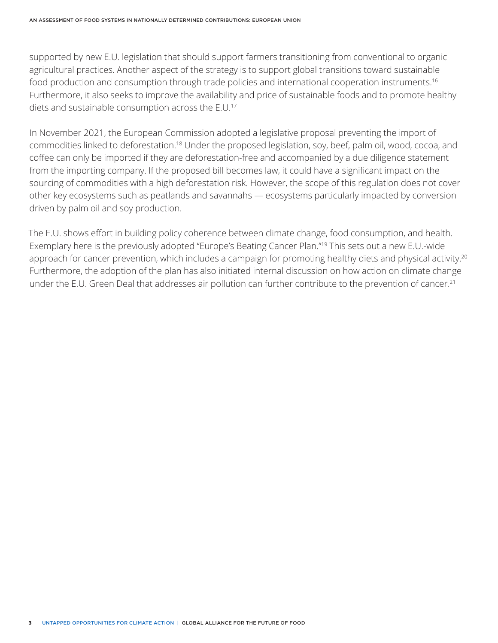supported by new E.U. legislation that should support farmers transitioning from conventional to organic agricultural practices. Another aspect of the strategy is to support global transitions toward sustainable food production and consumption through trade policies and international cooperation instruments.<sup>16</sup> Furthermore, it also seeks to improve the availability and price of sustainable foods and to promote healthy diets and sustainable consumption across the E.U.17

In November 2021, the European Commission adopted a legislative proposal preventing the import of commodities linked to deforestation.18 Under the proposed legislation, soy, beef, palm oil, wood, cocoa, and coffee can only be imported if they are deforestation-free and accompanied by a due diligence statement from the importing company. If the proposed bill becomes law, it could have a significant impact on the sourcing of commodities with a high deforestation risk. However, the scope of this regulation does not cover other key ecosystems such as peatlands and savannahs — ecosystems particularly impacted by conversion driven by palm oil and soy production.

The E.U. shows effort in building policy coherence between climate change, food consumption, and health. Exemplary here is the previously adopted "Europe's Beating Cancer Plan."19 This sets out a new E.U.-wide approach for cancer prevention, which includes a campaign for promoting healthy diets and physical activity.<sup>20</sup> Furthermore, the adoption of the plan has also initiated internal discussion on how action on climate change under the E.U. Green Deal that addresses air pollution can further contribute to the prevention of cancer.<sup>21</sup>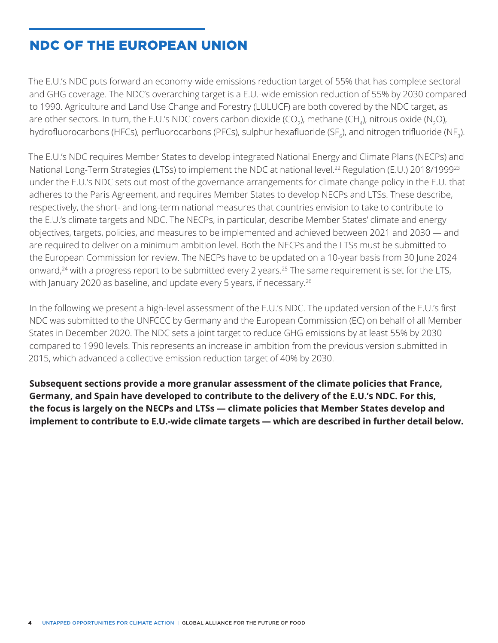# NDC OF THE EUROPEAN UNION

The E.U.'s NDC puts forward an economy-wide emissions reduction target of 55% that has complete sectoral and GHG coverage. The NDC's overarching target is a E.U.-wide emission reduction of 55% by 2030 compared to 1990. Agriculture and Land Use Change and Forestry (LULUCF) are both covered by the NDC target, as are other sectors. In turn, the E.U.'s NDC covers carbon dioxide (CO<sub>2</sub>), methane (CH<sub>4</sub>), nitrous oxide (N<sub>2</sub>O), hydrofluorocarbons (HFCs), perfluorocarbons (PFCs), sulphur hexafluoride (SF $_{\rm 6}$ ), and nitrogen trifluoride (NF $_{\rm 3}$ ).

The E.U.'s NDC requires Member States to develop integrated National Energy and Climate Plans (NECPs) and National Long-Term Strategies (LTSs) to implement the NDC at national level.<sup>22</sup> Regulation (E.U.) 2018/1999<sup>23</sup> under the E.U.'s NDC sets out most of the governance arrangements for climate change policy in the E.U. that adheres to the Paris Agreement, and requires Member States to develop NECPs and LTSs. These describe, respectively, the short- and long-term national measures that countries envision to take to contribute to the E.U.'s climate targets and NDC. The NECPs, in particular, describe Member States' climate and energy objectives, targets, policies, and measures to be implemented and achieved between 2021 and 2030 — and are required to deliver on a minimum ambition level. Both the NECPs and the LTSs must be submitted to the European Commission for review. The NECPs have to be updated on a 10-year basis from 30 June 2024 onward,<sup>24</sup> with a progress report to be submitted every 2 years.<sup>25</sup> The same requirement is set for the LTS, with January 2020 as baseline, and update every 5 years, if necessary.<sup>26</sup>

In the following we present a high-level assessment of the E.U.'s NDC. The updated version of the E.U.'s first NDC was submitted to the UNFCCC by Germany and the European Commission (EC) on behalf of all Member States in December 2020. The NDC sets a joint target to reduce GHG emissions by at least 55% by 2030 compared to 1990 levels. This represents an increase in ambition from the previous version submitted in 2015, which advanced a collective emission reduction target of 40% by 2030.

**Subsequent sections provide a more granular assessment of the climate policies that France, Germany, and Spain have developed to contribute to the delivery of the E.U.'s NDC. For this, the focus is largely on the NECPs and LTSs — climate policies that Member States develop and implement to contribute to E.U.-wide climate targets — which are described in further detail below.**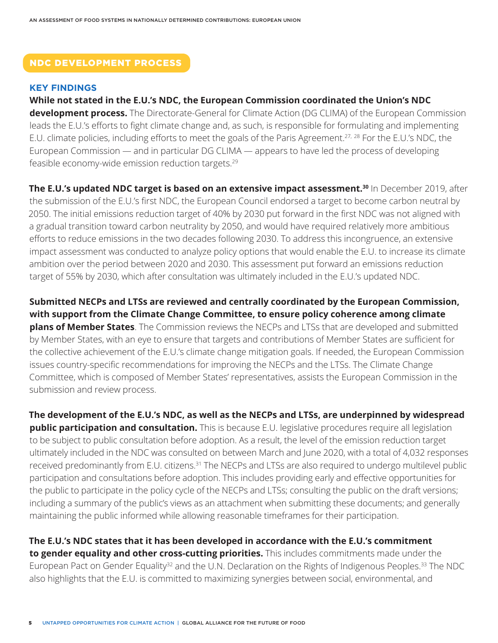#### NDC DEVELOPMENT PROCESS

#### **KEY FINDINGS**

**While not stated in the E.U.'s NDC, the European Commission coordinated the Union's NDC development process.** The Directorate-General for Climate Action (DG CLIMA) of the European Commission leads the E.U.'s efforts to fight climate change and, as such, is responsible for formulating and implementing E.U. climate policies, including efforts to meet the goals of the Paris Agreement.27, 28 For the E.U.'s NDC, the European Commission — and in particular DG CLIMA — appears to have led the process of developing feasible economy-wide emission reduction targets.29

**The E.U.'s updated NDC target is based on an extensive impact assessment.30** In December 2019, after the submission of the E.U.'s first NDC, the European Council endorsed a target to become carbon neutral by 2050. The initial emissions reduction target of 40% by 2030 put forward in the first NDC was not aligned with a gradual transition toward carbon neutrality by 2050, and would have required relatively more ambitious efforts to reduce emissions in the two decades following 2030. To address this incongruence, an extensive impact assessment was conducted to analyze policy options that would enable the E.U. to increase its climate ambition over the period between 2020 and 2030. This assessment put forward an emissions reduction target of 55% by 2030, which after consultation was ultimately included in the E.U.'s updated NDC.

**Submitted NECPs and LTSs are reviewed and centrally coordinated by the European Commission, with support from the Climate Change Committee, to ensure policy coherence among climate plans of Member States**. The Commission reviews the NECPs and LTSs that are developed and submitted by Member States, with an eye to ensure that targets and contributions of Member States are sufficient for the collective achievement of the E.U.'s climate change mitigation goals. If needed, the European Commission issues country-specific recommendations for improving the NECPs and the LTSs. The Climate Change Committee, which is composed of Member States' representatives, assists the European Commission in the submission and review process.

**The development of the E.U.'s NDC, as well as the NECPs and LTSs, are underpinned by widespread public participation and consultation.** This is because E.U. legislative procedures require all legislation to be subject to public consultation before adoption. As a result, the level of the emission reduction target ultimately included in the NDC was consulted on between March and June 2020, with a total of 4,032 responses received predominantly from E.U. citizens.<sup>31</sup> The NECPs and LTSs are also required to undergo multilevel public participation and consultations before adoption. This includes providing early and effective opportunities for the public to participate in the policy cycle of the NECPs and LTSs; consulting the public on the draft versions; including a summary of the public's views as an attachment when submitting these documents; and generally maintaining the public informed while allowing reasonable timeframes for their participation.

**The E.U.'s NDC states that it has been developed in accordance with the E.U.'s commitment to gender equality and other cross-cutting priorities.** This includes commitments made under the European Pact on Gender Equality<sup>32</sup> and the U.N. Declaration on the Rights of Indigenous Peoples.<sup>33</sup> The NDC also highlights that the E.U. is committed to maximizing synergies between social, environmental, and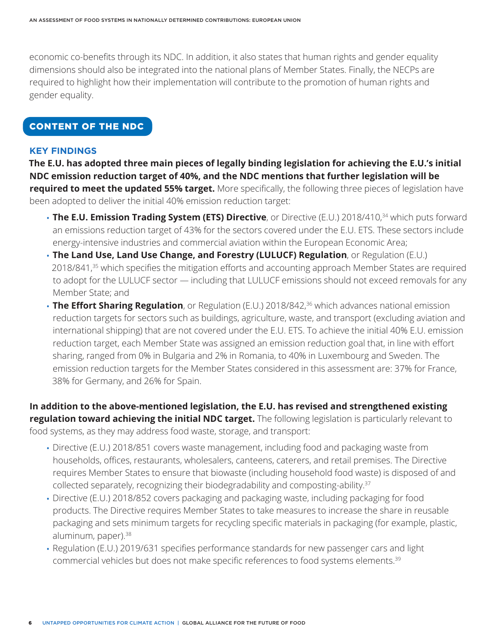economic co-benefits through its NDC. In addition, it also states that human rights and gender equality dimensions should also be integrated into the national plans of Member States. Finally, the NECPs are required to highlight how their implementation will contribute to the promotion of human rights and gender equality.

### CONTENT OF THE NDC

#### **KEY FINDINGS**

**The E.U. has adopted three main pieces of legally binding legislation for achieving the E.U.'s initial NDC emission reduction target of 40%, and the NDC mentions that further legislation will be required to meet the updated 55% target.** More specifically, the following three pieces of legislation have been adopted to deliver the initial 40% emission reduction target:

- **The E.U. Emission Trading System (ETS) Directive**, or Directive (E.U.) 2018/410,<sup>34</sup> which puts forward an emissions reduction target of 43% for the sectors covered under the E.U. ETS. These sectors include energy-intensive industries and commercial aviation within the European Economic Area;
- **The Land Use, Land Use Change, and Forestry (LULUCF) Regulation**, or Regulation (E.U.) 2018/841,<sup>35</sup> which specifies the mitigation efforts and accounting approach Member States are required to adopt for the LULUCF sector — including that LULUCF emissions should not exceed removals for any Member State; and
- **The Effort Sharing Regulation**, or Regulation (E.U.) 2018/842,<sup>36</sup> which advances national emission reduction targets for sectors such as buildings, agriculture, waste, and transport (excluding aviation and international shipping) that are not covered under the E.U. ETS. To achieve the initial 40% E.U. emission reduction target, each Member State was assigned an emission reduction goal that, in line with effort sharing, ranged from 0% in Bulgaria and 2% in Romania, to 40% in Luxembourg and Sweden. The emission reduction targets for the Member States considered in this assessment are: 37% for France, 38% for Germany, and 26% for Spain.

**In addition to the above-mentioned legislation, the E.U. has revised and strengthened existing regulation toward achieving the initial NDC target.** The following legislation is particularly relevant to food systems, as they may address food waste, storage, and transport:

- Directive (E.U.) 2018/851 covers waste management, including food and packaging waste from households, offices, restaurants, wholesalers, canteens, caterers, and retail premises. The Directive requires Member States to ensure that biowaste (including household food waste) is disposed of and collected separately, recognizing their biodegradability and composting-ability.37
- Directive (E.U.) 2018/852 covers packaging and packaging waste, including packaging for food products. The Directive requires Member States to take measures to increase the share in reusable packaging and sets minimum targets for recycling specific materials in packaging (for example, plastic, aluminum, paper).<sup>38</sup>
- Regulation (E.U.) 2019/631 specifies performance standards for new passenger cars and light commercial vehicles but does not make specific references to food systems elements.39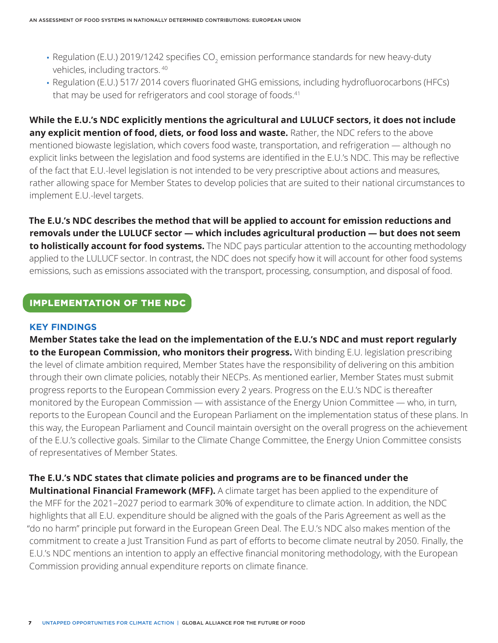- Regulation (E.U.) 2019/1242 specifies CO $_{\textrm{\tiny{2}}}$  emission performance standards for new heavy-duty vehicles, including tractors. 40
- Regulation (E.U.) 517/ 2014 covers fluorinated GHG emissions, including hydrofluorocarbons (HFCs) that may be used for refrigerators and cool storage of foods.<sup>41</sup>

**While the E.U.'s NDC explicitly mentions the agricultural and LULUCF sectors, it does not include any explicit mention of food, diets, or food loss and waste.** Rather, the NDC refers to the above mentioned biowaste legislation, which covers food waste, transportation, and refrigeration — although no explicit links between the legislation and food systems are identified in the E.U.'s NDC. This may be reflective of the fact that E.U.-level legislation is not intended to be very prescriptive about actions and measures, rather allowing space for Member States to develop policies that are suited to their national circumstances to implement E.U.-level targets.

**The E.U.'s NDC describes the method that will be applied to account for emission reductions and removals under the LULUCF sector — which includes agricultural production — but does not seem to holistically account for food systems.** The NDC pays particular attention to the accounting methodology applied to the LULUCF sector. In contrast, the NDC does not specify how it will account for other food systems emissions, such as emissions associated with the transport, processing, consumption, and disposal of food.

#### IMPLEMENTATION OF THE NDC

#### **KEY FINDINGS**

**Member States take the lead on the implementation of the E.U.'s NDC and must report regularly to the European Commission, who monitors their progress.** With binding E.U. legislation prescribing the level of climate ambition required, Member States have the responsibility of delivering on this ambition through their own climate policies, notably their NECPs. As mentioned earlier, Member States must submit progress reports to the European Commission every 2 years. Progress on the E.U.'s NDC is thereafter monitored by the European Commission — with assistance of the Energy Union Committee — who, in turn, reports to the European Council and the European Parliament on the implementation status of these plans. In this way, the European Parliament and Council maintain oversight on the overall progress on the achievement of the E.U.'s collective goals. Similar to the Climate Change Committee, the Energy Union Committee consists of representatives of Member States.

**The E.U.'s NDC states that climate policies and programs are to be financed under the Multinational Financial Framework (MFF).** A climate target has been applied to the expenditure of the MFF for the 2021–2027 period to earmark 30% of expenditure to climate action. In addition, the NDC highlights that all E.U. expenditure should be aligned with the goals of the Paris Agreement as well as the "do no harm" principle put forward in the European Green Deal. The E.U.'s NDC also makes mention of the commitment to create a Just Transition Fund as part of efforts to become climate neutral by 2050. Finally, the E.U.'s NDC mentions an intention to apply an effective financial monitoring methodology, with the European Commission providing annual expenditure reports on climate finance.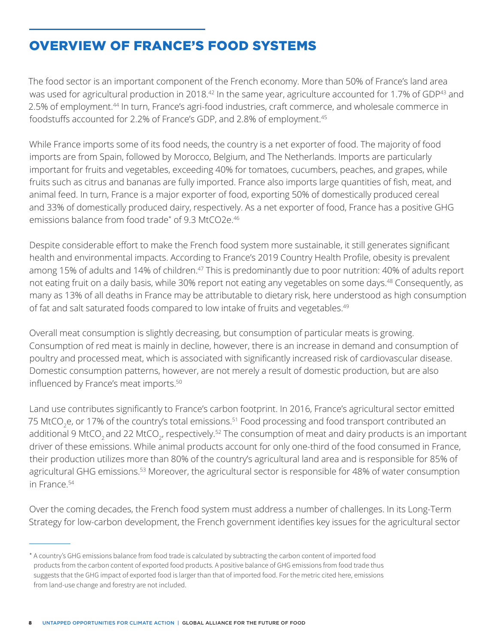# OVERVIEW OF FRANCE'S FOOD SYSTEMS

The food sector is an important component of the French economy. More than 50% of France's land area was used for agricultural production in 2018.<sup>42</sup> In the same year, agriculture accounted for 1.7% of GDP<sup>43</sup> and 2.5% of employment.<sup>44</sup> In turn, France's agri-food industries, craft commerce, and wholesale commerce in foodstuffs accounted for 2.2% of France's GDP, and 2.8% of employment.45

While France imports some of its food needs, the country is a net exporter of food. The majority of food imports are from Spain, followed by Morocco, Belgium, and The Netherlands. Imports are particularly important for fruits and vegetables, exceeding 40% for tomatoes, cucumbers, peaches, and grapes, while fruits such as citrus and bananas are fully imported. France also imports large quantities of fish, meat, and animal feed. In turn, France is a major exporter of food, exporting 50% of domestically produced cereal and 33% of domestically produced dairy, respectively. As a net exporter of food, France has a positive GHG emissions balance from food trade\* of 9.3 MtCO2e.46

Despite considerable effort to make the French food system more sustainable, it still generates significant health and environmental impacts. According to France's 2019 Country Health Profile, obesity is prevalent among 15% of adults and 14% of children.<sup>47</sup> This is predominantly due to poor nutrition: 40% of adults report not eating fruit on a daily basis, while 30% report not eating any vegetables on some days.<sup>48</sup> Consequently, as many as 13% of all deaths in France may be attributable to dietary risk, here understood as high consumption of fat and salt saturated foods compared to low intake of fruits and vegetables.<sup>49</sup>

Overall meat consumption is slightly decreasing, but consumption of particular meats is growing. Consumption of red meat is mainly in decline, however, there is an increase in demand and consumption of poultry and processed meat, which is associated with significantly increased risk of cardiovascular disease. Domestic consumption patterns, however, are not merely a result of domestic production, but are also influenced by France's meat imports.<sup>50</sup>

Land use contributes significantly to France's carbon footprint. In 2016, France's agricultural sector emitted 75 MtCO<sub>2</sub>e, or 17% of the country's total emissions.<sup>51</sup> Food processing and food transport contributed an additional 9 MtCO<sub>2</sub> and 22 MtCO<sub>2</sub>, respectively.<sup>52</sup> The consumption of meat and dairy products is an important driver of these emissions. While animal products account for only one-third of the food consumed in France, their production utilizes more than 80% of the country's agricultural land area and is responsible for 85% of agricultural GHG emissions.<sup>53</sup> Moreover, the agricultural sector is responsible for 48% of water consumption in France.54

Over the coming decades, the French food system must address a number of challenges. In its Long-Term Strategy for low-carbon development, the French government identifies key issues for the agricultural sector

<sup>\*</sup> A country's GHG emissions balance from food trade is calculated by subtracting the carbon content of imported food products from the carbon content of exported food products. A positive balance of GHG emissions from food trade thus suggests that the GHG impact of exported food is larger than that of imported food. For the metric cited here, emissions from land-use change and forestry are not included.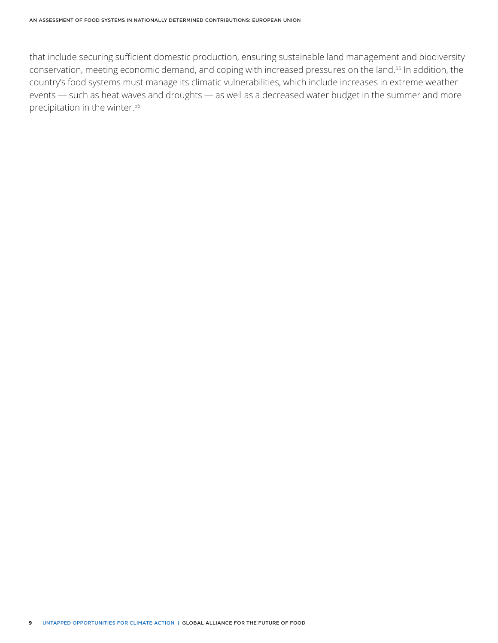that include securing sufficient domestic production, ensuring sustainable land management and biodiversity conservation, meeting economic demand, and coping with increased pressures on the land.55 In addition, the country's food systems must manage its climatic vulnerabilities, which include increases in extreme weather events — such as heat waves and droughts — as well as a decreased water budget in the summer and more precipitation in the winter.56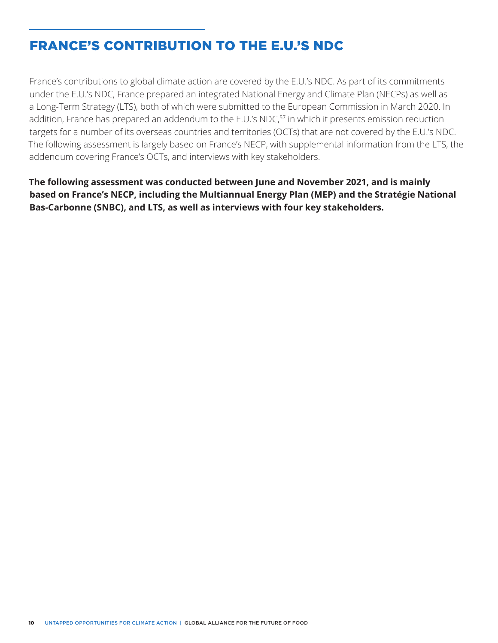# FRANCE'S CONTRIBUTION TO THE E.U.'S NDC

France's contributions to global climate action are covered by the E.U.'s NDC. As part of its commitments under the E.U.'s NDC, France prepared an integrated National Energy and Climate Plan (NECPs) as well as a Long-Term Strategy (LTS), both of which were submitted to the European Commission in March 2020. In addition, France has prepared an addendum to the E.U.'s NDC,<sup>57</sup> in which it presents emission reduction targets for a number of its overseas countries and territories (OCTs) that are not covered by the E.U.'s NDC. The following assessment is largely based on France's NECP, with supplemental information from the LTS, the addendum covering France's OCTs, and interviews with key stakeholders.

**The following assessment was conducted between June and November 2021, and is mainly based on France's NECP, including the Multiannual Energy Plan (MEP) and the Stratégie National Bas-Carbonne (SNBC), and LTS, as well as interviews with four key stakeholders.**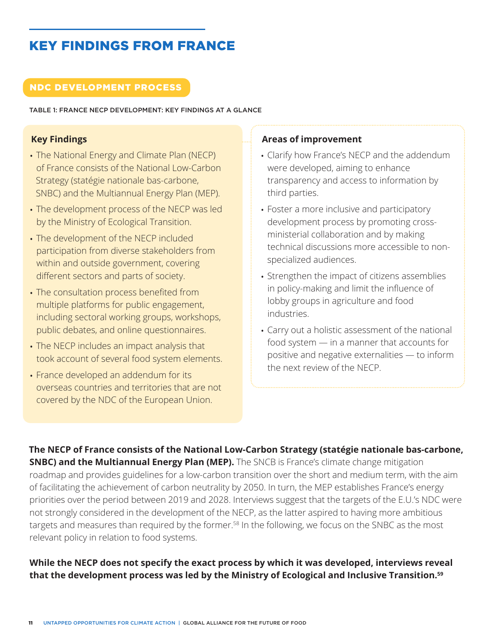# KEY FINDINGS FROM FRANCE

### NDC DEVELOPMENT PROCESS

TABLE 1: FRANCE NECP DEVELOPMENT: KEY FINDINGS AT A GLANCE

### **Key Findings**

- The National Energy and Climate Plan (NECP) of France consists of the National Low-Carbon Strategy (statégie nationale bas-carbone, SNBC) and the Multiannual Energy Plan (MEP).
- The development process of the NECP was led by the Ministry of Ecological Transition.
- The development of the NECP included participation from diverse stakeholders from within and outside government, covering different sectors and parts of society.
- The consultation process benefited from multiple platforms for public engagement, including sectoral working groups, workshops, public debates, and online questionnaires.
- The NECP includes an impact analysis that took account of several food system elements.
- France developed an addendum for its overseas countries and territories that are not covered by the NDC of the European Union.

### **Areas of improvement**

- Clarify how France's NECP and the addendum were developed, aiming to enhance transparency and access to information by third parties.
- Foster a more inclusive and participatory development process by promoting crossministerial collaboration and by making technical discussions more accessible to nonspecialized audiences.
- Strengthen the impact of citizens assemblies in policy-making and limit the influence of lobby groups in agriculture and food industries.
- Carry out a holistic assessment of the national food system — in a manner that accounts for positive and negative externalities — to inform the next review of the NECP.

**The NECP of France consists of the National Low-Carbon Strategy (statégie nationale bas-carbone, SNBC) and the Multiannual Energy Plan (MEP).** The SNCB is France's climate change mitigation roadmap and provides guidelines for a low-carbon transition over the short and medium term, with the aim of facilitating the achievement of carbon neutrality by 2050. In turn, the MEP establishes France's energy priorities over the period between 2019 and 2028. Interviews suggest that the targets of the E.U.'s NDC were not strongly considered in the development of the NECP, as the latter aspired to having more ambitious targets and measures than required by the former.<sup>58</sup> In the following, we focus on the SNBC as the most relevant policy in relation to food systems.

# **While the NECP does not specify the exact process by which it was developed, interviews reveal that the development process was led by the Ministry of Ecological and Inclusive Transition.59**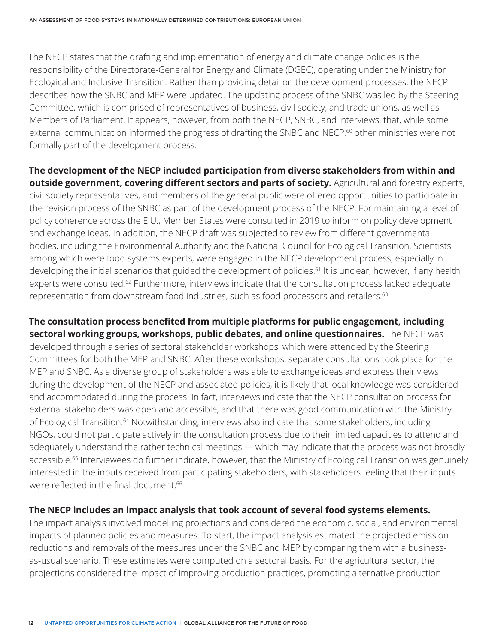The NECP states that the drafting and implementation of energy and climate change policies is the responsibility of the Directorate-General for Energy and Climate (DGEC), operating under the Ministry for Ecological and Inclusive Transition. Rather than providing detail on the development processes, the NECP describes how the SNBC and MEP were updated. The updating process of the SNBC was led by the Steering Committee, which is comprised of representatives of business, civil society, and trade unions, as well as Members of Parliament. It appears, however, from both the NECP, SNBC, and interviews, that, while some external communication informed the progress of drafting the SNBC and NECP,<sup>60</sup> other ministries were not formally part of the development process.

**The development of the NECP included participation from diverse stakeholders from within and outside government, covering different sectors and parts of society.** Agricultural and forestry experts, civil society representatives, and members of the general public were offered opportunities to participate in the revision process of the SNBC as part of the development process of the NECP. For maintaining a level of policy coherence across the E.U., Member States were consulted in 2019 to inform on policy development and exchange ideas. In addition, the NECP draft was subjected to review from different governmental bodies, including the Environmental Authority and the National Council for Ecological Transition. Scientists, among which were food systems experts, were engaged in the NECP development process, especially in developing the initial scenarios that guided the development of policies.<sup>61</sup> It is unclear, however, if any health experts were consulted.<sup>62</sup> Furthermore, interviews indicate that the consultation process lacked adequate representation from downstream food industries, such as food processors and retailers.<sup>63</sup>

**The consultation process benefited from multiple platforms for public engagement, including sectoral working groups, workshops, public debates, and online questionnaires.** The NECP was developed through a series of sectoral stakeholder workshops, which were attended by the Steering Committees for both the MEP and SNBC. After these workshops, separate consultations took place for the MEP and SNBC. As a diverse group of stakeholders was able to exchange ideas and express their views during the development of the NECP and associated policies, it is likely that local knowledge was considered and accommodated during the process. In fact, interviews indicate that the NECP consultation process for external stakeholders was open and accessible, and that there was good communication with the Ministry of Ecological Transition.<sup>64</sup> Notwithstanding, interviews also indicate that some stakeholders, including NGOs, could not participate actively in the consultation process due to their limited capacities to attend and adequately understand the rather technical meetings — which may indicate that the process was not broadly accessible.<sup>65</sup> Interviewees do further indicate, however, that the Ministry of Ecological Transition was genuinely interested in the inputs received from participating stakeholders, with stakeholders feeling that their inputs were reflected in the final document.<sup>66</sup>

#### **The NECP includes an impact analysis that took account of several food systems elements.**

The impact analysis involved modelling projections and considered the economic, social, and environmental impacts of planned policies and measures. To start, the impact analysis estimated the projected emission reductions and removals of the measures under the SNBC and MEP by comparing them with a businessas-usual scenario. These estimates were computed on a sectoral basis. For the agricultural sector, the projections considered the impact of improving production practices, promoting alternative production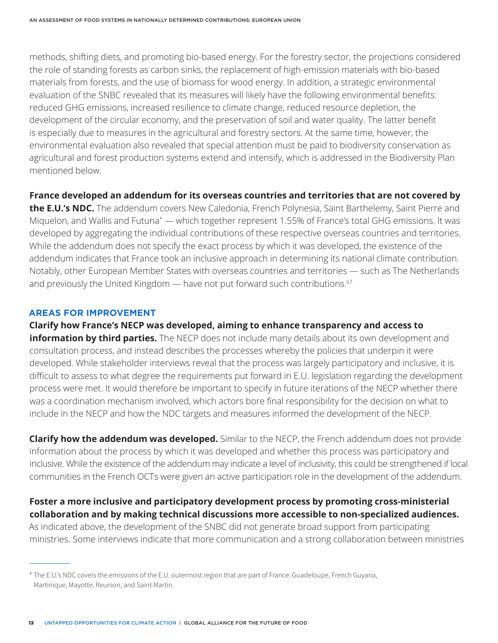methods, shifting diets, and promoting bio-based energy. For the forestry sector, the projections considered the role of standing forests as carbon sinks, the replacement of high-emission materials with bio-based materials from forests, and the use of biomass for wood energy. In addition, a strategic environmental evaluation of the SNBC revealed that its measures will likely have the following environmental benefits: reduced GHG emissions, increased resilience to climate change, reduced resource depletion, the development of the circular economy, and the preservation of soil and water quality. The latter benefit is especially due to measures in the agricultural and forestry sectors. At the same time, however, the environmental evaluation also revealed that special attention must be paid to biodiversity conservation as agricultural and forest production systems extend and intensify, which is addressed in the Biodiversity Plan mentioned below.

#### **France developed an addendum for its overseas countries and territories that are not covered by**

**the E.U.'s NDC.** The addendum covers New Caledonia, French Polynesia, Saint Barthelemy, Saint Pierre and Miquelon, and Wallis and Futuna\* — which together represent 1.55% of France's total GHG emissions. It was developed by aggregating the individual contributions of these respective overseas countries and territories. While the addendum does not specify the exact process by which it was developed, the existence of the addendum indicates that France took an inclusive approach in determining its national climate contribution. Notably, other European Member States with overseas countries and territories — such as The Netherlands and previously the United Kingdom — have not put forward such contributions.<sup>67</sup>

#### **AREAS FOR IMPROVEMENT**

**Clarify how France's NECP was developed, aiming to enhance transparency and access to** 

**information by third parties.** The NECP does not include many details about its own development and consultation process, and instead describes the processes whereby the policies that underpin it were developed. While stakeholder interviews reveal that the process was largely participatory and inclusive, it is difficult to assess to what degree the requirements put forward in E.U. legislation regarding the development process were met. It would therefore be important to specify in future iterations of the NECP whether there was a coordination mechanism involved, which actors bore final responsibility for the decision on what to include in the NECP and how the NDC targets and measures informed the development of the NECP.

**Clarify how the addendum was developed.** Similar to the NECP, the French addendum does not provide information about the process by which it was developed and whether this process was participatory and inclusive. While the existence of the addendum may indicate a level of inclusivity, this could be strengthened if local communities in the French OCTs were given an active participation role in the development of the addendum.

# **Foster a more inclusive and participatory development process by promoting cross-ministerial collaboration and by making technical discussions more accessible to non-specialized audiences.**

As indicated above, the development of the SNBC did not generate broad support from participating ministries. Some interviews indicate that more communication and a strong collaboration between ministries

<sup>\*</sup> The E.U.'s NDC covers the emissions of the E.U. outermost region that are part of France: Guadeloupe, French Guyana, Martinique, Mayotte, Reunion, and Saint Martin.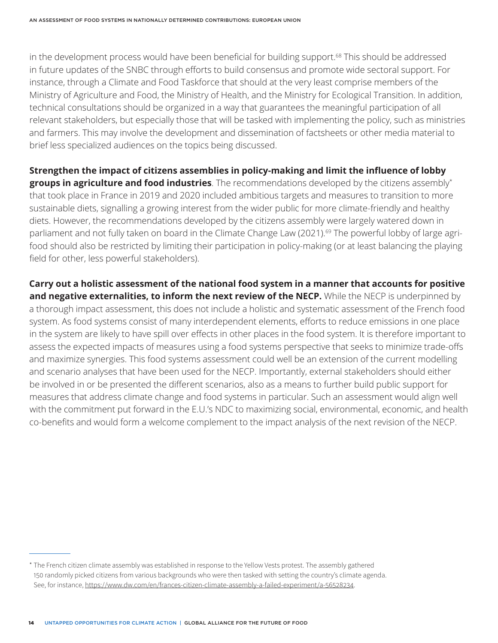in the development process would have been beneficial for building support.<sup>68</sup> This should be addressed in future updates of the SNBC through efforts to build consensus and promote wide sectoral support. For instance, through a Climate and Food Taskforce that should at the very least comprise members of the Ministry of Agriculture and Food, the Ministry of Health, and the Ministry for Ecological Transition. In addition, technical consultations should be organized in a way that guarantees the meaningful participation of all relevant stakeholders, but especially those that will be tasked with implementing the policy, such as ministries and farmers. This may involve the development and dissemination of factsheets or other media material to brief less specialized audiences on the topics being discussed.

**Strengthen the impact of citizens assemblies in policy-making and limit the influence of lobby groups in agriculture and food industries**. The recommendations developed by the citizens assembly\* that took place in France in 2019 and 2020 included ambitious targets and measures to transition to more sustainable diets, signalling a growing interest from the wider public for more climate-friendly and healthy diets. However, the recommendations developed by the citizens assembly were largely watered down in parliament and not fully taken on board in the Climate Change Law (2021).<sup>69</sup> The powerful lobby of large agrifood should also be restricted by limiting their participation in policy-making (or at least balancing the playing field for other, less powerful stakeholders).

**Carry out a holistic assessment of the national food system in a manner that accounts for positive**  and negative externalities, to inform the next review of the NECP. While the NECP is underpinned by a thorough impact assessment, this does not include a holistic and systematic assessment of the French food system. As food systems consist of many interdependent elements, efforts to reduce emissions in one place in the system are likely to have spill over effects in other places in the food system. It is therefore important to assess the expected impacts of measures using a food systems perspective that seeks to minimize trade-offs and maximize synergies. This food systems assessment could well be an extension of the current modelling and scenario analyses that have been used for the NECP. Importantly, external stakeholders should either be involved in or be presented the different scenarios, also as a means to further build public support for measures that address climate change and food systems in particular. Such an assessment would align well with the commitment put forward in the E.U.'s NDC to maximizing social, environmental, economic, and health co-benefits and would form a welcome complement to the impact analysis of the next revision of the NECP.

<sup>\*</sup> The French citizen climate assembly was established in response to the Yellow Vests protest. The assembly gathered 150 randomly picked citizens from various backgrounds who were then tasked with setting the country's climate agenda. See, for instance, <https://www.dw.com/en/frances-citizen-climate-assembly-a-failed-experiment/a-56528234>.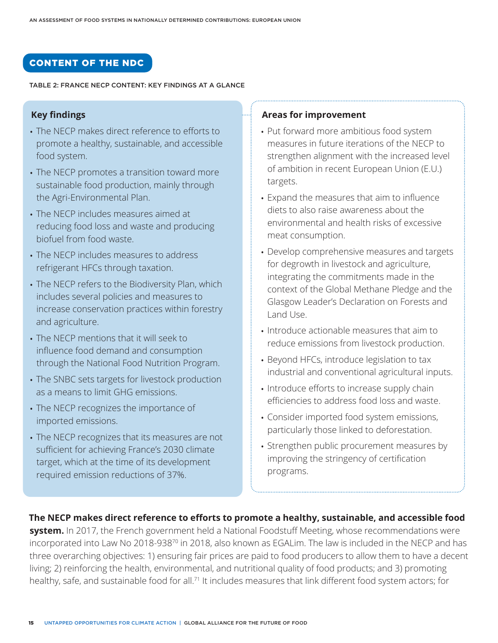### CONTENT OF THE NDC

#### TABLE 2: FRANCE NECP CONTENT: KEY FINDINGS AT A GLANCE

#### **Key findings**

- The NECP makes direct reference to efforts to promote a healthy, sustainable, and accessible food system.
- The NECP promotes a transition toward more sustainable food production, mainly through the Agri-Environmental Plan.
- The NECP includes measures aimed at reducing food loss and waste and producing biofuel from food waste.
- The NECP includes measures to address refrigerant HFCs through taxation.
- The NECP refers to the Biodiversity Plan, which includes several policies and measures to increase conservation practices within forestry and agriculture.
- The NECP mentions that it will seek to influence food demand and consumption through the National Food Nutrition Program.
- The SNBC sets targets for livestock production as a means to limit GHG emissions.
- The NECP recognizes the importance of imported emissions.
- The NECP recognizes that its measures are not sufficient for achieving France's 2030 climate target, which at the time of its development required emission reductions of 37%.

#### **Areas for improvement**

- Put forward more ambitious food system measures in future iterations of the NECP to strengthen alignment with the increased level of ambition in recent European Union (E.U.) targets.
- Expand the measures that aim to influence diets to also raise awareness about the environmental and health risks of excessive meat consumption.
- Develop comprehensive measures and targets for degrowth in livestock and agriculture, integrating the commitments made in the context of the Global Methane Pledge and the Glasgow Leader's Declaration on Forests and Land Use.
- Introduce actionable measures that aim to reduce emissions from livestock production.
- Beyond HFCs, introduce legislation to tax industrial and conventional agricultural inputs.
- Introduce efforts to increase supply chain efficiencies to address food loss and waste.
- Consider imported food system emissions, particularly those linked to deforestation.
- Strengthen public procurement measures by improving the stringency of certification programs.

#### **The NECP makes direct reference to efforts to promote a healthy, sustainable, and accessible food**

**system.** In 2017, the French government held a National Foodstuff Meeting, whose recommendations were incorporated into Law No 2018-93870 in 2018, also known as EGALim. The law is included in the NECP and has three overarching objectives: 1) ensuring fair prices are paid to food producers to allow them to have a decent living; 2) reinforcing the health, environmental, and nutritional quality of food products; and 3) promoting healthy, safe, and sustainable food for all.<sup>71</sup> It includes measures that link different food system actors; for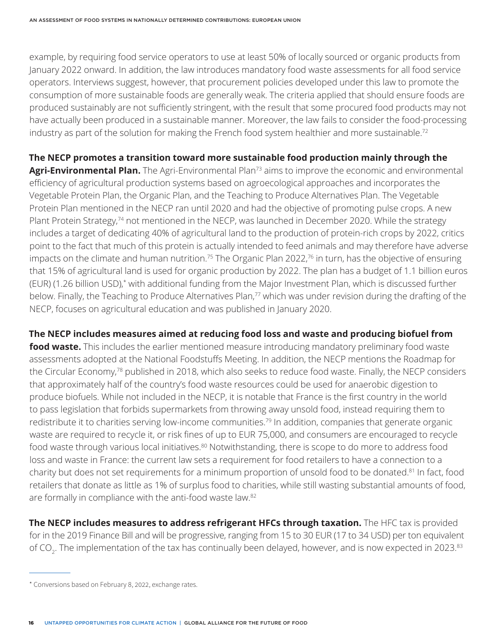example, by requiring food service operators to use at least 50% of locally sourced or organic products from January 2022 onward. In addition, the law introduces mandatory food waste assessments for all food service operators. Interviews suggest, however, that procurement policies developed under this law to promote the consumption of more sustainable foods are generally weak. The criteria applied that should ensure foods are produced sustainably are not sufficiently stringent, with the result that some procured food products may not have actually been produced in a sustainable manner. Moreover, the law fails to consider the food-processing industry as part of the solution for making the French food system healthier and more sustainable.<sup>72</sup>

# **The NECP promotes a transition toward more sustainable food production mainly through the**

Agri-Environmental Plan. The Agri-Environmental Plan<sup>73</sup> aims to improve the economic and environmental efficiency of agricultural production systems based on agroecological approaches and incorporates the Vegetable Protein Plan, the Organic Plan, and the Teaching to Produce Alternatives Plan. The Vegetable Protein Plan mentioned in the NECP ran until 2020 and had the objective of promoting pulse crops. A new Plant Protein Strategy,<sup>74</sup> not mentioned in the NECP, was launched in December 2020. While the strategy includes a target of dedicating 40% of agricultural land to the production of protein-rich crops by 2022, critics point to the fact that much of this protein is actually intended to feed animals and may therefore have adverse impacts on the climate and human nutrition.<sup>75</sup> The Organic Plan 2022,<sup>76</sup> in turn, has the objective of ensuring that 15% of agricultural land is used for organic production by 2022. The plan has a budget of 1.1 billion euros (EUR) (1.26 billion USD),\* with additional funding from the Major Investment Plan, which is discussed further below. Finally, the Teaching to Produce Alternatives Plan,<sup>77</sup> which was under revision during the drafting of the NECP, focuses on agricultural education and was published in January 2020.

### **The NECP includes measures aimed at reducing food loss and waste and producing biofuel from**

**food waste.** This includes the earlier mentioned measure introducing mandatory preliminary food waste assessments adopted at the National Foodstuffs Meeting. In addition, the NECP mentions the Roadmap for the Circular Economy,78 published in 2018, which also seeks to reduce food waste. Finally, the NECP considers that approximately half of the country's food waste resources could be used for anaerobic digestion to produce biofuels. While not included in the NECP, it is notable that France is the first country in the world to pass legislation that forbids supermarkets from throwing away unsold food, instead requiring them to redistribute it to charities serving low-income communities.<sup>79</sup> In addition, companies that generate organic waste are required to recycle it, or risk fines of up to EUR 75,000, and consumers are encouraged to recycle food waste through various local initiatives.<sup>80</sup> Notwithstanding, there is scope to do more to address food loss and waste in France: the current law sets a requirement for food retailers to have a connection to a charity but does not set requirements for a minimum proportion of unsold food to be donated.81 In fact, food retailers that donate as little as 1% of surplus food to charities, while still wasting substantial amounts of food, are formally in compliance with the anti-food waste law.82

**The NECP includes measures to address refrigerant HFCs through taxation.** The HFC tax is provided for in the 2019 Finance Bill and will be progressive, ranging from 15 to 30 EUR (17 to 34 USD) per ton equivalent of CO $_2$ . The implementation of the tax has continually been delayed, however, and is now expected in 2023. $^{\rm 83}$ 

<sup>\*</sup> Conversions based on February 8, 2022, exchange rates.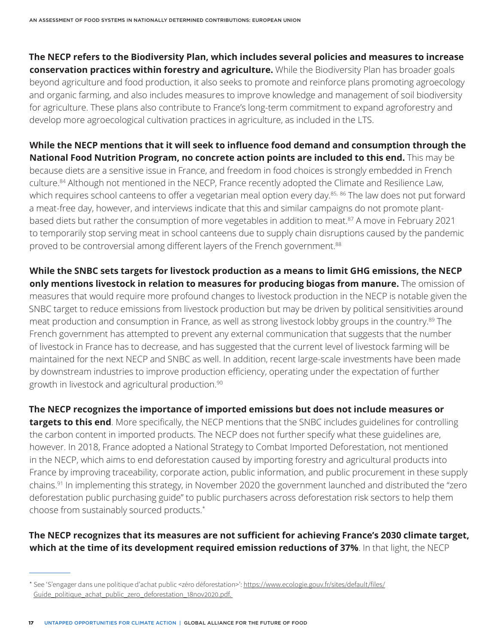**The NECP refers to the Biodiversity Plan, which includes several policies and measures to increase conservation practices within forestry and agriculture.** While the Biodiversity Plan has broader goals beyond agriculture and food production, it also seeks to promote and reinforce plans promoting agroecology and organic farming, and also includes measures to improve knowledge and management of soil biodiversity for agriculture. These plans also contribute to France's long-term commitment to expand agroforestry and develop more agroecological cultivation practices in agriculture, as included in the LTS.

**While the NECP mentions that it will seek to influence food demand and consumption through the National Food Nutrition Program, no concrete action points are included to this end.** This may be because diets are a sensitive issue in France, and freedom in food choices is strongly embedded in French culture.<sup>84</sup> Although not mentioned in the NECP, France recently adopted the Climate and Resilience Law, which requires school canteens to offer a vegetarian meal option every day.<sup>85, 86</sup> The law does not put forward a meat-free day, however, and interviews indicate that this and similar campaigns do not promote plantbased diets but rather the consumption of more vegetables in addition to meat.<sup>87</sup> A move in February 2021 to temporarily stop serving meat in school canteens due to supply chain disruptions caused by the pandemic proved to be controversial among different layers of the French government.<sup>88</sup>

**While the SNBC sets targets for livestock production as a means to limit GHG emissions, the NECP only mentions livestock in relation to measures for producing biogas from manure.** The omission of measures that would require more profound changes to livestock production in the NECP is notable given the SNBC target to reduce emissions from livestock production but may be driven by political sensitivities around meat production and consumption in France, as well as strong livestock lobby groups in the country.89 The French government has attempted to prevent any external communication that suggests that the number of livestock in France has to decrease, and has suggested that the current level of livestock farming will be maintained for the next NECP and SNBC as well. In addition, recent large-scale investments have been made by downstream industries to improve production efficiency, operating under the expectation of further growth in livestock and agricultural production.90

**The NECP recognizes the importance of imported emissions but does not include measures or targets to this end**. More specifically, the NECP mentions that the SNBC includes guidelines for controlling the carbon content in imported products. The NECP does not further specify what these guidelines are, however. In 2018, France adopted a National Strategy to Combat Imported Deforestation, not mentioned in the NECP, which aims to end deforestation caused by importing forestry and agricultural products into France by improving traceability, corporate action, public information, and public procurement in these supply chains.91 In implementing this strategy, in November 2020 the government launched and distributed the "zero deforestation public purchasing guide" to public purchasers across deforestation risk sectors to help them choose from sustainably sourced products.\*

### **The NECP recognizes that its measures are not sufficient for achieving France's 2030 climate target, which at the time of its development required emission reductions of 37%**. In that light, the NECP

<sup>\*</sup> See 'S'engager dans une politique d'achat public <zéro déforestation>': [https://www.ecologie.gouv.fr/sites/default/files/](https://www.ecologie.gouv.fr/sites/default/files/Guide_politique_achat_public_zero_deforestation_18nov2020.pdf) [Guide\\_politique\\_achat\\_public\\_zero\\_deforestation\\_18nov2020.pdf](https://www.ecologie.gouv.fr/sites/default/files/Guide_politique_achat_public_zero_deforestation_18nov2020.pdf).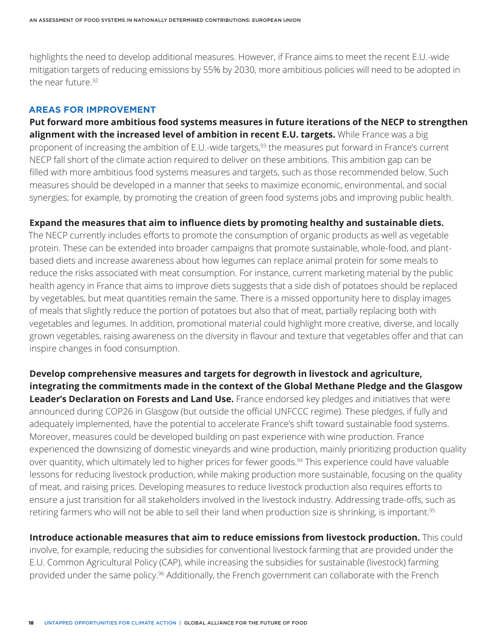highlights the need to develop additional measures. However, if France aims to meet the recent E.U.-wide mitigation targets of reducing emissions by 55% by 2030, more ambitious policies will need to be adopted in the near future.92

#### **AREAS FOR IMPROVEMENT**

**Put forward more ambitious food systems measures in future iterations of the NECP to strengthen alignment with the increased level of ambition in recent E.U. targets.** While France was a big proponent of increasing the ambition of E.U.-wide targets,<sup>93</sup> the measures put forward in France's current NECP fall short of the climate action required to deliver on these ambitions. This ambition gap can be filled with more ambitious food systems measures and targets, such as those recommended below. Such measures should be developed in a manner that seeks to maximize economic, environmental, and social synergies; for example, by promoting the creation of green food systems jobs and improving public health.

#### **Expand the measures that aim to influence diets by promoting healthy and sustainable diets.**

The NECP currently includes efforts to promote the consumption of organic products as well as vegetable protein. These can be extended into broader campaigns that promote sustainable, whole-food, and plantbased diets and increase awareness about how legumes can replace animal protein for some meals to reduce the risks associated with meat consumption. For instance, current marketing material by the public health agency in France that aims to improve diets suggests that a side dish of potatoes should be replaced by vegetables, but meat quantities remain the same. There is a missed opportunity here to display images of meals that slightly reduce the portion of potatoes but also that of meat, partially replacing both with vegetables and legumes. In addition, promotional material could highlight more creative, diverse, and locally grown vegetables, raising awareness on the diversity in flavour and texture that vegetables offer and that can inspire changes in food consumption.

**Develop comprehensive measures and targets for degrowth in livestock and agriculture, integrating the commitments made in the context of the Global Methane Pledge and the Glasgow Leader's Declaration on Forests and Land Use.** France endorsed key pledges and initiatives that were announced during COP26 in Glasgow (but outside the official UNFCCC regime). These pledges, if fully and adequately implemented, have the potential to accelerate France's shift toward sustainable food systems. Moreover, measures could be developed building on past experience with wine production. France experienced the downsizing of domestic vineyards and wine production, mainly prioritizing production quality over quantity, which ultimately led to higher prices for fewer goods.<sup>94</sup> This experience could have valuable lessons for reducing livestock production, while making production more sustainable, focusing on the quality of meat, and raising prices. Developing measures to reduce livestock production also requires efforts to ensure a just transition for all stakeholders involved in the livestock industry. Addressing trade-offs, such as retiring farmers who will not be able to sell their land when production size is shrinking, is important.<sup>95</sup>

**Introduce actionable measures that aim to reduce emissions from livestock production.** This could involve, for example, reducing the subsidies for conventional livestock farming that are provided under the E.U. Common Agricultural Policy (CAP), while increasing the subsidies for sustainable (livestock) farming provided under the same policy.96 Additionally, the French government can collaborate with the French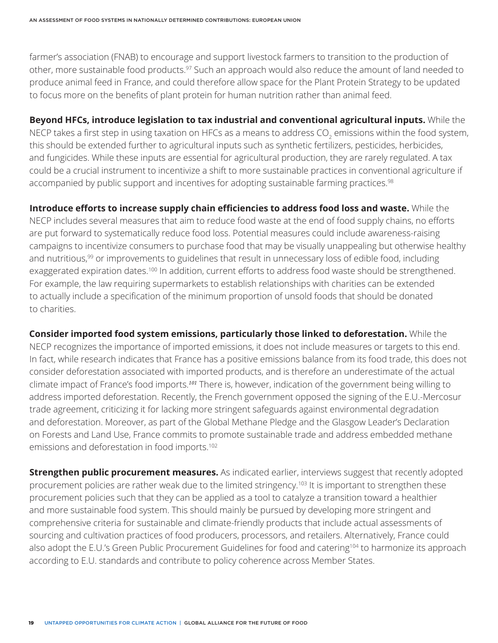farmer's association (FNAB) to encourage and support livestock farmers to transition to the production of other, more sustainable food products.<sup>97</sup> Such an approach would also reduce the amount of land needed to produce animal feed in France, and could therefore allow space for the Plant Protein Strategy to be updated to focus more on the benefits of plant protein for human nutrition rather than animal feed.

**Beyond HFCs, introduce legislation to tax industrial and conventional agricultural inputs.** While the NECP takes a first step in using taxation on HFCs as a means to address CO $_{\rm 2}$  emissions within the food system, this should be extended further to agricultural inputs such as synthetic fertilizers, pesticides, herbicides, and fungicides. While these inputs are essential for agricultural production, they are rarely regulated. A tax could be a crucial instrument to incentivize a shift to more sustainable practices in conventional agriculture if accompanied by public support and incentives for adopting sustainable farming practices.<sup>98</sup>

**Introduce efforts to increase supply chain efficiencies to address food loss and waste.** While the NECP includes several measures that aim to reduce food waste at the end of food supply chains, no efforts are put forward to systematically reduce food loss. Potential measures could include awareness-raising campaigns to incentivize consumers to purchase food that may be visually unappealing but otherwise healthy and nutritious,<sup>99</sup> or improvements to guidelines that result in unnecessary loss of edible food, including exaggerated expiration dates.<sup>100</sup> In addition, current efforts to address food waste should be strengthened. For example, the law requiring supermarkets to establish relationships with charities can be extended to actually include a specification of the minimum proportion of unsold foods that should be donated to charities.

**Consider imported food system emissions, particularly those linked to deforestation.** While the NECP recognizes the importance of imported emissions, it does not include measures or targets to this end. In fact, while research indicates that France has a positive emissions balance from its food trade, this does not consider deforestation associated with imported products, and is therefore an underestimate of the actual climate impact of France's food imports.*101* There is, however, indication of the government being willing to address imported deforestation. Recently, the French government opposed the signing of the E.U.-Mercosur trade agreement, criticizing it for lacking more stringent safeguards against environmental degradation and deforestation. Moreover, as part of the Global Methane Pledge and the Glasgow Leader's Declaration on Forests and Land Use, France commits to promote sustainable trade and address embedded methane emissions and deforestation in food imports.<sup>102</sup>

**Strengthen public procurement measures.** As indicated earlier, interviews suggest that recently adopted procurement policies are rather weak due to the limited stringency.<sup>103</sup> It is important to strengthen these procurement policies such that they can be applied as a tool to catalyze a transition toward a healthier and more sustainable food system. This should mainly be pursued by developing more stringent and comprehensive criteria for sustainable and climate-friendly products that include actual assessments of sourcing and cultivation practices of food producers, processors, and retailers. Alternatively, France could also adopt the E.U.'s Green Public Procurement Guidelines for food and catering<sup>104</sup> to harmonize its approach according to E.U. standards and contribute to policy coherence across Member States.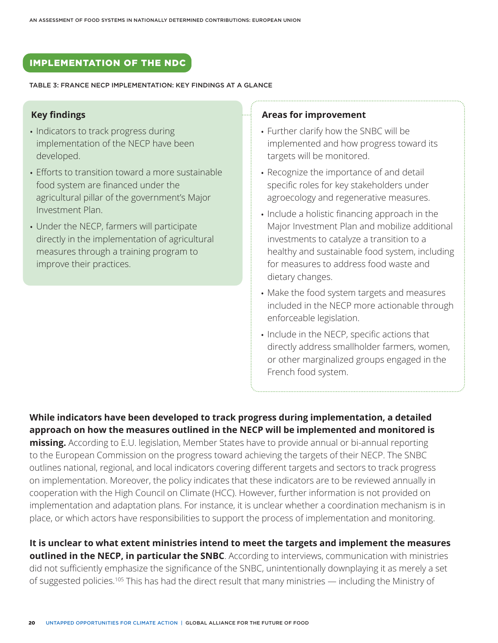# IMPLEMENTATION OF THE NDC

TABLE 3: FRANCE NECP IMPLEMENTATION: KEY FINDINGS AT A GLANCE

#### **Key findings**

- Indicators to track progress during implementation of the NECP have been developed.
- Efforts to transition toward a more sustainable food system are financed under the agricultural pillar of the government's Major Investment Plan.
- Under the NECP, farmers will participate directly in the implementation of agricultural measures through a training program to improve their practices.

#### **Areas for improvement**

- Further clarify how the SNBC will be implemented and how progress toward its targets will be monitored.
- Recognize the importance of and detail specific roles for key stakeholders under agroecology and regenerative measures.
- Include a holistic financing approach in the Major Investment Plan and mobilize additional investments to catalyze a transition to a healthy and sustainable food system, including for measures to address food waste and dietary changes.
- Make the food system targets and measures included in the NECP more actionable through enforceable legislation.
- Include in the NECP, specific actions that directly address smallholder farmers, women, or other marginalized groups engaged in the French food system.

**While indicators have been developed to track progress during implementation, a detailed approach on how the measures outlined in the NECP will be implemented and monitored is missing.** According to E.U. legislation, Member States have to provide annual or bi-annual reporting to the European Commission on the progress toward achieving the targets of their NECP. The SNBC outlines national, regional, and local indicators covering different targets and sectors to track progress on implementation. Moreover, the policy indicates that these indicators are to be reviewed annually in cooperation with the High Council on Climate (HCC). However, further information is not provided on implementation and adaptation plans. For instance, it is unclear whether a coordination mechanism is in place, or which actors have responsibilities to support the process of implementation and monitoring.

**It is unclear to what extent ministries intend to meet the targets and implement the measures outlined in the NECP, in particular the SNBC**. According to interviews, communication with ministries did not sufficiently emphasize the significance of the SNBC, unintentionally downplaying it as merely a set of suggested policies.<sup>105</sup> This has had the direct result that many ministries — including the Ministry of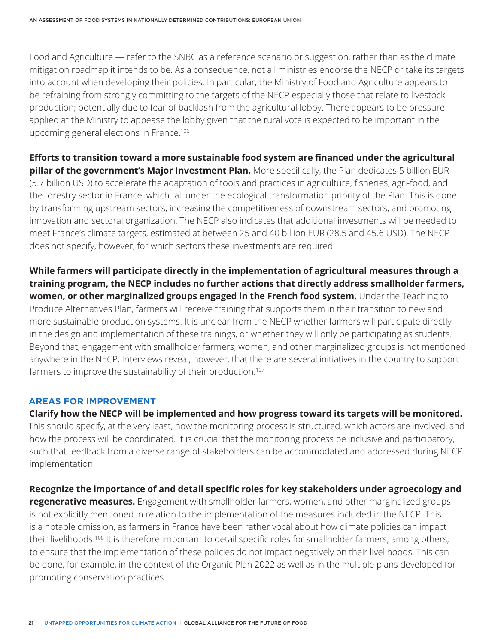Food and Agriculture — refer to the SNBC as a reference scenario or suggestion, rather than as the climate mitigation roadmap it intends to be. As a consequence, not all ministries endorse the NECP or take its targets into account when developing their policies. In particular, the Ministry of Food and Agriculture appears to be refraining from strongly committing to the targets of the NECP especially those that relate to livestock production; potentially due to fear of backlash from the agricultural lobby. There appears to be pressure applied at the Ministry to appease the lobby given that the rural vote is expected to be important in the upcoming general elections in France.106

**Efforts to transition toward a more sustainable food system are financed under the agricultural pillar of the government's Major Investment Plan.** More specifically, the Plan dedicates 5 billion EUR (5.7 billion USD) to accelerate the adaptation of tools and practices in agriculture, fisheries, agri-food, and the forestry sector in France, which fall under the ecological transformation priority of the Plan. This is done by transforming upstream sectors, increasing the competitiveness of downstream sectors, and promoting innovation and sectoral organization. The NECP also indicates that additional investments will be needed to meet France's climate targets, estimated at between 25 and 40 billion EUR (28.5 and 45.6 USD). The NECP does not specify, however, for which sectors these investments are required.

**While farmers will participate directly in the implementation of agricultural measures through a training program, the NECP includes no further actions that directly address smallholder farmers, women, or other marginalized groups engaged in the French food system.** Under the Teaching to Produce Alternatives Plan, farmers will receive training that supports them in their transition to new and more sustainable production systems. It is unclear from the NECP whether farmers will participate directly in the design and implementation of these trainings, or whether they will only be participating as students. Beyond that, engagement with smallholder farmers, women, and other marginalized groups is not mentioned anywhere in the NECP. Interviews reveal, however, that there are several initiatives in the country to support farmers to improve the sustainability of their production.<sup>107</sup>

#### **AREAS FOR IMPROVEMENT**

**Clarify how the NECP will be implemented and how progress toward its targets will be monitored.** This should specify, at the very least, how the monitoring process is structured, which actors are involved, and how the process will be coordinated. It is crucial that the monitoring process be inclusive and participatory, such that feedback from a diverse range of stakeholders can be accommodated and addressed during NECP implementation.

**Recognize the importance of and detail specific roles for key stakeholders under agroecology and regenerative measures.** Engagement with smallholder farmers, women, and other marginalized groups is not explicitly mentioned in relation to the implementation of the measures included in the NECP. This is a notable omission, as farmers in France have been rather vocal about how climate policies can impact their livelihoods.108 It is therefore important to detail specific roles for smallholder farmers, among others, to ensure that the implementation of these policies do not impact negatively on their livelihoods. This can be done, for example, in the context of the Organic Plan 2022 as well as in the multiple plans developed for promoting conservation practices.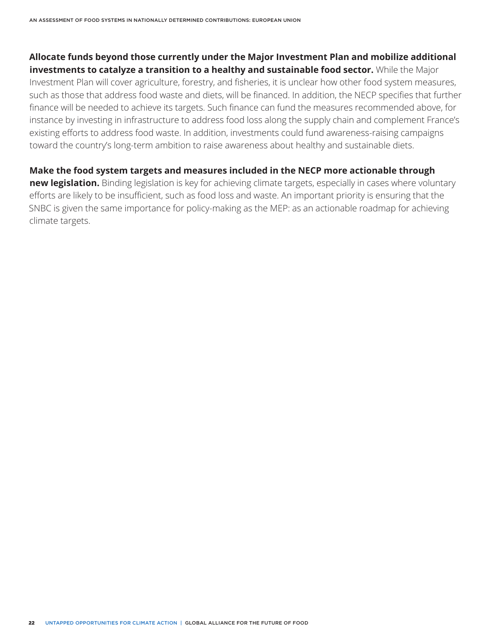**Allocate funds beyond those currently under the Major Investment Plan and mobilize additional investments to catalyze a transition to a healthy and sustainable food sector.** While the Major Investment Plan will cover agriculture, forestry, and fisheries, it is unclear how other food system measures, such as those that address food waste and diets, will be financed. In addition, the NECP specifies that further finance will be needed to achieve its targets. Such finance can fund the measures recommended above, for instance by investing in infrastructure to address food loss along the supply chain and complement France's existing efforts to address food waste. In addition, investments could fund awareness-raising campaigns toward the country's long-term ambition to raise awareness about healthy and sustainable diets.

**Make the food system targets and measures included in the NECP more actionable through new legislation.** Binding legislation is key for achieving climate targets, especially in cases where voluntary efforts are likely to be insufficient, such as food loss and waste. An important priority is ensuring that the SNBC is given the same importance for policy-making as the MEP: as an actionable roadmap for achieving climate targets.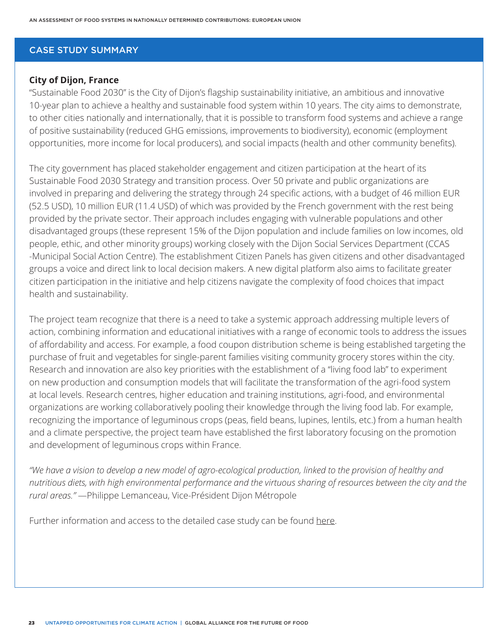#### CASE STUDY SUMMARY

#### **City of Dijon, France**

"Sustainable Food 2030" is the City of Dijon's flagship sustainability initiative, an ambitious and innovative 10-year plan to achieve a healthy and sustainable food system within 10 years. The city aims to demonstrate, to other cities nationally and internationally, that it is possible to transform food systems and achieve a range of positive sustainability (reduced GHG emissions, improvements to biodiversity), economic (employment opportunities, more income for local producers), and social impacts (health and other community benefits).

The city government has placed stakeholder engagement and citizen participation at the heart of its Sustainable Food 2030 Strategy and transition process. Over 50 private and public organizations are involved in preparing and delivering the strategy through 24 specific actions, with a budget of 46 million EUR (52.5 USD), 10 million EUR (11.4 USD) of which was provided by the French government with the rest being provided by the private sector. Their approach includes engaging with vulnerable populations and other disadvantaged groups (these represent 15% of the Dijon population and include families on low incomes, old people, ethic, and other minority groups) working closely with the Dijon Social Services Department (CCAS -Municipal Social Action Centre). The establishment Citizen Panels has given citizens and other disadvantaged groups a voice and direct link to local decision makers. A new digital platform also aims to facilitate greater citizen participation in the initiative and help citizens navigate the complexity of food choices that impact health and sustainability.

The project team recognize that there is a need to take a systemic approach addressing multiple levers of action, combining information and educational initiatives with a range of economic tools to address the issues of affordability and access. For example, a food coupon distribution scheme is being established targeting the purchase of fruit and vegetables for single-parent families visiting community grocery stores within the city. Research and innovation are also key priorities with the establishment of a "living food lab" to experiment on new production and consumption models that will facilitate the transformation of the agri-food system at local levels. Research centres, higher education and training institutions, agri-food, and environmental organizations are working collaboratively pooling their knowledge through the living food lab. For example, recognizing the importance of leguminous crops (peas, field beans, lupines, lentils, etc.) from a human health and a climate perspective, the project team have established the first laboratory focusing on the promotion and development of leguminous crops within France.

*"We have a vision to develop a new model of agro-ecological production, linked to the provision of healthy and nutritious diets, with high environmental performance and the virtuous sharing of resources between the city and the rural areas."* —Philippe Lemanceau, Vice-Président Dijon Métropole

Further information and access to the detailed case study can be found [here.](http://futureoffood.org/wp-content/uploads/2022/03/stories-of-action-from-14-countries.pdf)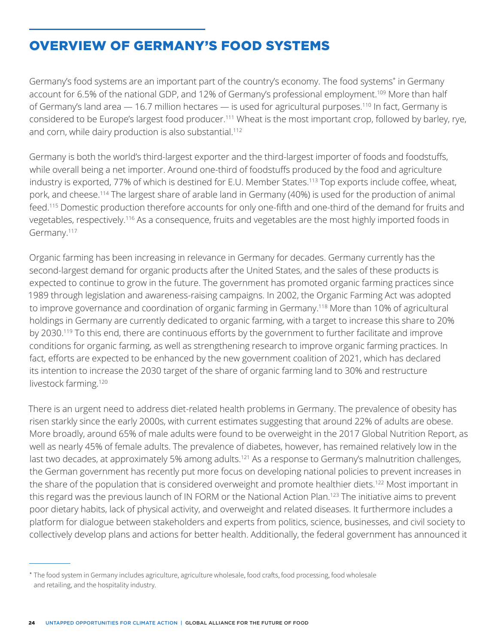# OVERVIEW OF GERMANY'S FOOD SYSTEMS

Germany's food systems are an important part of the country's economy. The food systems\* in Germany account for 6.5% of the national GDP, and 12% of Germany's professional employment.<sup>109</sup> More than half of Germany's land area - 16.7 million hectares - is used for agricultural purposes.<sup>110</sup> In fact, Germany is considered to be Europe's largest food producer.111 Wheat is the most important crop, followed by barley, rye, and corn, while dairy production is also substantial.<sup>112</sup>

Germany is both the world's third-largest exporter and the third-largest importer of foods and foodstuffs, while overall being a net importer. Around one-third of foodstuffs produced by the food and agriculture industry is exported, 77% of which is destined for E.U. Member States.<sup>113</sup> Top exports include coffee, wheat, pork, and cheese.114 The largest share of arable land in Germany (40%) is used for the production of animal feed.115 Domestic production therefore accounts for only one-fifth and one-third of the demand for fruits and vegetables, respectively.116 As a consequence, fruits and vegetables are the most highly imported foods in Germany.117

Organic farming has been increasing in relevance in Germany for decades. Germany currently has the second-largest demand for organic products after the United States, and the sales of these products is expected to continue to grow in the future. The government has promoted organic farming practices since 1989 through legislation and awareness-raising campaigns. In 2002, the Organic Farming Act was adopted to improve governance and coordination of organic farming in Germany.118 More than 10% of agricultural holdings in Germany are currently dedicated to organic farming, with a target to increase this share to 20% by 2030.<sup>119</sup> To this end, there are continuous efforts by the government to further facilitate and improve conditions for organic farming, as well as strengthening research to improve organic farming practices. In fact, efforts are expected to be enhanced by the new government coalition of 2021, which has declared its intention to increase the 2030 target of the share of organic farming land to 30% and restructure livestock farming.<sup>120</sup>

There is an urgent need to address diet-related health problems in Germany. The prevalence of obesity has risen starkly since the early 2000s, with current estimates suggesting that around 22% of adults are obese. More broadly, around 65% of male adults were found to be overweight in the 2017 Global Nutrition Report, as well as nearly 45% of female adults. The prevalence of diabetes, however, has remained relatively low in the last two decades, at approximately 5% among adults.<sup>121</sup> As a response to Germany's malnutrition challenges, the German government has recently put more focus on developing national policies to prevent increases in the share of the population that is considered overweight and promote healthier diets.<sup>122</sup> Most important in this regard was the previous launch of IN FORM or the National Action Plan.<sup>123</sup> The initiative aims to prevent poor dietary habits, lack of physical activity, and overweight and related diseases. It furthermore includes a platform for dialogue between stakeholders and experts from politics, science, businesses, and civil society to collectively develop plans and actions for better health. Additionally, the federal government has announced it

<sup>\*</sup> The food system in Germany includes agriculture, agriculture wholesale, food crafts, food processing, food wholesale and retailing, and the hospitality industry.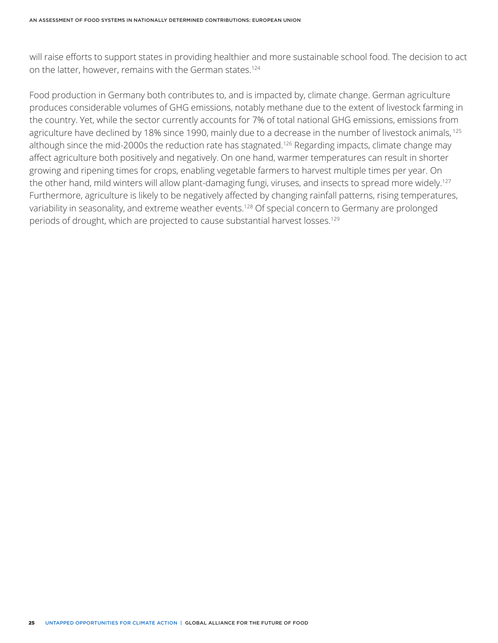will raise efforts to support states in providing healthier and more sustainable school food. The decision to act on the latter, however, remains with the German states.124

Food production in Germany both contributes to, and is impacted by, climate change. German agriculture produces considerable volumes of GHG emissions, notably methane due to the extent of livestock farming in the country. Yet, while the sector currently accounts for 7% of total national GHG emissions, emissions from agriculture have declined by 18% since 1990, mainly due to a decrease in the number of livestock animals, 125 although since the mid-2000s the reduction rate has stagnated.<sup>126</sup> Regarding impacts, climate change may affect agriculture both positively and negatively. On one hand, warmer temperatures can result in shorter growing and ripening times for crops, enabling vegetable farmers to harvest multiple times per year. On the other hand, mild winters will allow plant-damaging fungi, viruses, and insects to spread more widely.<sup>127</sup> Furthermore, agriculture is likely to be negatively affected by changing rainfall patterns, rising temperatures, variability in seasonality, and extreme weather events.<sup>128</sup> Of special concern to Germany are prolonged periods of drought, which are projected to cause substantial harvest losses.<sup>129</sup>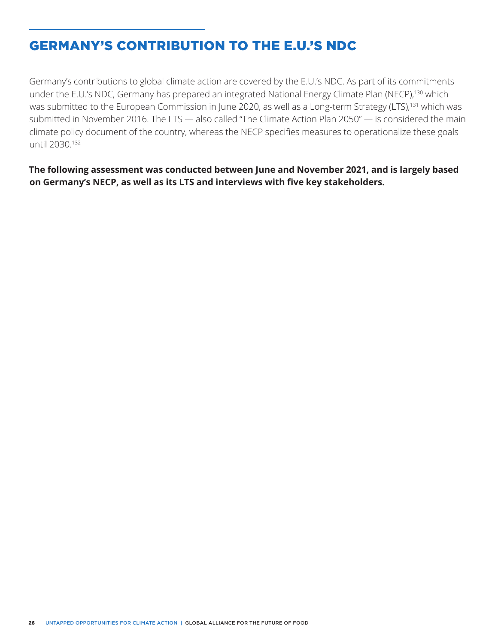# GERMANY'S CONTRIBUTION TO THE E.U.'S NDC

Germany's contributions to global climate action are covered by the E.U.'s NDC. As part of its commitments under the E.U.'s NDC, Germany has prepared an integrated National Energy Climate Plan (NECP),<sup>130</sup> which was submitted to the European Commission in June 2020, as well as a Long-term Strategy (LTS),<sup>131</sup> which was submitted in November 2016. The LTS — also called "The Climate Action Plan 2050" — is considered the main climate policy document of the country, whereas the NECP specifies measures to operationalize these goals until 2030.132

**The following assessment was conducted between June and November 2021, and is largely based on Germany's NECP, as well as its LTS and interviews with five key stakeholders.**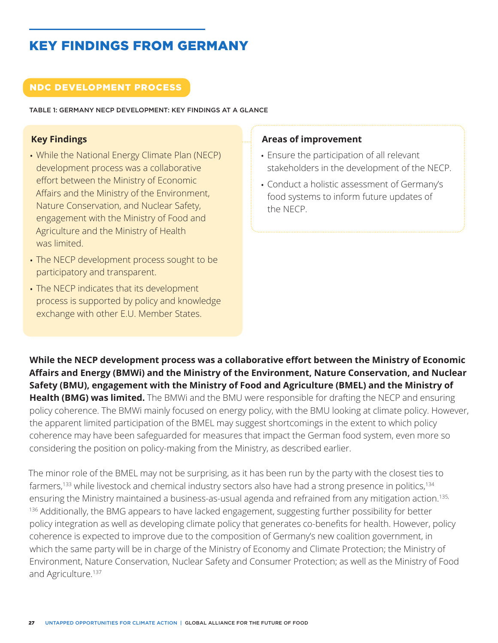# KEY FINDINGS FROM GERMANY

### NDC DEVELOPMENT PROCESS

TABLE 1: GERMANY NECP DEVELOPMENT: KEY FINDINGS AT A GLANCE

### **Key Findings**

- While the National Energy Climate Plan (NECP) development process was a collaborative effort between the Ministry of Economic Affairs and the Ministry of the Environment, Nature Conservation, and Nuclear Safety, engagement with the Ministry of Food and Agriculture and the Ministry of Health was limited.
- The NECP development process sought to be participatory and transparent.
- The NECP indicates that its development process is supported by policy and knowledge exchange with other E.U. Member States.

#### **Areas of improvement**

- Ensure the participation of all relevant stakeholders in the development of the NECP.
- Conduct a holistic assessment of Germany's food systems to inform future updates of the NECP.

**While the NECP development process was a collaborative effort between the Ministry of Economic Affairs and Energy (BMWi) and the Ministry of the Environment, Nature Conservation, and Nuclear Safety (BMU), engagement with the Ministry of Food and Agriculture (BMEL) and the Ministry of Health (BMG) was limited.** The BMWi and the BMU were responsible for drafting the NECP and ensuring policy coherence. The BMWi mainly focused on energy policy, with the BMU looking at climate policy. However, the apparent limited participation of the BMEL may suggest shortcomings in the extent to which policy coherence may have been safeguarded for measures that impact the German food system, even more so considering the position on policy-making from the Ministry, as described earlier.

The minor role of the BMEL may not be surprising, as it has been run by the party with the closest ties to farmers,<sup>133</sup> while livestock and chemical industry sectors also have had a strong presence in politics,<sup>134</sup> ensuring the Ministry maintained a business-as-usual agenda and refrained from any mitigation action.<sup>135,</sup> 136 Additionally, the BMG appears to have lacked engagement, suggesting further possibility for better policy integration as well as developing climate policy that generates co-benefits for health. However, policy coherence is expected to improve due to the composition of Germany's new coalition government, in which the same party will be in charge of the Ministry of Economy and Climate Protection; the Ministry of Environment, Nature Conservation, Nuclear Safety and Consumer Protection; as well as the Ministry of Food and Agriculture.<sup>137</sup>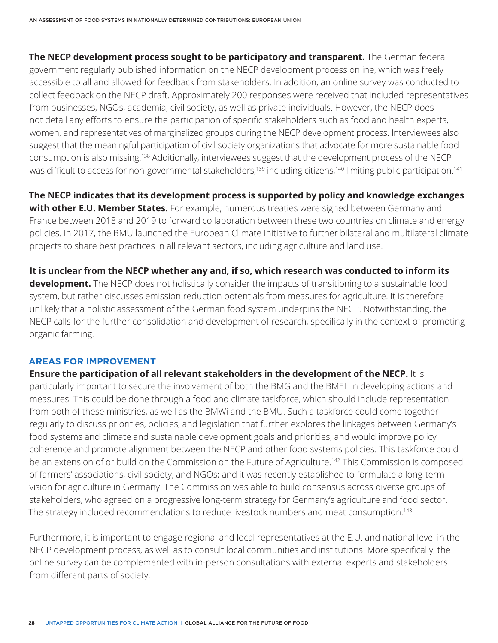**The NECP development process sought to be participatory and transparent.** The German federal government regularly published information on the NECP development process online, which was freely accessible to all and allowed for feedback from stakeholders. In addition, an online survey was conducted to collect feedback on the NECP draft. Approximately 200 responses were received that included representatives from businesses, NGOs, academia, civil society, as well as private individuals. However, the NECP does not detail any efforts to ensure the participation of specific stakeholders such as food and health experts, women, and representatives of marginalized groups during the NECP development process. Interviewees also suggest that the meaningful participation of civil society organizations that advocate for more sustainable food consumption is also missing.138 Additionally, interviewees suggest that the development process of the NECP was difficult to access for non-governmental stakeholders,<sup>139</sup> including citizens,<sup>140</sup> limiting public participation.<sup>141</sup>

**The NECP indicates that its development process is supported by policy and knowledge exchanges with other E.U. Member States.** For example, numerous treaties were signed between Germany and France between 2018 and 2019 to forward collaboration between these two countries on climate and energy policies. In 2017, the BMU launched the European Climate Initiative to further bilateral and multilateral climate projects to share best practices in all relevant sectors, including agriculture and land use.

**It is unclear from the NECP whether any and, if so, which research was conducted to inform its development.** The NECP does not holistically consider the impacts of transitioning to a sustainable food system, but rather discusses emission reduction potentials from measures for agriculture. It is therefore unlikely that a holistic assessment of the German food system underpins the NECP. Notwithstanding, the NECP calls for the further consolidation and development of research, specifically in the context of promoting organic farming.

#### **AREAS FOR IMPROVEMENT**

**Ensure the participation of all relevant stakeholders in the development of the NECP.** It is particularly important to secure the involvement of both the BMG and the BMEL in developing actions and measures. This could be done through a food and climate taskforce, which should include representation from both of these ministries, as well as the BMWi and the BMU. Such a taskforce could come together regularly to discuss priorities, policies, and legislation that further explores the linkages between Germany's food systems and climate and sustainable development goals and priorities, and would improve policy coherence and promote alignment between the NECP and other food systems policies. This taskforce could be an extension of or build on the Commission on the Future of Agriculture.<sup>142</sup> This Commission is composed of farmers' associations, civil society, and NGOs; and it was recently established to formulate a long-term vision for agriculture in Germany. The Commission was able to build consensus across diverse groups of stakeholders, who agreed on a progressive long-term strategy for Germany's agriculture and food sector. The strategy included recommendations to reduce livestock numbers and meat consumption.<sup>143</sup>

Furthermore, it is important to engage regional and local representatives at the E.U. and national level in the NECP development process, as well as to consult local communities and institutions. More specifically, the online survey can be complemented with in-person consultations with external experts and stakeholders from different parts of society.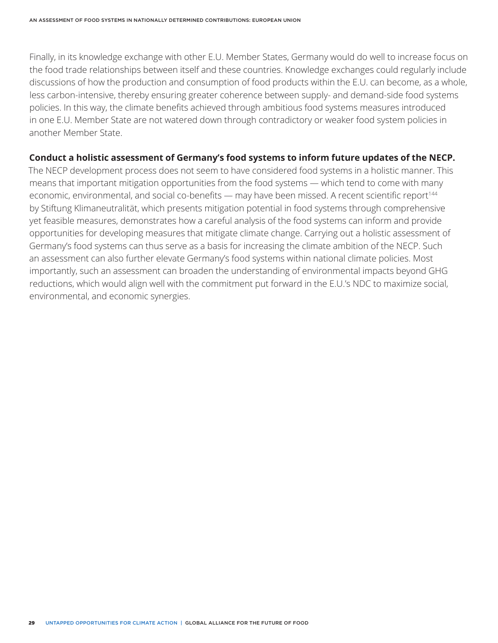Finally, in its knowledge exchange with other E.U. Member States, Germany would do well to increase focus on the food trade relationships between itself and these countries. Knowledge exchanges could regularly include discussions of how the production and consumption of food products within the E.U. can become, as a whole, less carbon-intensive, thereby ensuring greater coherence between supply- and demand-side food systems policies. In this way, the climate benefits achieved through ambitious food systems measures introduced in one E.U. Member State are not watered down through contradictory or weaker food system policies in another Member State.

#### **Conduct a holistic assessment of Germany's food systems to inform future updates of the NECP.**

The NECP development process does not seem to have considered food systems in a holistic manner. This means that important mitigation opportunities from the food systems — which tend to come with many economic, environmental, and social co-benefits — may have been missed. A recent scientific report<sup>144</sup> by Stiftung Klimaneutralität, which presents mitigation potential in food systems through comprehensive yet feasible measures, demonstrates how a careful analysis of the food systems can inform and provide opportunities for developing measures that mitigate climate change. Carrying out a holistic assessment of Germany's food systems can thus serve as a basis for increasing the climate ambition of the NECP. Such an assessment can also further elevate Germany's food systems within national climate policies. Most importantly, such an assessment can broaden the understanding of environmental impacts beyond GHG reductions, which would align well with the commitment put forward in the E.U.'s NDC to maximize social, environmental, and economic synergies.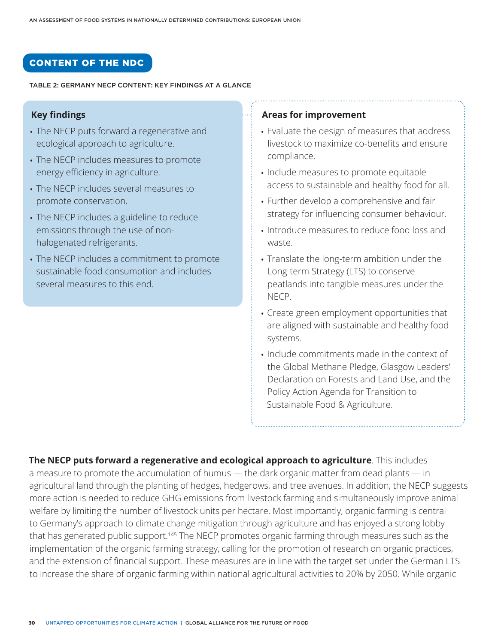### CONTENT OF THE NDC

#### TABLE 2: GERMANY NECP CONTENT: KEY FINDINGS AT A GLANCE

### **Key findings**

- The NECP puts forward a regenerative and ecological approach to agriculture.
- The NECP includes measures to promote energy efficiency in agriculture.
- The NECP includes several measures to promote conservation.
- The NECP includes a guideline to reduce emissions through the use of nonhalogenated refrigerants.
- The NECP includes a commitment to promote sustainable food consumption and includes several measures to this end.

#### **Areas for improvement**

- Evaluate the design of measures that address livestock to maximize co-benefits and ensure compliance.
- Include measures to promote equitable access to sustainable and healthy food for all.
- Further develop a comprehensive and fair strategy for influencing consumer behaviour.
- Introduce measures to reduce food loss and waste.
- Translate the long-term ambition under the Long-term Strategy (LTS) to conserve peatlands into tangible measures under the NECP.
- Create green employment opportunities that are aligned with sustainable and healthy food systems.
- Include commitments made in the context of the Global Methane Pledge, Glasgow Leaders' Declaration on Forests and Land Use, and the Policy Action Agenda for Transition to Sustainable Food & Agriculture.

**The NECP puts forward a regenerative and ecological approach to agriculture**. This includes a measure to promote the accumulation of humus — the dark organic matter from dead plants — in agricultural land through the planting of hedges, hedgerows, and tree avenues. In addition, the NECP suggests more action is needed to reduce GHG emissions from livestock farming and simultaneously improve animal welfare by limiting the number of livestock units per hectare. Most importantly, organic farming is central to Germany's approach to climate change mitigation through agriculture and has enjoyed a strong lobby that has generated public support.<sup>145</sup> The NECP promotes organic farming through measures such as the implementation of the organic farming strategy, calling for the promotion of research on organic practices, and the extension of financial support. These measures are in line with the target set under the German LTS to increase the share of organic farming within national agricultural activities to 20% by 2050. While organic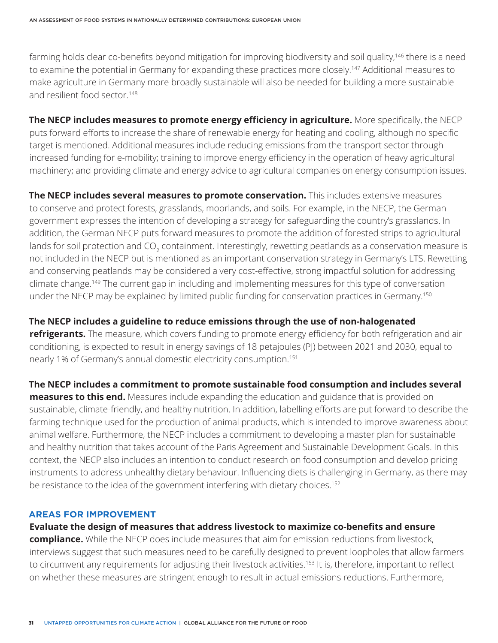farming holds clear co-benefits beyond mitigation for improving biodiversity and soil quality,<sup>146</sup> there is a need to examine the potential in Germany for expanding these practices more closely.<sup>147</sup> Additional measures to make agriculture in Germany more broadly sustainable will also be needed for building a more sustainable and resilient food sector.<sup>148</sup>

**The NECP includes measures to promote energy efficiency in agriculture.** More specifically, the NECP puts forward efforts to increase the share of renewable energy for heating and cooling, although no specific target is mentioned. Additional measures include reducing emissions from the transport sector through increased funding for e-mobility; training to improve energy efficiency in the operation of heavy agricultural machinery; and providing climate and energy advice to agricultural companies on energy consumption issues.

**The NECP includes several measures to promote conservation.** This includes extensive measures to conserve and protect forests, grasslands, moorlands, and soils. For example, in the NECP, the German government expresses the intention of developing a strategy for safeguarding the country's grasslands. In addition, the German NECP puts forward measures to promote the addition of forested strips to agricultural lands for soil protection and CO<sub>2</sub> containment. Interestingly, rewetting peatlands as a conservation measure is not included in the NECP but is mentioned as an important conservation strategy in Germany's LTS. Rewetting and conserving peatlands may be considered a very cost-effective, strong impactful solution for addressing climate change.149 The current gap in including and implementing measures for this type of conversation under the NECP may be explained by limited public funding for conservation practices in Germany.<sup>150</sup>

**The NECP includes a guideline to reduce emissions through the use of non-halogenated refrigerants.** The measure, which covers funding to promote energy efficiency for both refrigeration and air conditioning, is expected to result in energy savings of 18 petajoules (PJ) between 2021 and 2030, equal to nearly 1% of Germany's annual domestic electricity consumption.151

**The NECP includes a commitment to promote sustainable food consumption and includes several measures to this end.** Measures include expanding the education and guidance that is provided on sustainable, climate-friendly, and healthy nutrition. In addition, labelling efforts are put forward to describe the farming technique used for the production of animal products, which is intended to improve awareness about animal welfare. Furthermore, the NECP includes a commitment to developing a master plan for sustainable and healthy nutrition that takes account of the Paris Agreement and Sustainable Development Goals. In this context, the NECP also includes an intention to conduct research on food consumption and develop pricing instruments to address unhealthy dietary behaviour. Influencing diets is challenging in Germany, as there may be resistance to the idea of the government interfering with dietary choices.<sup>152</sup>

#### **AREAS FOR IMPROVEMENT**

**Evaluate the design of measures that address livestock to maximize co-benefits and ensure compliance.** While the NECP does include measures that aim for emission reductions from livestock, interviews suggest that such measures need to be carefully designed to prevent loopholes that allow farmers to circumvent any requirements for adjusting their livestock activities.<sup>153</sup> It is, therefore, important to reflect on whether these measures are stringent enough to result in actual emissions reductions. Furthermore,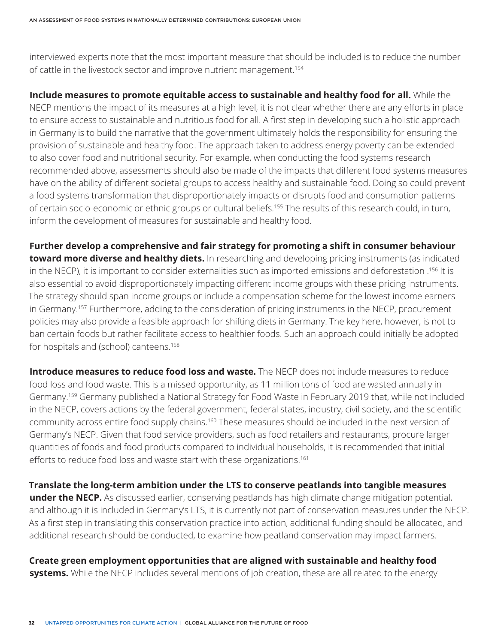interviewed experts note that the most important measure that should be included is to reduce the number of cattle in the livestock sector and improve nutrient management.<sup>154</sup>

**Include measures to promote equitable access to sustainable and healthy food for all.** While the NECP mentions the impact of its measures at a high level, it is not clear whether there are any efforts in place to ensure access to sustainable and nutritious food for all. A first step in developing such a holistic approach in Germany is to build the narrative that the government ultimately holds the responsibility for ensuring the provision of sustainable and healthy food. The approach taken to address energy poverty can be extended to also cover food and nutritional security. For example, when conducting the food systems research recommended above, assessments should also be made of the impacts that different food systems measures have on the ability of different societal groups to access healthy and sustainable food. Doing so could prevent a food systems transformation that disproportionately impacts or disrupts food and consumption patterns of certain socio-economic or ethnic groups or cultural beliefs.155 The results of this research could, in turn, inform the development of measures for sustainable and healthy food.

**Further develop a comprehensive and fair strategy for promoting a shift in consumer behaviour toward more diverse and healthy diets.** In researching and developing pricing instruments (as indicated in the NECP), it is important to consider externalities such as imported emissions and deforestation .156 It is also essential to avoid disproportionately impacting different income groups with these pricing instruments. The strategy should span income groups or include a compensation scheme for the lowest income earners in Germany.157 Furthermore, adding to the consideration of pricing instruments in the NECP, procurement policies may also provide a feasible approach for shifting diets in Germany. The key here, however, is not to ban certain foods but rather facilitate access to healthier foods. Such an approach could initially be adopted for hospitals and (school) canteens.<sup>158</sup>

**Introduce measures to reduce food loss and waste.** The NECP does not include measures to reduce food loss and food waste. This is a missed opportunity, as 11 million tons of food are wasted annually in Germany.159 Germany published a National Strategy for Food Waste in February 2019 that, while not included in the NECP, covers actions by the federal government, federal states, industry, civil society, and the scientific community across entire food supply chains.160 These measures should be included in the next version of Germany's NECP. Given that food service providers, such as food retailers and restaurants, procure larger quantities of foods and food products compared to individual households, it is recommended that initial efforts to reduce food loss and waste start with these organizations.<sup>161</sup>

**Translate the long-term ambition under the LTS to conserve peatlands into tangible measures under the NECP.** As discussed earlier, conserving peatlands has high climate change mitigation potential, and although it is included in Germany's LTS, it is currently not part of conservation measures under the NECP. As a first step in translating this conservation practice into action, additional funding should be allocated, and additional research should be conducted, to examine how peatland conservation may impact farmers.

**Create green employment opportunities that are aligned with sustainable and healthy food systems.** While the NECP includes several mentions of job creation, these are all related to the energy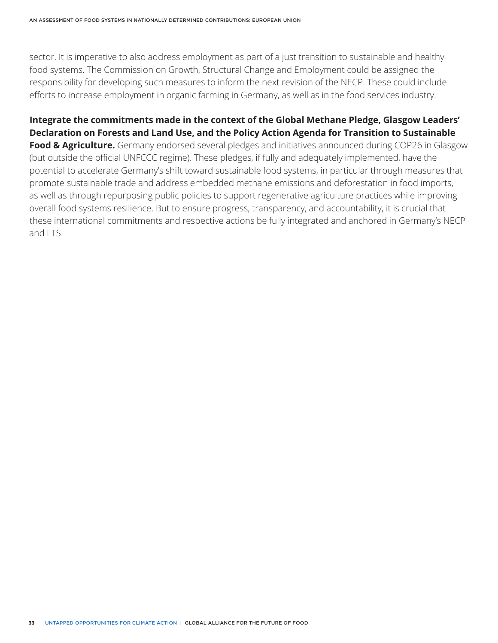sector. It is imperative to also address employment as part of a just transition to sustainable and healthy food systems. The Commission on Growth, Structural Change and Employment could be assigned the responsibility for developing such measures to inform the next revision of the NECP. These could include efforts to increase employment in organic farming in Germany, as well as in the food services industry.

**Integrate the commitments made in the context of the Global Methane Pledge, Glasgow Leaders' Declaration on Forests and Land Use, and the Policy Action Agenda for Transition to Sustainable Food & Agriculture.** Germany endorsed several pledges and initiatives announced during COP26 in Glasgow (but outside the official UNFCCC regime). These pledges, if fully and adequately implemented, have the potential to accelerate Germany's shift toward sustainable food systems, in particular through measures that promote sustainable trade and address embedded methane emissions and deforestation in food imports, as well as through repurposing public policies to support regenerative agriculture practices while improving overall food systems resilience. But to ensure progress, transparency, and accountability, it is crucial that these international commitments and respective actions be fully integrated and anchored in Germany's NECP and LTS.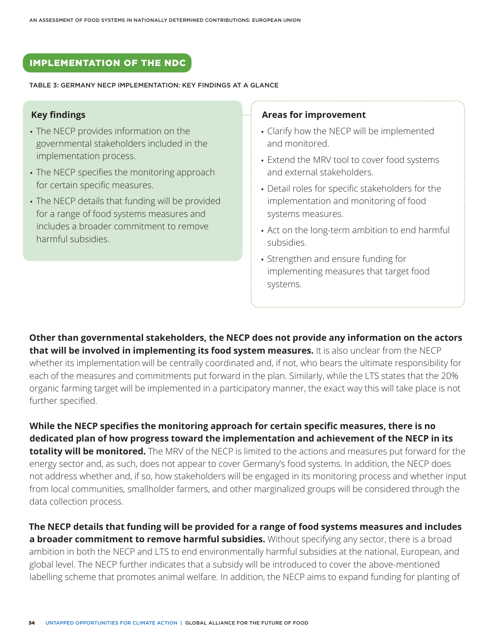# IMPLEMENTATION OF THE NDC

TABLE 3: GERMANY NECP IMPLEMENTATION: KEY FINDINGS AT A GLANCE

#### **Key findings**

- The NECP provides information on the governmental stakeholders included in the implementation process.
- The NECP specifies the monitoring approach for certain specific measures.
- The NECP details that funding will be provided for a range of food systems measures and includes a broader commitment to remove harmful subsidies.

#### **Areas for improvement**

- Clarify how the NECP will be implemented and monitored.
- Extend the MRV tool to cover food systems and external stakeholders.
- Detail roles for specific stakeholders for the implementation and monitoring of food systems measures.
- Act on the long-term ambition to end harmful subsidies.
- Strengthen and ensure funding for implementing measures that target food systems.

**Other than governmental stakeholders, the NECP does not provide any information on the actors that will be involved in implementing its food system measures.** It is also unclear from the NECP whether its implementation will be centrally coordinated and, if not, who bears the ultimate responsibility for each of the measures and commitments put forward in the plan. Similarly, while the LTS states that the 20% organic farming target will be implemented in a participatory manner, the exact way this will take place is not further specified.

**While the NECP specifies the monitoring approach for certain specific measures, there is no dedicated plan of how progress toward the implementation and achievement of the NECP in its totality will be monitored.** The MRV of the NECP is limited to the actions and measures put forward for the energy sector and, as such, does not appear to cover Germany's food systems. In addition, the NECP does not address whether and, if so, how stakeholders will be engaged in its monitoring process and whether input from local communities, smallholder farmers, and other marginalized groups will be considered through the data collection process.

**The NECP details that funding will be provided for a range of food systems measures and includes a broader commitment to remove harmful subsidies.** Without specifying any sector, there is a broad ambition in both the NECP and LTS to end environmentally harmful subsidies at the national, European, and global level. The NECP further indicates that a subsidy will be introduced to cover the above-mentioned labelling scheme that promotes animal welfare. In addition, the NECP aims to expand funding for planting of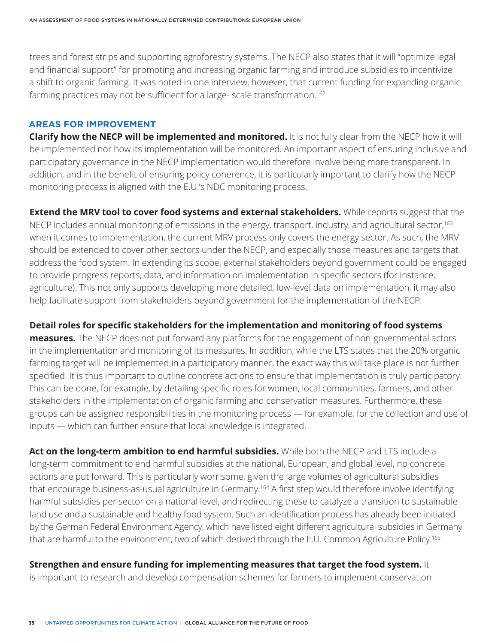trees and forest strips and supporting agroforestry systems. The NECP also states that it will "optimize legal and financial support" for promoting and increasing organic farming and introduce subsidies to incentivize a shift to organic farming. It was noted in one interview, however, that current funding for expanding organic farming practices may not be sufficient for a large- scale transformation.<sup>162</sup>

#### **AREAS FOR IMPROVEMENT**

**Clarify how the NECP will be implemented and monitored.** It is not fully clear from the NECP how it will be implemented nor how its implementation will be monitored. An important aspect of ensuring inclusive and participatory governance in the NECP implementation would therefore involve being more transparent. In addition, and in the benefit of ensuring policy coherence, it is particularly important to clarify how the NECP monitoring process is aligned with the E.U.'s NDC monitoring process.

**Extend the MRV tool to cover food systems and external stakeholders.** While reports suggest that the NECP includes annual monitoring of emissions in the energy, transport, industry, and agricultural sector,<sup>163</sup> when it comes to implementation, the current MRV process only covers the energy sector. As such, the MRV should be extended to cover other sectors under the NECP, and especially those measures and targets that address the food system. In extending its scope, external stakeholders beyond government could be engaged to provide progress reports, data, and information on implementation in specific sectors (for instance, agriculture). This not only supports developing more detailed, low-level data on implementation, it may also help facilitate support from stakeholders beyond government for the implementation of the NECP.

#### **Detail roles for specific stakeholders for the implementation and monitoring of food systems**

**measures.** The NECP does not put forward any platforms for the engagement of non-governmental actors in the implementation and monitoring of its measures. In addition, while the LTS states that the 20% organic farming target will be implemented in a participatory manner, the exact way this will take place is not further specified. It is thus important to outline concrete actions to ensure that implementation is truly participatory. This can be done, for example, by detailing specific roles for women, local communities, farmers, and other stakeholders in the implementation of organic farming and conservation measures. Furthermore, these groups can be assigned responsibilities in the monitoring process — for example, for the collection and use of inputs — which can further ensure that local knowledge is integrated.

**Act on the long-term ambition to end harmful subsidies.** While both the NECP and LTS include a long-term commitment to end harmful subsidies at the national, European, and global level, no concrete actions are put forward. This is particularly worrisome, given the large volumes of agricultural subsidies that encourage business-as-usual agriculture in Germany.<sup>164</sup> A first step would therefore involve identifying harmful subsidies per sector on a national level, and redirecting these to catalyze a transition to sustainable land use and a sustainable and healthy food system. Such an identification process has already been initiated by the German Federal Environment Agency, which have listed eight different agricultural subsidies in Germany that are harmful to the environment, two of which derived through the E.U. Common Agriculture Policy.<sup>165</sup>

#### **Strengthen and ensure funding for implementing measures that target the food system.** It

is important to research and develop compensation schemes for farmers to implement conservation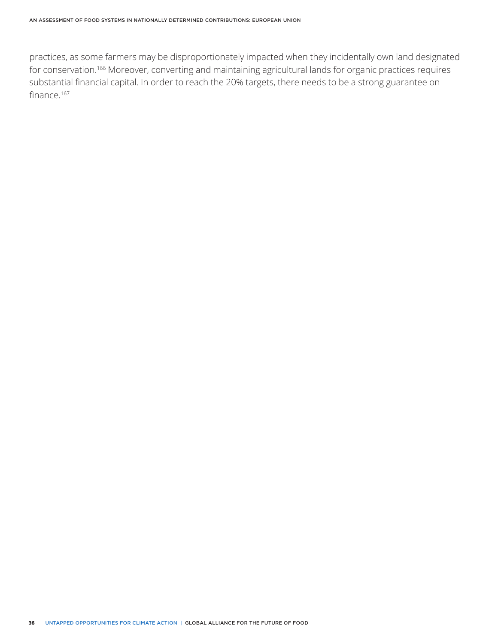practices, as some farmers may be disproportionately impacted when they incidentally own land designated for conservation.166 Moreover, converting and maintaining agricultural lands for organic practices requires substantial financial capital. In order to reach the 20% targets, there needs to be a strong guarantee on finance.167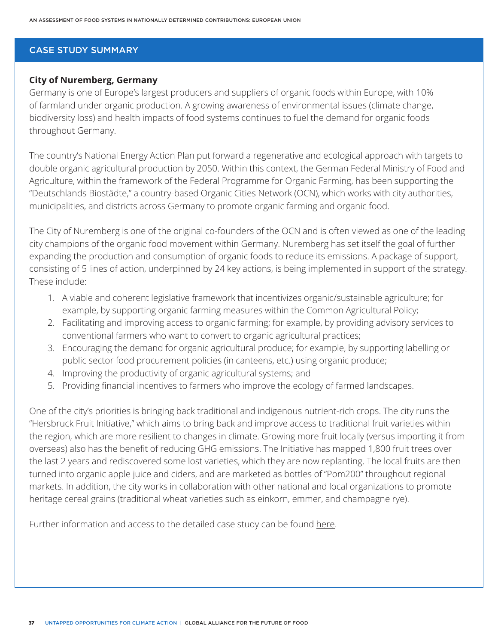#### CASE STUDY SUMMARY

#### **City of Nuremberg, Germany**

Germany is one of Europe's largest producers and suppliers of organic foods within Europe, with 10% of farmland under organic production. A growing awareness of environmental issues (climate change, biodiversity loss) and health impacts of food systems continues to fuel the demand for organic foods throughout Germany.

The country's National Energy Action Plan put forward a regenerative and ecological approach with targets to double organic agricultural production by 2050. Within this context, the German Federal Ministry of Food and Agriculture, within the framework of the Federal Programme for Organic Farming, has been supporting the "Deutschlands Biostädte," a country-based Organic Cities Network (OCN), which works with city authorities, municipalities, and districts across Germany to promote organic farming and organic food.

The City of Nuremberg is one of the original co-founders of the OCN and is often viewed as one of the leading city champions of the organic food movement within Germany. Nuremberg has set itself the goal of further expanding the production and consumption of organic foods to reduce its emissions. A package of support, consisting of 5 lines of action, underpinned by 24 key actions, is being implemented in support of the strategy. These include:

- 1. A viable and coherent legislative framework that incentivizes organic/sustainable agriculture; for example, by supporting organic farming measures within the Common Agricultural Policy;
- 2. Facilitating and improving access to organic farming; for example, by providing advisory services to conventional farmers who want to convert to organic agricultural practices;
- 3. Encouraging the demand for organic agricultural produce; for example, by supporting labelling or public sector food procurement policies (in canteens, etc.) using organic produce;
- 4. Improving the productivity of organic agricultural systems; and
- 5. Providing financial incentives to farmers who improve the ecology of farmed landscapes.

One of the city's priorities is bringing back traditional and indigenous nutrient-rich crops. The city runs the "Hersbruck Fruit Initiative," which aims to bring back and improve access to traditional fruit varieties within the region, which are more resilient to changes in climate. Growing more fruit locally (versus importing it from overseas) also has the benefit of reducing GHG emissions. The Initiative has mapped 1,800 fruit trees over the last 2 years and rediscovered some lost varieties, which they are now replanting. The local fruits are then turned into organic apple juice and ciders, and are marketed as bottles of "Pom200" throughout regional markets. In addition, the city works in collaboration with other national and local organizations to promote heritage cereal grains (traditional wheat varieties such as einkorn, emmer, and champagne rye).

Further information and access to the detailed case study can be found [here.](http://futureoffood.org/wp-content/uploads/2022/03/stories-of-action-from-14-countries.pdf)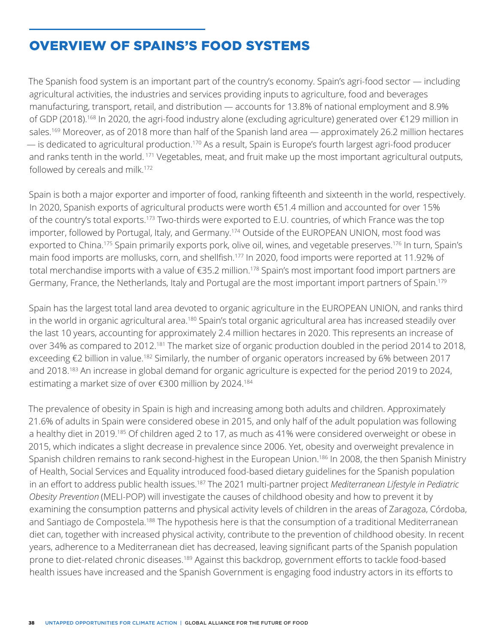# OVERVIEW OF SPAINS'S FOOD SYSTEMS

The Spanish food system is an important part of the country's economy. Spain's agri-food sector — including agricultural activities, the industries and services providing inputs to agriculture, food and beverages manufacturing, transport, retail, and distribution — accounts for 13.8% of national employment and 8.9% of GDP (2018).168 In 2020, the agri-food industry alone (excluding agriculture) generated over €129 million in sales.<sup>169</sup> Moreover, as of 2018 more than half of the Spanish land area — approximately 26.2 million hectares — is dedicated to agricultural production.170 As a result, Spain is Europe's fourth largest agri-food producer and ranks tenth in the world. 171 Vegetables, meat, and fruit make up the most important agricultural outputs, followed by cereals and milk.<sup>172</sup>

Spain is both a major exporter and importer of food, ranking fifteenth and sixteenth in the world, respectively. In 2020, Spanish exports of agricultural products were worth €51.4 million and accounted for over 15% of the country's total exports.173 Two-thirds were exported to E.U. countries, of which France was the top importer, followed by Portugal, Italy, and Germany.<sup>174</sup> Outside of the EUROPEAN UNION, most food was exported to China.<sup>175</sup> Spain primarily exports pork, olive oil, wines, and vegetable preserves.<sup>176</sup> In turn, Spain's main food imports are mollusks, corn, and shellfish.177 In 2020, food imports were reported at 11.92% of total merchandise imports with a value of €35.2 million.178 Spain's most important food import partners are Germany, France, the Netherlands, Italy and Portugal are the most important import partners of Spain.<sup>179</sup>

Spain has the largest total land area devoted to organic agriculture in the EUROPEAN UNION, and ranks third in the world in organic agricultural area.<sup>180</sup> Spain's total organic agricultural area has increased steadily over the last 10 years, accounting for approximately 2.4 million hectares in 2020. This represents an increase of over 34% as compared to 2012.<sup>181</sup> The market size of organic production doubled in the period 2014 to 2018, exceeding €2 billion in value.<sup>182</sup> Similarly, the number of organic operators increased by 6% between 2017 and 2018.<sup>183</sup> An increase in global demand for organic agriculture is expected for the period 2019 to 2024, estimating a market size of over €300 million by 2024.<sup>184</sup>

The prevalence of obesity in Spain is high and increasing among both adults and children. Approximately 21.6% of adults in Spain were considered obese in 2015, and only half of the adult population was following a healthy diet in 2019.185 Of children aged 2 to 17, as much as 41% were considered overweight or obese in 2015, which indicates a slight decrease in prevalence since 2006. Yet, obesity and overweight prevalence in Spanish children remains to rank second-highest in the European Union.186 In 2008, the then Spanish Ministry of Health, Social Services and Equality introduced food-based dietary guidelines for the Spanish population in an effort to address public health issues.187 The 2021 multi-partner project *Mediterranean Lifestyle in Pediatric Obesity Prevention* (MELI-POP) will investigate the causes of childhood obesity and how to prevent it by examining the consumption patterns and physical activity levels of children in the areas of Zaragoza, Córdoba, and Santiago de Compostela.<sup>188</sup> The hypothesis here is that the consumption of a traditional Mediterranean diet can, together with increased physical activity, contribute to the prevention of childhood obesity. In recent years, adherence to a Mediterranean diet has decreased, leaving significant parts of the Spanish population prone to diet-related chronic diseases.<sup>189</sup> Against this backdrop, government efforts to tackle food-based health issues have increased and the Spanish Government is engaging food industry actors in its efforts to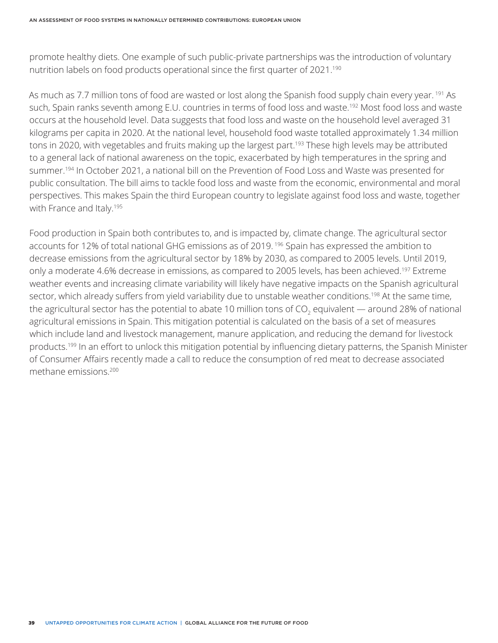promote healthy diets. One example of such public-private partnerships was the introduction of voluntary nutrition labels on food products operational since the first quarter of 2021.<sup>190</sup>

As much as 7.7 million tons of food are wasted or lost along the Spanish food supply chain every year. <sup>191</sup> As such, Spain ranks seventh among E.U. countries in terms of food loss and waste.<sup>192</sup> Most food loss and waste occurs at the household level. Data suggests that food loss and waste on the household level averaged 31 kilograms per capita in 2020. At the national level, household food waste totalled approximately 1.34 million tons in 2020, with vegetables and fruits making up the largest part.<sup>193</sup> These high levels may be attributed to a general lack of national awareness on the topic, exacerbated by high temperatures in the spring and summer.194 In October 2021, a national bill on the Prevention of Food Loss and Waste was presented for public consultation. The bill aims to tackle food loss and waste from the economic, environmental and moral perspectives. This makes Spain the third European country to legislate against food loss and waste, together with France and Italy.<sup>195</sup>

Food production in Spain both contributes to, and is impacted by, climate change. The agricultural sector accounts for 12% of total national GHG emissions as of 2019. 196 Spain has expressed the ambition to decrease emissions from the agricultural sector by 18% by 2030, as compared to 2005 levels. Until 2019, only a moderate 4.6% decrease in emissions, as compared to 2005 levels, has been achieved.<sup>197</sup> Extreme weather events and increasing climate variability will likely have negative impacts on the Spanish agricultural sector, which already suffers from yield variability due to unstable weather conditions.<sup>198</sup> At the same time, the agricultural sector has the potential to abate 10 million tons of CO<sub>2</sub> equivalent — around 28% of national agricultural emissions in Spain. This mitigation potential is calculated on the basis of a set of measures which include land and livestock management, manure application, and reducing the demand for livestock products.199 In an effort to unlock this mitigation potential by influencing dietary patterns, the Spanish Minister of Consumer Affairs recently made a call to reduce the consumption of red meat to decrease associated methane emissions.200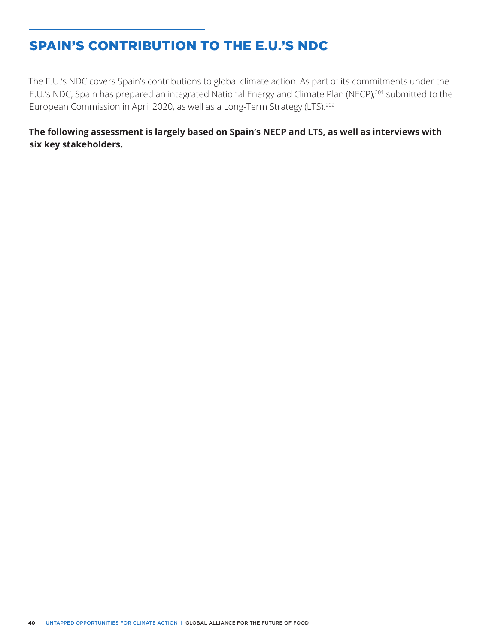# SPAIN'S CONTRIBUTION TO THE E.U.'S NDC

The E.U.'s NDC covers Spain's contributions to global climate action. As part of its commitments under the E.U.'s NDC, Spain has prepared an integrated National Energy and Climate Plan (NECP),<sup>201</sup> submitted to the European Commission in April 2020, as well as a Long-Term Strategy (LTS).202

**The following assessment is largely based on Spain's NECP and LTS, as well as interviews with six key stakeholders.**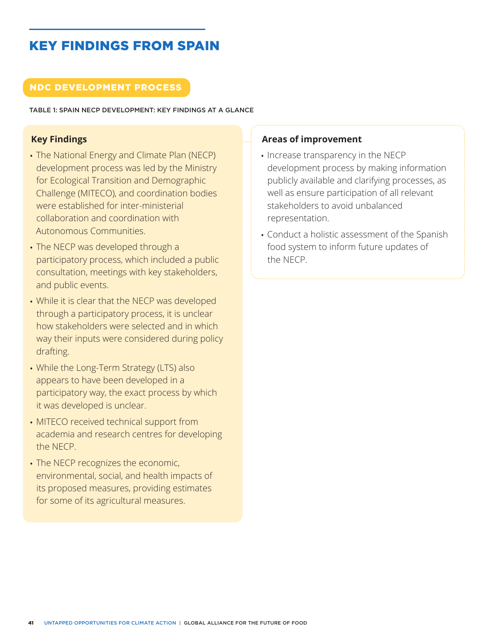# KEY FINDINGS FROM SPAIN

# NDC DEVELOPMENT PROCESS

TABLE 1: SPAIN NECP DEVELOPMENT: KEY FINDINGS AT A GLANCE

# **Key Findings**

- The National Energy and Climate Plan (NECP) development process was led by the Ministry for Ecological Transition and Demographic Challenge (MITECO), and coordination bodies were established for inter-ministerial collaboration and coordination with Autonomous Communities.
- The NECP was developed through a participatory process, which included a public consultation, meetings with key stakeholders, and public events.
- While it is clear that the NECP was developed through a participatory process, it is unclear how stakeholders were selected and in which way their inputs were considered during policy drafting.
- While the Long-Term Strategy (LTS) also appears to have been developed in a participatory way, the exact process by which it was developed is unclear.
- MITECO received technical support from academia and research centres for developing the NECP.
- The NECP recognizes the economic, environmental, social, and health impacts of its proposed measures, providing estimates for some of its agricultural measures.

## **Areas of improvement**

- Increase transparency in the NECP development process by making information publicly available and clarifying processes, as well as ensure participation of all relevant stakeholders to avoid unbalanced representation.
- Conduct a holistic assessment of the Spanish food system to inform future updates of the NECP.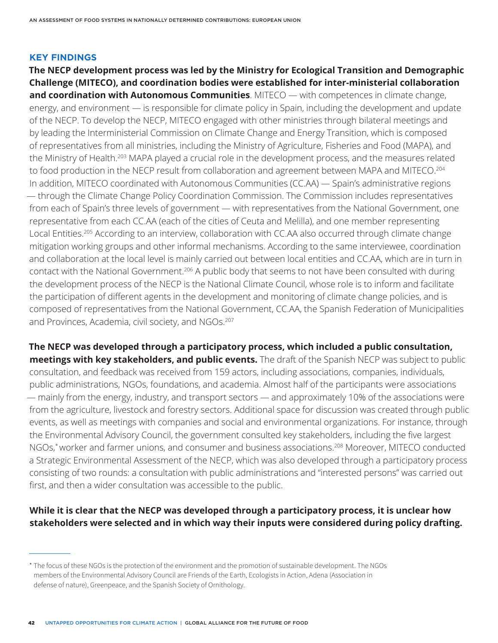#### **KEY FINDINGS**

**The NECP development process was led by the Ministry for Ecological Transition and Demographic Challenge (MITECO), and coordination bodies were established for inter-ministerial collaboration and coordination with Autonomous Communities**. MITECO — with competences in climate change, energy, and environment — is responsible for climate policy in Spain, including the development and update of the NECP. To develop the NECP, MITECO engaged with other ministries through bilateral meetings and by leading the Interministerial Commission on Climate Change and Energy Transition, which is composed of representatives from all ministries, including the Ministry of Agriculture, Fisheries and Food (MAPA), and the Ministry of Health.<sup>203</sup> MAPA played a crucial role in the development process, and the measures related to food production in the NECP result from collaboration and agreement between MAPA and MITECO.<sup>204</sup> In addition, MITECO coordinated with Autonomous Communities (CC.AA) — Spain's administrative regions — through the Climate Change Policy Coordination Commission. The Commission includes representatives from each of Spain's three levels of government — with representatives from the National Government, one representative from each CC.AA (each of the cities of Ceuta and Melilla), and one member representing Local Entities.<sup>205</sup> According to an interview, collaboration with CC.AA also occurred through climate change mitigation working groups and other informal mechanisms. According to the same interviewee, coordination and collaboration at the local level is mainly carried out between local entities and CC.AA, which are in turn in contact with the National Government.206 A public body that seems to not have been consulted with during the development process of the NECP is the National Climate Council, whose role is to inform and facilitate the participation of different agents in the development and monitoring of climate change policies, and is composed of representatives from the National Government, CC.AA, the Spanish Federation of Municipalities and Provinces, Academia, civil society, and NGOs.<sup>207</sup>

**The NECP was developed through a participatory process, which included a public consultation, meetings with key stakeholders, and public events.** The draft of the Spanish NECP was subject to public consultation, and feedback was received from 159 actors, including associations, companies, individuals, public administrations, NGOs, foundations, and academia. Almost half of the participants were associations — mainly from the energy, industry, and transport sectors — and approximately 10% of the associations were from the agriculture, livestock and forestry sectors. Additional space for discussion was created through public events, as well as meetings with companies and social and environmental organizations. For instance, through the Environmental Advisory Council, the government consulted key stakeholders, including the five largest NGOs,\* worker and farmer unions, and consumer and business associations.208 Moreover, MITECO conducted a Strategic Environmental Assessment of the NECP, which was also developed through a participatory process consisting of two rounds: a consultation with public administrations and "interested persons" was carried out first, and then a wider consultation was accessible to the public.

# **While it is clear that the NECP was developed through a participatory process, it is unclear how stakeholders were selected and in which way their inputs were considered during policy drafting.**

<sup>\*</sup> The focus of these NGOs is the protection of the environment and the promotion of sustainable development. The NGOs members of the Environmental Advisory Council are Friends of the Earth, Ecologists in Action, Adena (Association in defense of nature), Greenpeace, and the Spanish Society of Ornithology.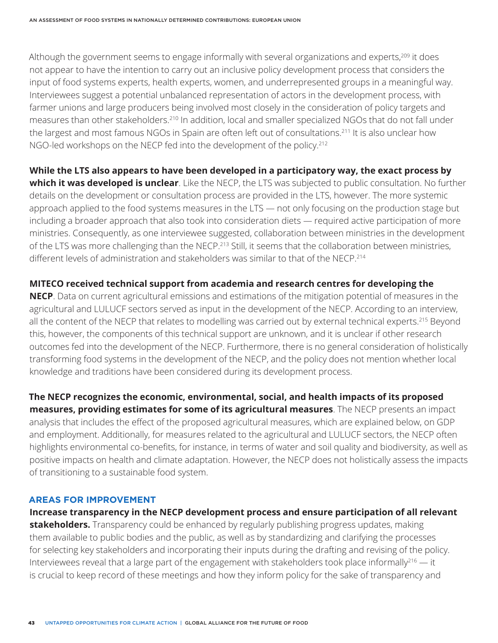Although the government seems to engage informally with several organizations and experts,<sup>209</sup> it does not appear to have the intention to carry out an inclusive policy development process that considers the input of food systems experts, health experts, women, and underrepresented groups in a meaningful way. Interviewees suggest a potential unbalanced representation of actors in the development process, with farmer unions and large producers being involved most closely in the consideration of policy targets and measures than other stakeholders.210 In addition, local and smaller specialized NGOs that do not fall under the largest and most famous NGOs in Spain are often left out of consultations.211 It is also unclear how NGO-led workshops on the NECP fed into the development of the policy.<sup>212</sup>

**While the LTS also appears to have been developed in a participatory way, the exact process by which it was developed is unclear**. Like the NECP, the LTS was subjected to public consultation. No further details on the development or consultation process are provided in the LTS, however. The more systemic approach applied to the food systems measures in the LTS — not only focusing on the production stage but including a broader approach that also took into consideration diets — required active participation of more ministries. Consequently, as one interviewee suggested, collaboration between ministries in the development of the LTS was more challenging than the NECP.<sup>213</sup> Still, it seems that the collaboration between ministries, different levels of administration and stakeholders was similar to that of the NECP.214

#### **MITECO received technical support from academia and research centres for developing the**

**NECP**. Data on current agricultural emissions and estimations of the mitigation potential of measures in the agricultural and LULUCF sectors served as input in the development of the NECP. According to an interview, all the content of the NECP that relates to modelling was carried out by external technical experts.<sup>215</sup> Beyond this, however, the components of this technical support are unknown, and it is unclear if other research outcomes fed into the development of the NECP. Furthermore, there is no general consideration of holistically transforming food systems in the development of the NECP, and the policy does not mention whether local knowledge and traditions have been considered during its development process.

**The NECP recognizes the economic, environmental, social, and health impacts of its proposed measures, providing estimates for some of its agricultural measures**. The NECP presents an impact analysis that includes the effect of the proposed agricultural measures, which are explained below, on GDP and employment. Additionally, for measures related to the agricultural and LULUCF sectors, the NECP often highlights environmental co-benefits, for instance, in terms of water and soil quality and biodiversity, as well as positive impacts on health and climate adaptation. However, the NECP does not holistically assess the impacts of transitioning to a sustainable food system.

#### **AREAS FOR IMPROVEMENT**

**Increase transparency in the NECP development process and ensure participation of all relevant stakeholders.** Transparency could be enhanced by regularly publishing progress updates, making them available to public bodies and the public, as well as by standardizing and clarifying the processes for selecting key stakeholders and incorporating their inputs during the drafting and revising of the policy. Interviewees reveal that a large part of the engagement with stakeholders took place informally<sup>216</sup>  $-$  it is crucial to keep record of these meetings and how they inform policy for the sake of transparency and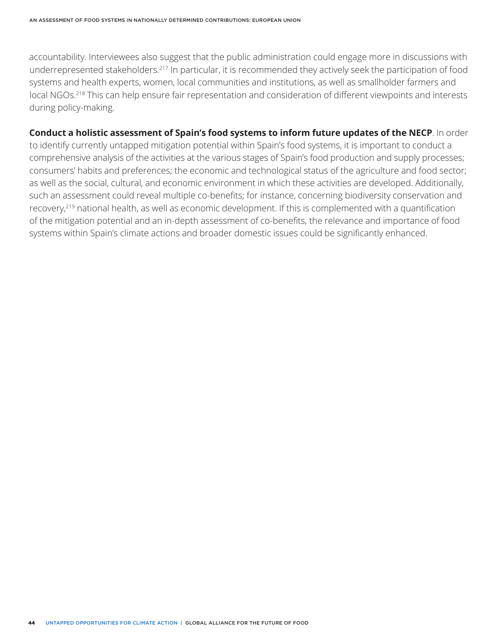accountability. Interviewees also suggest that the public administration could engage more in discussions with underrepresented stakeholders.217 In particular, it is recommended they actively seek the participation of food systems and health experts, women, local communities and institutions, as well as smallholder farmers and local NGOs.218 This can help ensure fair representation and consideration of different viewpoints and interests during policy-making.

**Conduct a holistic assessment of Spain's food systems to inform future updates of the NECP**. In order to identify currently untapped mitigation potential within Spain's food systems, it is important to conduct a comprehensive analysis of the activities at the various stages of Spain's food production and supply processes; consumers' habits and preferences; the economic and technological status of the agriculture and food sector; as well as the social, cultural, and economic environment in which these activities are developed. Additionally, such an assessment could reveal multiple co-benefits; for instance, concerning biodiversity conservation and recovery,219 national health, as well as economic development. If this is complemented with a quantification of the mitigation potential and an in-depth assessment of co-benefits, the relevance and importance of food systems within Spain's climate actions and broader domestic issues could be significantly enhanced.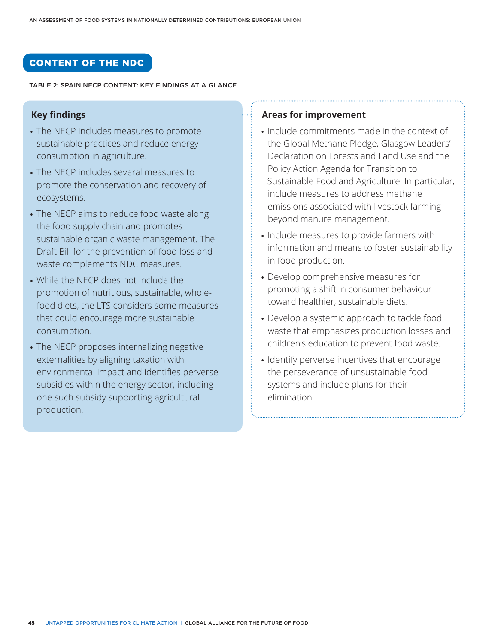# CONTENT OF THE NDC

#### TABLE 2: SPAIN NECP CONTENT: KEY FINDINGS AT A GLANCE

# **Key findings**

- The NECP includes measures to promote sustainable practices and reduce energy consumption in agriculture.
- The NECP includes several measures to promote the conservation and recovery of ecosystems.
- The NECP aims to reduce food waste along the food supply chain and promotes sustainable organic waste management. The Draft Bill for the prevention of food loss and waste complements NDC measures.
- While the NECP does not include the promotion of nutritious, sustainable, wholefood diets, the LTS considers some measures that could encourage more sustainable consumption.
- The NECP proposes internalizing negative externalities by aligning taxation with environmental impact and identifies perverse subsidies within the energy sector, including one such subsidy supporting agricultural production.

#### **Areas for improvement**

- Include commitments made in the context of the Global Methane Pledge, Glasgow Leaders' Declaration on Forests and Land Use and the Policy Action Agenda for Transition to Sustainable Food and Agriculture. In particular, include measures to address methane emissions associated with livestock farming beyond manure management.
- Include measures to provide farmers with information and means to foster sustainability in food production.
- Develop comprehensive measures for promoting a shift in consumer behaviour toward healthier, sustainable diets.
- Develop a systemic approach to tackle food waste that emphasizes production losses and children's education to prevent food waste.
- Identify perverse incentives that encourage the perseverance of unsustainable food systems and include plans for their elimination.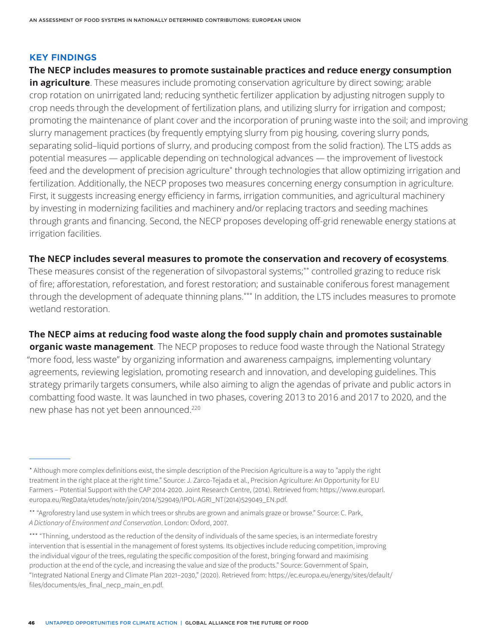#### **KEY FINDINGS**

### **The NECP includes measures to promote sustainable practices and reduce energy consumption**

**in agriculture**. These measures include promoting conservation agriculture by direct sowing; arable crop rotation on unirrigated land; reducing synthetic fertilizer application by adjusting nitrogen supply to crop needs through the development of fertilization plans, and utilizing slurry for irrigation and compost; promoting the maintenance of plant cover and the incorporation of pruning waste into the soil; and improving slurry management practices (by frequently emptying slurry from pig housing, covering slurry ponds, separating solid–liquid portions of slurry, and producing compost from the solid fraction). The LTS adds as potential measures — applicable depending on technological advances — the improvement of livestock feed and the development of precision agriculture\* through technologies that allow optimizing irrigation and fertilization. Additionally, the NECP proposes two measures concerning energy consumption in agriculture. First, it suggests increasing energy efficiency in farms, irrigation communities, and agricultural machinery by investing in modernizing facilities and machinery and/or replacing tractors and seeding machines through grants and financing. Second, the NECP proposes developing off-grid renewable energy stations at irrigation facilities.

#### **The NECP includes several measures to promote the conservation and recovery of ecosystems**.

These measures consist of the regeneration of silvopastoral systems;\*\* controlled grazing to reduce risk of fire; afforestation, reforestation, and forest restoration; and sustainable coniferous forest management through the development of adequate thinning plans.\*\*\* In addition, the LTS includes measures to promote wetland restoration.

# **The NECP aims at reducing food waste along the food supply chain and promotes sustainable**

**organic waste management**. The NECP proposes to reduce food waste through the National Strategy "more food, less waste" by organizing information and awareness campaigns, implementing voluntary agreements, reviewing legislation, promoting research and innovation, and developing guidelines. This strategy primarily targets consumers, while also aiming to align the agendas of private and public actors in combatting food waste. It was launched in two phases, covering 2013 to 2016 and 2017 to 2020, and the new phase has not yet been announced.<sup>220</sup>

<sup>\*</sup> Although more complex definitions exist, the simple description of the Precision Agriculture is a way to "apply the right treatment in the right place at the right time." Source: J. Zarco-Tejada et al., Precision Agriculture: An Opportunity for EU Farmers – Potential Support with the CAP 2014-2020. Joint Research Centre, (2014). Retrieved from: https://www.europarl. europa.eu/RegData/etudes/note/join/2014/529049/IPOL-AGRI\_NT(2014)529049\_EN.pdf.

<sup>\*\* &</sup>quot;Agroforestry land use system in which trees or shrubs are grown and animals graze or browse." Source: C. Park, *A Dictionary of Environment and Conservation*. London: Oxford, 2007.

<sup>\*\*\* &</sup>quot;Thinning, understood as the reduction of the density of individuals of the same species, is an intermediate forestry intervention that is essential in the management of forest systems. Its objectives include reducing competition, improving the individual vigour of the trees, regulating the specific composition of the forest, bringing forward and maximising production at the end of the cycle, and increasing the value and size of the products." Source: Government of Spain, "Integrated National Energy and Climate Plan 2021–2030," (2020). Retrieved from: https://ec.europa.eu/energy/sites/default/ files/documents/es\_final\_necp\_main\_en.pdf.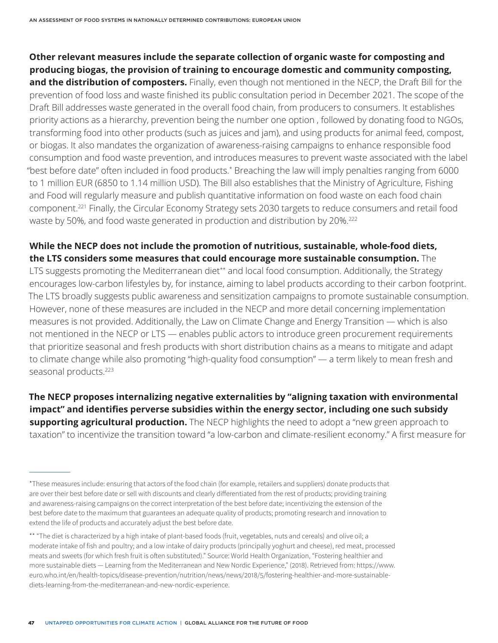**Other relevant measures include the separate collection of organic waste for composting and producing biogas, the provision of training to encourage domestic and community composting,**  and the distribution of composters. Finally, even though not mentioned in the NECP, the Draft Bill for the prevention of food loss and waste finished its public consultation period in December 2021. The scope of the Draft Bill addresses waste generated in the overall food chain, from producers to consumers. It establishes priority actions as a hierarchy, prevention being the number one option , followed by donating food to NGOs, transforming food into other products (such as juices and jam), and using products for animal feed, compost, or biogas. It also mandates the organization of awareness-raising campaigns to enhance responsible food consumption and food waste prevention, and introduces measures to prevent waste associated with the label "best before date" often included in food products.\* Breaching the law will imply penalties ranging from 6000 to 1 million EUR (6850 to 1.14 million USD). The Bill also establishes that the Ministry of Agriculture, Fishing and Food will regularly measure and publish quantitative information on food waste on each food chain component.221 Finally, the Circular Economy Strategy sets 2030 targets to reduce consumers and retail food waste by 50%, and food waste generated in production and distribution by 20%.<sup>222</sup>

# **While the NECP does not include the promotion of nutritious, sustainable, whole-food diets, the LTS considers some measures that could encourage more sustainable consumption.** The

LTS suggests promoting the Mediterranean diet<sup>\*\*</sup> and local food consumption. Additionally, the Strategy encourages low-carbon lifestyles by, for instance, aiming to label products according to their carbon footprint. The LTS broadly suggests public awareness and sensitization campaigns to promote sustainable consumption. However, none of these measures are included in the NECP and more detail concerning implementation measures is not provided. Additionally, the Law on Climate Change and Energy Transition — which is also not mentioned in the NECP or LTS — enables public actors to introduce green procurement requirements that prioritize seasonal and fresh products with short distribution chains as a means to mitigate and adapt to climate change while also promoting "high-quality food consumption" — a term likely to mean fresh and seasonal products.<sup>223</sup>

**The NECP proposes internalizing negative externalities by "aligning taxation with environmental impact" and identifies perverse subsidies within the energy sector, including one such subsidy supporting agricultural production.** The NECP highlights the need to adopt a "new green approach to taxation" to incentivize the transition toward "a low-carbon and climate-resilient economy." A first measure for

<sup>\*</sup>These measures include: ensuring that actors of the food chain (for example, retailers and suppliers) donate products that are over their best before date or sell with discounts and clearly differentiated from the rest of products; providing training and awareness-raising campaigns on the correct interpretation of the best before date; incentivizing the extension of the best before date to the maximum that guarantees an adequate quality of products; promoting research and innovation to extend the life of products and accurately adjust the best before date.

<sup>\*\* &</sup>quot;The diet is characterized by a high intake of plant-based foods (fruit, vegetables, nuts and cereals) and olive oil; a moderate intake of fish and poultry; and a low intake of dairy products (principally yoghurt and cheese), red meat, processed meats and sweets (for which fresh fruit is often substituted)." Source: World Health Organization, "Fostering healthier and more sustainable diets — Learning from the Mediterranean and New Nordic Experience," (2018). Retrieved from: https://www. euro.who.int/en/health-topics/disease-prevention/nutrition/news/news/2018/5/fostering-healthier-and-more-sustainablediets-learning-from-the-mediterranean-and-new-nordic-experience.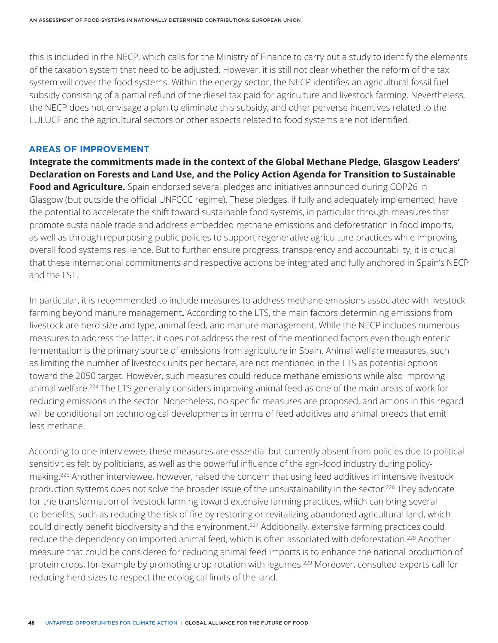this is included in the NECP, which calls for the Ministry of Finance to carry out a study to identify the elements of the taxation system that need to be adjusted. However, it is still not clear whether the reform of the tax system will cover the food systems. Within the energy sector, the NECP identifies an agricultural fossil fuel subsidy consisting of a partial refund of the diesel tax paid for agriculture and livestock farming. Nevertheless, the NECP does not envisage a plan to eliminate this subsidy, and other perverse incentives related to the LULUCF and the agricultural sectors or other aspects related to food systems are not identified.

#### **AREAS OF IMPROVEMENT**

**Integrate the commitments made in the context of the Global Methane Pledge, Glasgow Leaders' Declaration on Forests and Land Use, and the Policy Action Agenda for Transition to Sustainable Food and Agriculture.** Spain endorsed several pledges and initiatives announced during COP26 in Glasgow (but outside the official UNFCCC regime). These pledges, if fully and adequately implemented, have the potential to accelerate the shift toward sustainable food systems, in particular through measures that promote sustainable trade and address embedded methane emissions and deforestation in food imports, as well as through repurposing public policies to support regenerative agriculture practices while improving overall food systems resilience. But to further ensure progress, transparency and accountability, it is crucial that these international commitments and respective actions be integrated and fully anchored in Spain's NECP and the LST.

In particular, it is recommended to include measures to address methane emissions associated with livestock farming beyond manure management**.** According to the LTS, the main factors determining emissions from livestock are herd size and type, animal feed, and manure management. While the NECP includes numerous measures to address the latter, it does not address the rest of the mentioned factors even though enteric fermentation is the primary source of emissions from agriculture in Spain. Animal welfare measures, such as limiting the number of livestock units per hectare, are not mentioned in the LTS as potential options toward the 2050 target. However, such measures could reduce methane emissions while also improving animal welfare.<sup>224</sup> The LTS generally considers improving animal feed as one of the main areas of work for reducing emissions in the sector. Nonetheless, no specific measures are proposed, and actions in this regard will be conditional on technological developments in terms of feed additives and animal breeds that emit less methane.

According to one interviewee, these measures are essential but currently absent from policies due to political sensitivities felt by politicians, as well as the powerful influence of the agri-food industry during policymaking.225 Another interviewee, however, raised the concern that using feed additives in intensive livestock production systems does not solve the broader issue of the unsustainability in the sector.<sup>226</sup> They advocate for the transformation of livestock farming toward extensive farming practices, which can bring several co-benefits, such as reducing the risk of fire by restoring or revitalizing abandoned agricultural land, which could directly benefit biodiversity and the environment.<sup>227</sup> Additionally, extensive farming practices could reduce the dependency on imported animal feed, which is often associated with deforestation.<sup>228</sup> Another measure that could be considered for reducing animal feed imports is to enhance the national production of protein crops, for example by promoting crop rotation with legumes.<sup>229</sup> Moreover, consulted experts call for reducing herd sizes to respect the ecological limits of the land.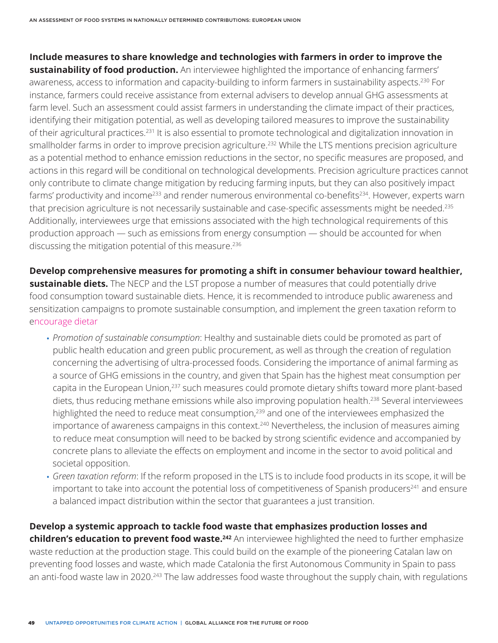# **Include measures to share knowledge and technologies with farmers in order to improve the**

**sustainability of food production.** An interviewee highlighted the importance of enhancing farmers' awareness, access to information and capacity-building to inform farmers in sustainability aspects.<sup>230</sup> For instance, farmers could receive assistance from external advisers to develop annual GHG assessments at farm level. Such an assessment could assist farmers in understanding the climate impact of their practices, identifying their mitigation potential, as well as developing tailored measures to improve the sustainability of their agricultural practices.231 It is also essential to promote technological and digitalization innovation in smallholder farms in order to improve precision agriculture.<sup>232</sup> While the LTS mentions precision agriculture as a potential method to enhance emission reductions in the sector, no specific measures are proposed, and actions in this regard will be conditional on technological developments. Precision agriculture practices cannot only contribute to climate change mitigation by reducing farming inputs, but they can also positively impact farms' productivity and income<sup>233</sup> and render numerous environmental co-benefits<sup>234</sup>. However, experts warn that precision agriculture is not necessarily sustainable and case-specific assessments might be needed.<sup>235</sup> Additionally, interviewees urge that emissions associated with the high technological requirements of this production approach — such as emissions from energy consumption — should be accounted for when discussing the mitigation potential of this measure.<sup>236</sup>

**Develop comprehensive measures for promoting a shift in consumer behaviour toward healthier, sustainable diets.** The NECP and the LST propose a number of measures that could potentially drive food consumption toward sustainable diets. Hence, it is recommended to introduce public awareness and sensitization campaigns to promote sustainable consumption, and implement the green taxation reform to encourage dietar

- *Promotion of sustainable consumption*: Healthy and sustainable diets could be promoted as part of public health education and green public procurement, as well as through the creation of regulation concerning the advertising of ultra-processed foods. Considering the importance of animal farming as a source of GHG emissions in the country, and given that Spain has the highest meat consumption per capita in the European Union,<sup>237</sup> such measures could promote dietary shifts toward more plant-based diets, thus reducing methane emissions while also improving population health.<sup>238</sup> Several interviewees highlighted the need to reduce meat consumption,<sup>239</sup> and one of the interviewees emphasized the importance of awareness campaigns in this context.<sup>240</sup> Nevertheless, the inclusion of measures aiming to reduce meat consumption will need to be backed by strong scientific evidence and accompanied by concrete plans to alleviate the effects on employment and income in the sector to avoid political and societal opposition.
- *Green taxation reform*: If the reform proposed in the LTS is to include food products in its scope, it will be important to take into account the potential loss of competitiveness of Spanish producers<sup>241</sup> and ensure a balanced impact distribution within the sector that guarantees a just transition.

#### **Develop a systemic approach to tackle food waste that emphasizes production losses and**

**children's education to prevent food waste.<sup>242</sup> An interviewee highlighted the need to further emphasize** waste reduction at the production stage. This could build on the example of the pioneering Catalan law on preventing food losses and waste, which made Catalonia the first Autonomous Community in Spain to pass an anti-food waste law in 2020.<sup>243</sup> The law addresses food waste throughout the supply chain, with regulations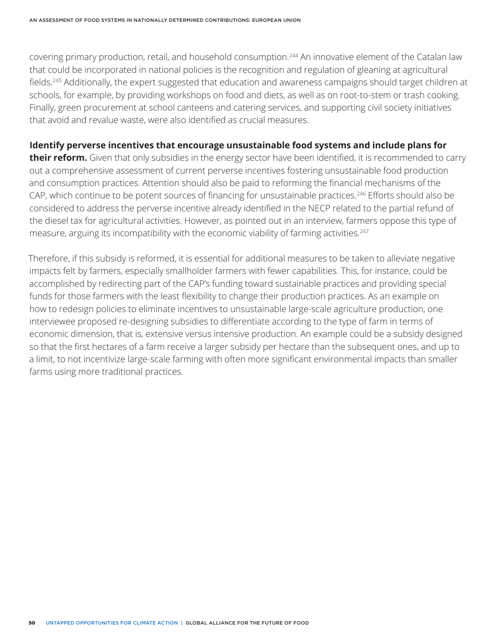covering primary production, retail, and household consumption.244 An innovative element of the Catalan law that could be incorporated in national policies is the recognition and regulation of gleaning at agricultural fields.245 Additionally, the expert suggested that education and awareness campaigns should target children at schools, for example, by providing workshops on food and diets, as well as on root-to-stem or trash cooking. Finally, green procurement at school canteens and catering services, and supporting civil society initiatives that avoid and revalue waste, were also identified as crucial measures.

### **Identify perverse incentives that encourage unsustainable food systems and include plans for**

**their reform.** Given that only subsidies in the energy sector have been identified, it is recommended to carry out a comprehensive assessment of current perverse incentives fostering unsustainable food production and consumption practices. Attention should also be paid to reforming the financial mechanisms of the CAP, which continue to be potent sources of financing for unsustainable practices.<sup>246</sup> Efforts should also be considered to address the perverse incentive already identified in the NECP related to the partial refund of the diesel tax for agricultural activities. However, as pointed out in an interview, farmers oppose this type of measure, arguing its incompatibility with the economic viability of farming activities.<sup>247</sup>

Therefore, if this subsidy is reformed, it is essential for additional measures to be taken to alleviate negative impacts felt by farmers, especially smallholder farmers with fewer capabilities. This, for instance, could be accomplished by redirecting part of the CAP's funding toward sustainable practices and providing special funds for those farmers with the least flexibility to change their production practices. As an example on how to redesign policies to eliminate incentives to unsustainable large-scale agriculture production, one interviewee proposed re-designing subsidies to differentiate according to the type of farm in terms of economic dimension, that is, extensive versus intensive production. An example could be a subsidy designed so that the first hectares of a farm receive a larger subsidy per hectare than the subsequent ones, and up to a limit, to not incentivize large-scale farming with often more significant environmental impacts than smaller farms using more traditional practices.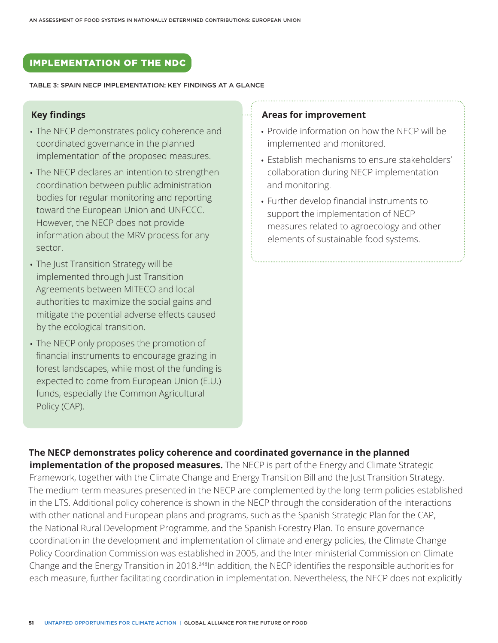# IMPLEMENTATION OF THE NDC

#### TABLE 3: SPAIN NECP IMPLEMENTATION: KEY FINDINGS AT A GLANCE

#### **Key findings**

- The NECP demonstrates policy coherence and coordinated governance in the planned implementation of the proposed measures.
- The NECP declares an intention to strengthen coordination between public administration bodies for regular monitoring and reporting toward the European Union and UNFCCC. However, the NECP does not provide information about the MRV process for any sector.
- The Just Transition Strategy will be implemented through Just Transition Agreements between MITECO and local authorities to maximize the social gains and mitigate the potential adverse effects caused by the ecological transition.
- The NECP only proposes the promotion of financial instruments to encourage grazing in forest landscapes, while most of the funding is expected to come from European Union (E.U.) funds, especially the Common Agricultural Policy (CAP).

#### **Areas for improvement**

- Provide information on how the NECP will be implemented and monitored.
- Establish mechanisms to ensure stakeholders' collaboration during NECP implementation and monitoring.
- Further develop financial instruments to support the implementation of NECP measures related to agroecology and other elements of sustainable food systems.

### **The NECP demonstrates policy coherence and coordinated governance in the planned**

**implementation of the proposed measures.** The NECP is part of the Energy and Climate Strategic Framework, together with the Climate Change and Energy Transition Bill and the Just Transition Strategy. The medium-term measures presented in the NECP are complemented by the long-term policies established in the LTS. Additional policy coherence is shown in the NECP through the consideration of the interactions with other national and European plans and programs, such as the Spanish Strategic Plan for the CAP, the National Rural Development Programme, and the Spanish Forestry Plan. To ensure governance coordination in the development and implementation of climate and energy policies, the Climate Change Policy Coordination Commission was established in 2005, and the Inter-ministerial Commission on Climate Change and the Energy Transition in 2018.<sup>248</sup>In addition, the NECP identifies the responsible authorities for each measure, further facilitating coordination in implementation. Nevertheless, the NECP does not explicitly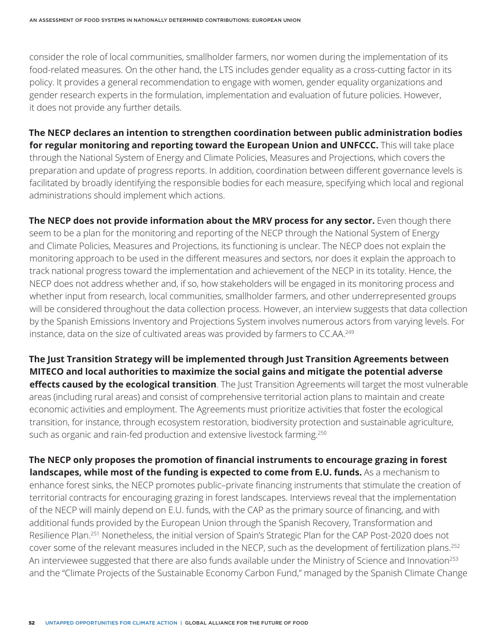consider the role of local communities, smallholder farmers, nor women during the implementation of its food-related measures. On the other hand, the LTS includes gender equality as a cross-cutting factor in its policy. It provides a general recommendation to engage with women, gender equality organizations and gender research experts in the formulation, implementation and evaluation of future policies. However, it does not provide any further details.

**The NECP declares an intention to strengthen coordination between public administration bodies for regular monitoring and reporting toward the European Union and UNFCCC.** This will take place through the National System of Energy and Climate Policies, Measures and Projections, which covers the preparation and update of progress reports. In addition, coordination between different governance levels is facilitated by broadly identifying the responsible bodies for each measure, specifying which local and regional administrations should implement which actions.

**The NECP does not provide information about the MRV process for any sector.** Even though there seem to be a plan for the monitoring and reporting of the NECP through the National System of Energy and Climate Policies, Measures and Projections, its functioning is unclear. The NECP does not explain the monitoring approach to be used in the different measures and sectors, nor does it explain the approach to track national progress toward the implementation and achievement of the NECP in its totality. Hence, the NECP does not address whether and, if so, how stakeholders will be engaged in its monitoring process and whether input from research, local communities, smallholder farmers, and other underrepresented groups will be considered throughout the data collection process. However, an interview suggests that data collection by the Spanish Emissions Inventory and Projections System involves numerous actors from varying levels. For instance, data on the size of cultivated areas was provided by farmers to CC.AA.<sup>249</sup>

**The Just Transition Strategy will be implemented through Just Transition Agreements between MITECO and local authorities to maximize the social gains and mitigate the potential adverse effects caused by the ecological transition**. The Just Transition Agreements will target the most vulnerable areas (including rural areas) and consist of comprehensive territorial action plans to maintain and create economic activities and employment. The Agreements must prioritize activities that foster the ecological transition, for instance, through ecosystem restoration, biodiversity protection and sustainable agriculture, such as organic and rain-fed production and extensive livestock farming.<sup>250</sup>

**The NECP only proposes the promotion of financial instruments to encourage grazing in forest landscapes, while most of the funding is expected to come from E.U. funds.** As a mechanism to enhance forest sinks, the NECP promotes public–private financing instruments that stimulate the creation of territorial contracts for encouraging grazing in forest landscapes. Interviews reveal that the implementation of the NECP will mainly depend on E.U. funds, with the CAP as the primary source of financing, and with additional funds provided by the European Union through the Spanish Recovery, Transformation and Resilience Plan.251 Nonetheless, the initial version of Spain's Strategic Plan for the CAP Post-2020 does not cover some of the relevant measures included in the NECP, such as the development of fertilization plans.252 An interviewee suggested that there are also funds available under the Ministry of Science and Innovation<sup>253</sup> and the "Climate Projects of the Sustainable Economy Carbon Fund," managed by the Spanish Climate Change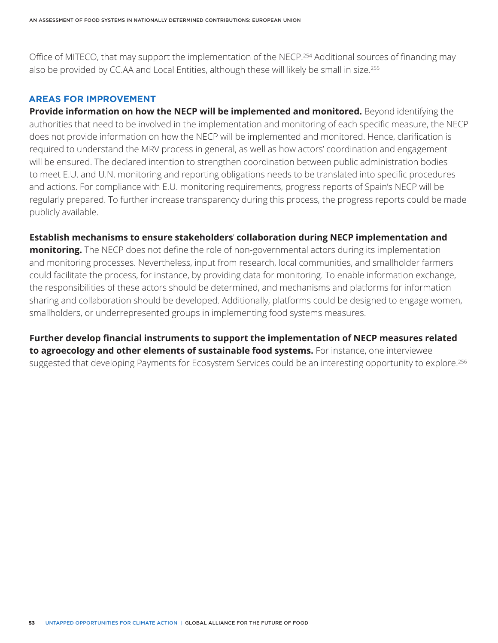Office of MITECO, that may support the implementation of the NECP.254 Additional sources of financing may also be provided by CC.AA and Local Entities, although these will likely be small in size.<sup>255</sup>

#### **AREAS FOR IMPROVEMENT**

**Provide information on how the NECP will be implemented and monitored.** Beyond identifying the authorities that need to be involved in the implementation and monitoring of each specific measure, the NECP does not provide information on how the NECP will be implemented and monitored. Hence, clarification is required to understand the MRV process in general, as well as how actors' coordination and engagement will be ensured. The declared intention to strengthen coordination between public administration bodies to meet E.U. and U.N. monitoring and reporting obligations needs to be translated into specific procedures and actions. For compliance with E.U. monitoring requirements, progress reports of Spain's NECP will be regularly prepared. To further increase transparency during this process, the progress reports could be made publicly available.

#### **Establish mechanisms to ensure stakeholders**' **collaboration during NECP implementation and**

**monitoring.** The NECP does not define the role of non-governmental actors during its implementation and monitoring processes. Nevertheless, input from research, local communities, and smallholder farmers could facilitate the process, for instance, by providing data for monitoring. To enable information exchange, the responsibilities of these actors should be determined, and mechanisms and platforms for information sharing and collaboration should be developed. Additionally, platforms could be designed to engage women, smallholders, or underrepresented groups in implementing food systems measures.

**Further develop financial instruments to support the implementation of NECP measures related to agroecology and other elements of sustainable food systems.** For instance, one interviewee suggested that developing Payments for Ecosystem Services could be an interesting opportunity to explore.<sup>256</sup>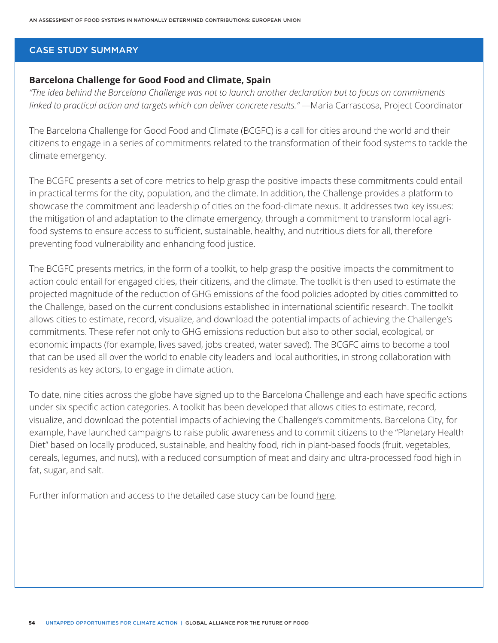#### CASE STUDY SUMMARY

## **Barcelona Challenge for Good Food and Climate, Spain**

*"The idea behind the Barcelona Challenge was not to launch another declaration but to focus on commitments linked to practical action and targets which can deliver concrete results."* —Maria Carrascosa, Project Coordinator

The Barcelona Challenge for Good Food and Climate (BCGFC) is a call for cities around the world and their citizens to engage in a series of commitments related to the transformation of their food systems to tackle the climate emergency.

The BCGFC presents a set of core metrics to help grasp the positive impacts these commitments could entail in practical terms for the city, population, and the climate. In addition, the Challenge provides a platform to showcase the commitment and leadership of cities on the food-climate nexus. It addresses two key issues: the mitigation of and adaptation to the climate emergency, through a commitment to transform local agrifood systems to ensure access to sufficient, sustainable, healthy, and nutritious diets for all, therefore preventing food vulnerability and enhancing food justice.

The BCGFC presents metrics, in the form of a toolkit, to help grasp the positive impacts the commitment to action could entail for engaged cities, their citizens, and the climate. The toolkit is then used to estimate the projected magnitude of the reduction of GHG emissions of the food policies adopted by cities committed to the Challenge, based on the current conclusions established in international scientific research. The toolkit allows cities to estimate, record, visualize, and download the potential impacts of achieving the Challenge's commitments. These refer not only to GHG emissions reduction but also to other social, ecological, or economic impacts (for example, lives saved, jobs created, water saved). The BCGFC aims to become a tool that can be used all over the world to enable city leaders and local authorities, in strong collaboration with residents as key actors, to engage in climate action.

To date, nine cities across the globe have signed up to the Barcelona Challenge and each have specific actions under six specific action categories. A toolkit has been developed that allows cities to estimate, record, visualize, and download the potential impacts of achieving the Challenge's commitments. Barcelona City, for example, have launched campaigns to raise public awareness and to commit citizens to the "Planetary Health Diet" based on locally produced, sustainable, and healthy food, rich in plant-based foods (fruit, vegetables, cereals, legumes, and nuts), with a reduced consumption of meat and dairy and ultra-processed food high in fat, sugar, and salt.

Further information and access to the detailed case study can be found [here.](http://futureoffood.org/wp-content/uploads/2022/03/stories-of-action-from-14-countries.pdf)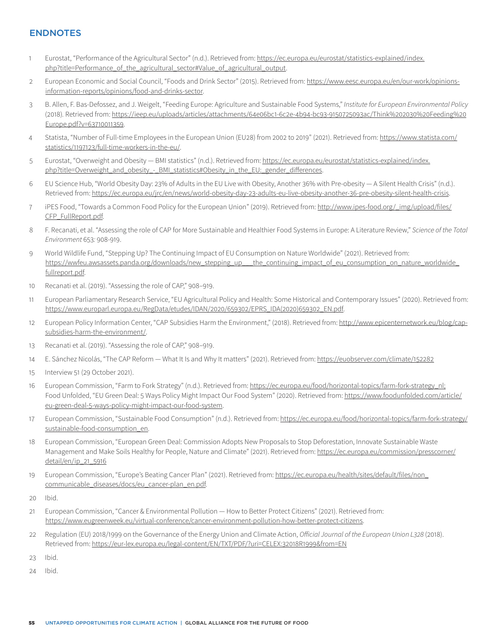#### ENDNOTES

- 1 Eurostat, "Performance of the Agricultural Sector" (n.d.). Retrieved from: https://ec.europa.eu/eurostat/statistics-explained/index. php?title=Performance\_of\_the\_agricultural\_sector#Value\_of\_agricultural\_output.
- 2 European Economic and Social Council, "Foods and Drink Sector" (2015). Retrieved from: [https://www.eesc.europa.eu/en/our-work/opinions](https://www.eesc.europa.eu/en/our-work/opinions-information-reports/opinions/food-and-drinks-sector)[information-reports/opinions/food-and-drinks-sector](https://www.eesc.europa.eu/en/our-work/opinions-information-reports/opinions/food-and-drinks-sector).
- 3 B. Allen, F. Bas-Defossez, and J. Weigelt, "Feeding Europe: Agriculture and Sustainable Food Systems," *Institute for European Environmental Policy*  (2018)*.* Retrieved from: [https://ieep.eu/uploads/articles/attachments/64e06bc1-6c2e-4b94-bc93-9150725093ac/Think%202030%20Feeding%20](https://ieep.eu/uploads/articles/attachments/64e06bc1-6c2e-4b94-bc93-9150725093ac/Think%202030%20Feeding%20Europe.pdf?v=63710011359) [Europe.pdf?v=63710011359.](https://ieep.eu/uploads/articles/attachments/64e06bc1-6c2e-4b94-bc93-9150725093ac/Think%202030%20Feeding%20Europe.pdf?v=63710011359)
- 4 Statista, "Number of Full-time Employees in the European Union (EU28) from 2002 to 2019" (2021). Retrieved from: [https://www.statista.com/](https://www.statista.com/statistics/1197123/full-time-workers-in-the-eu/) [statistics/1197123/full-time-workers-in-the-eu/](https://www.statista.com/statistics/1197123/full-time-workers-in-the-eu/).
- 5 Eurostat, "Overweight and Obesity BMI statistics" (n.d.). Retrieved from: https://ec.europa.eu/eurostat/statistics-explained/index. php?title=Overweight\_and\_obesity\_-\_BMI\_statistics#Obesity\_in\_the\_EU:\_gender\_differences.
- 6 EU Science Hub, "World Obesity Day: 23% of Adults in the EU Live with Obesity, Another 36% with Pre-obesity A Silent Health Crisis" (n.d.). Retrieved from: [https://ec.europa.eu/jrc/en/news/world-obesity-day-23-adults-eu-live-obesity-another-36-pre-obesity-silent-health-crisis.](https://ec.europa.eu/jrc/en/news/world-obesity-day-23-adults-eu-live-obesity-another-36-pre-obesity-silent-health-crisis)
- 7 iPES Food, "Towards a Common Food Policy for the European Union" (2019). Retrieved from: [http://www.ipes-food.org/\\_img/upload/files/](http://www.ipes-food.org/_img/upload/files/CFP_FullReport.pdf) [CFP\\_FullReport.pdf](http://www.ipes-food.org/_img/upload/files/CFP_FullReport.pdf).
- 8 F. Recanati, et al. "Assessing the role of CAP for More Sustainable and Healthier Food Systems in Europe: A Literature Review," *Science of the Total Environment* 653*:* 908-919.
- 9 World Wildlife Fund, "Stepping Up? The Continuing Impact of EU Consumption on Nature Worldwide" (2021). Retrieved from: [https://wwfeu.awsassets.panda.org/downloads/new\\_stepping\\_up\\_\\_\\_the\\_continuing\\_impact\\_of\\_eu\\_consumption\\_on\\_nature\\_worldwide\\_](https://wwfeu.awsassets.panda.org/downloads/new_stepping_up___the_continuing_impact_of_eu_consumption_on_nature_worldwide_fullreport.pdf) [fullreport.pdf.](https://wwfeu.awsassets.panda.org/downloads/new_stepping_up___the_continuing_impact_of_eu_consumption_on_nature_worldwide_fullreport.pdf)
- 10 Recanati et al. (2019). "Assessing the role of CAP," 908–919.
- 11 European Parliamentary Research Service, "EU Agricultural Policy and Health: Some Historical and Contemporary Issues" (2020). Retrieved from: [https://www.europarl.europa.eu/RegData/etudes/IDAN/2020/659302/EPRS\\_IDA\(2020\)659302\\_EN.pdf](https://www.europarl.europa.eu/RegData/etudes/IDAN/2020/659302/EPRS_IDA(2020)659302_EN.pdf).
- 12 European Policy Information Center, "CAP Subsidies Harm the Environment," (2018). Retrieved from: [http://www.epicenternetwork.eu/blog/cap](http://www.epicenternetwork.eu/blog/cap-subsidies-harm-the-environment/)[subsidies-harm-the-environment/](http://www.epicenternetwork.eu/blog/cap-subsidies-harm-the-environment/).
- 13 Recanati et al. (2019). "Assessing the role of CAP," 908–919.
- 14 E. Sánchez Nicolás, "The CAP Reform What It Is and Why It matters" (2021). Retrieved from:<https://euobserver.com/climate/152282>
- 15 Interview 51 (29 October 2021).
- 16 European Commission, "Farm to Fork Strategy" (n.d.). Retrieved from: [https://ec.europa.eu/food/horizontal-topics/farm-fork-strategy\\_nl](https://ec.europa.eu/food/horizontal-topics/farm-fork-strategy_nl); Food Unfolded, "EU Green Deal: 5 Ways Policy Might Impact Our Food System" (2020). Retrieved from: [https://www.foodunfolded.com/article/](https://www.foodunfolded.com/article/eu-green-deal-5-ways-policy-might-impact-our-food-system) [eu-green-deal-5-ways-policy-might-impact-our-food-system.](https://www.foodunfolded.com/article/eu-green-deal-5-ways-policy-might-impact-our-food-system)
- 17 European Commission, "Sustainable Food Consumption" (n.d.). Retrieved from: [https://ec.europa.eu/food/horizontal-topics/farm-fork-strategy/](https://ec.europa.eu/food/horizontal-topics/farm-fork-strategy/sustainable-food-consumption_en) [sustainable-food-consumption\\_en.](https://ec.europa.eu/food/horizontal-topics/farm-fork-strategy/sustainable-food-consumption_en)
- 18 European Commission, "European Green Deal: Commission Adopts New Proposals to Stop Deforestation, Innovate Sustainable Waste Management and Make Soils Healthy for People, Nature and Climate" (2021). Retrieved from: [https://ec.europa.eu/commission/presscorner/](https://ec.europa.eu/commission/presscorner/detail/en/ip_21_5916) [detail/en/ip\\_21\\_5916](https://ec.europa.eu/commission/presscorner/detail/en/ip_21_5916)
- 19 European Commission, "Europe's Beating Cancer Plan" (2021). Retrieved from: https://ec.europa.eu/health/sites/default/files/non [communicable\\_diseases/docs/eu\\_cancer-plan\\_en.pdf](https://ec.europa.eu/health/sites/default/files/non_communicable_diseases/docs/eu_cancer-plan_en.pdf).
- 20 Ibid.
- 21 European Commission, "Cancer & Environmental Pollution How to Better Protect Citizens" (2021). Retrieved from: <https://www.eugreenweek.eu/virtual-conference/cancer-environment-pollution-how-better-protect-citizens>.
- 22 Regulation (EU) 2018/1999 on the Governance of the Energy Union and Climate Action, *Official Journal of the European Union L328* (2018). Retrieved from:<https://eur-lex.europa.eu/legal-content/EN/TXT/PDF/?uri=CELEX:32018R1999&from=EN>
- 23 Ibid.

24 Ibid.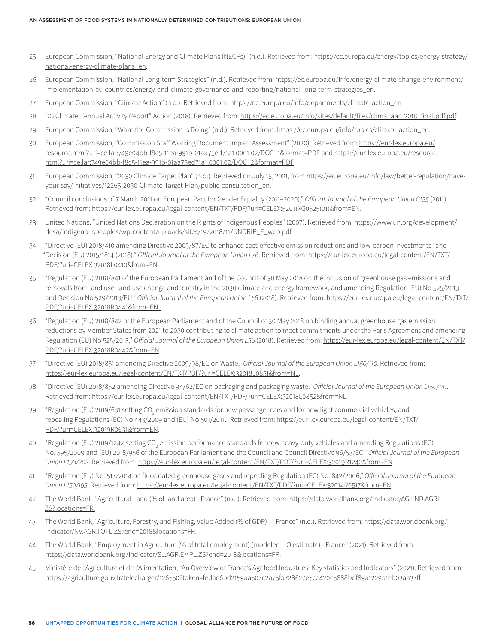- 25 European Commission, "National Energy and Climate Plans (NECPs)" (n.d.). Retrieved from: [https://ec.europa.eu/energy/topics/energy-strategy/](https://ec.europa.eu/energy/topics/energy-strategy/national-energy-climate-plans_en) [national-energy-climate-plans\\_en](https://ec.europa.eu/energy/topics/energy-strategy/national-energy-climate-plans_en).
- 26 European Commission, "National Long-term Strategies" (n.d.). Retrieved from: [https://ec.europa.eu/info/energy-climate-change-environment/](https://ec.europa.eu/info/energy-climate-change-environment/implementation-eu-countries/energy-and-climate-governance-and-reporting/national-long-term-strategies_en) [implementation-eu-countries/energy-and-climate-governance-and-reporting/national-long-term-strategies\\_en.](https://ec.europa.eu/info/energy-climate-change-environment/implementation-eu-countries/energy-and-climate-governance-and-reporting/national-long-term-strategies_en)
- 27 European Commission, "Climate Action" (n.d.). Retrieved from: [https://ec.europa.eu/info/departments/climate-action\\_en](https://ec.europa.eu/info/departments/climate-action_en)
- 28 DG Climate, "Annual Activity Report" Action (2018). Retrieved from: [https://ec.europa.eu/info/sites/default/files/clima\\_aar\\_2018\\_final.pdf.pdf](https://ec.europa.eu/info/sites/default/files/clima_aar_2018_final.pdf.pdf).
- 29 European Commission, "What the Commission Is Doing" (n.d.). Retrieved from: [https://ec.europa.eu/info/topics/climate-action\\_en](https://ec.europa.eu/info/topics/climate-action_en).
- 30 European Commission, "Commission Staff Working Document Impact Assessment" (2020). Retrieved from: [https://eur-lex.europa.eu/](https://eur-lex.europa.eu/resource.html?uri=cellar:749e04bb-f8c5-11ea-991b-01aa75ed71a1.0001.02/DOC_1&format=PDF) [resource.html?uri=cellar:749e04bb-f8c5-11ea-991b-01aa75ed71a1.0001.02/DOC\\_1&format=PDF](https://eur-lex.europa.eu/resource.html?uri=cellar:749e04bb-f8c5-11ea-991b-01aa75ed71a1.0001.02/DOC_1&format=PDF) and [https://eur-lex.europa.eu/resource.](https://eur-lex.europa.eu/resource.html?uri=cellar:749e04bb-f8c5-11ea-991b-01aa75ed71a1.0001.02/DOC_2&format=PDF) [html?uri=cellar:749e04bb-f8c5-11ea-991b-01aa75ed71a1.0001.02/DOC\\_2&format=PDF](https://eur-lex.europa.eu/resource.html?uri=cellar:749e04bb-f8c5-11ea-991b-01aa75ed71a1.0001.02/DOC_2&format=PDF)
- 31 European Commission, "2030 Climate Target Plan" (n.d.). Retrieved on July 15, 2021, from [https://ec.europa.eu/info/law/better-regulation/have](https://ec.europa.eu/info/law/better-regulation/have-your-say/initiatives/12265-2030-Climate-Target-Plan/public-consultation_en)[your-say/initiatives/12265-2030-Climate-Target-Plan/public-consultation\\_en.](https://ec.europa.eu/info/law/better-regulation/have-your-say/initiatives/12265-2030-Climate-Target-Plan/public-consultation_en)
- 32 "Council conclusions of 7 March 2011 on European Pact for Gender Equality (2011–2020)," *Official Journal of the European Union C155* (2011). Retrieved from: [https://eur-lex.europa.eu/legal-content/EN/TXT/PDF/?uri=CELEX:52011XG0525\(01\)&from=EN.](https://eur-lex.europa.eu/legal-content/EN/TXT/PDF/?uri=CELEX:52011XG0525(01)&from=EN)
- 33 United Nations, "United Nations Declaration on the Rights of Indigenous Peoples" (2007). Retrieved from: [https://www.un.org/development/](https://www.un.org/development/desa/indigenouspeoples/wp-content/uploads/sites/19/2018/11/UNDRIP_E_web.pdf) [desa/indigenouspeoples/wp-content/uploads/sites/19/2018/11/UNDRIP\\_E\\_web.pdf](https://www.un.org/development/desa/indigenouspeoples/wp-content/uploads/sites/19/2018/11/UNDRIP_E_web.pdf)
- 34 "Directive (EU) 2018/410 amending Directive 2003/87/EC to enhance cost-effective emission reductions and low-carbon investments" and "Decision (EU) 2015/1814 (2018)," *Official Journal of the European Union L76*. Retrieved from: [https://eur-lex.europa.eu/legal-content/EN/TXT/](https://eur-lex.europa.eu/legal-content/EN/TXT/PDF/?uri=CELEX:32018L0410&from=EN) [PDF/?uri=CELEX:32018L0410&from=EN](https://eur-lex.europa.eu/legal-content/EN/TXT/PDF/?uri=CELEX:32018L0410&from=EN)
- 35 "Regulation (EU) 2018/841 of the European Parliament and of the Council of 30 May 2018 on the inclusion of greenhouse gas emissions and removals from land use, land use change and forestry in the 2030 climate and energy framework, and amending Regulation (EU) No 525/2013 and Decision No 529/2013/EU," *Official Journal of the European Union L56* (2018). Retrieved from: [https://eur-lex.europa.eu/legal-content/EN/TXT/](https://eur-lex.europa.eu/legal-content/EN/TXT/PDF/?uri=CELEX:32018R0841&from=EN) [PDF/?uri=CELEX:32018R0841&from=EN.](https://eur-lex.europa.eu/legal-content/EN/TXT/PDF/?uri=CELEX:32018R0841&from=EN)
- 36 "Regulation (EU) 2018/842 of the European Parliament and of the Council of 30 May 2018 on binding annual greenhouse gas emission reductions by Member States from 2021 to 2030 contributing to climate action to meet commitments under the Paris Agreement and amending Regulation (EU) No 525/2013," *Official Journal of the European Union L56* (2018). Retrieved from: [https://eur-lex.europa.eu/legal-content/EN/TXT/](https://eur-lex.europa.eu/legal-content/EN/TXT/PDF/?uri=CELEX:32018R0842&from=EN) [PDF/?uri=CELEX:32018R0842&from=EN.](https://eur-lex.europa.eu/legal-content/EN/TXT/PDF/?uri=CELEX:32018R0842&from=EN)
- 37 "Directive (EU) 2018/851 amending Directive 2009/98/EC on Waste," *Official Journal of the European Union L150/110.* Retrieved from: <https://eur-lex.europa.eu/legal-content/EN/TXT/PDF/?uri=CELEX:32018L0851&from=NL>.
- 38 "Directive (EU) 2018/852 amending Directive 94/62/EC on packaging and packaging waste," *Official Journal of the European Union L150/141.*  Retrieved from: [https://eur-lex.europa.eu/legal-content/EN/TXT/PDF/?uri=CELEX:32018L0852&from=NL.](https://eur-lex.europa.eu/legal-content/EN/TXT/PDF/?uri=CELEX:32018L0852&from=NL)
- 39 "Regulation (EU) 2019/631 setting CO<sub>2</sub> emission standards for new passenger cars and for new light commercial vehicles, and repealing Regulations (EC) No 443/2009 and (EU) No 501/2011." Retrieved from: [https://eur-lex.europa.eu/legal-content/EN/TXT/](https://eur-lex.europa.eu/legal-content/EN/TXT/PDF/?uri=CELEX:32019R0631&from=EN) [PDF/?uri=CELEX:32019R0631&from=EN](https://eur-lex.europa.eu/legal-content/EN/TXT/PDF/?uri=CELEX:32019R0631&from=EN).
- 40 "Regulation (EU) 2019/1242 setting CO<sub>2</sub> emission performance standards fer new heavy-duty vehicles and amending Regulations (EC) No. 595/2009 and (EU) 2018/956 of the European Parliament and the Council and Council Directive 96/53/EC," *Official Journal of the European Union L198/202.* Retrieved from: [https://eur-lex.europa.eu/legal-content/EN/TXT/PDF/?uri=CELEX:32019R1242&from=EN.](https://eur-lex.europa.eu/legal-content/EN/TXT/PDF/?uri=CELEX:32019R1242&from=EN)
- 41 "Regulation (EU) No. 517/2014 on fluorinated greenhouse gases and repealing Regulation (EC) No. 842/2006," *Official Journal of the European Union L150/195.* Retrieved from: [https://eur-lex.europa.eu/legal-content/EN/TXT/PDF/?uri=CELEX:32014R0517&from=EN.](https://eur-lex.europa.eu/legal-content/EN/TXT/PDF/?uri=CELEX:32014R0517&from=EN)
- 42 The World Bank, "Agricultural Land (% of land area) France" (n.d.). Retrieved from: [https://data.worldbank.org/indicator/AG.LND.AGRI.](https://data.worldbank.org/indicator/AG.LND.AGRI.ZS?locations=FR) [ZS?locations=FR](https://data.worldbank.org/indicator/AG.LND.AGRI.ZS?locations=FR).
- 43 The World Bank, "Agriculture, Forestry, and Fishing, Value Added (% of GDP) France" (n.d.). Retrieved from: [https://data.worldbank.org/](https://data.worldbank.org/indicator/NV.AGR.TOTL.ZS?end=2018&locations=FR) [indicator/NV.AGR.TOTL.ZS?end=2018&locations=FR.](https://data.worldbank.org/indicator/NV.AGR.TOTL.ZS?end=2018&locations=FR)
- 44 The World Bank, "Employment in Agriculture (% of total employment) (modeled ILO estimate) France" (2021). Retrieved from: [https://data.worldbank.org/indicator/SL.AGR.EMPL.ZS?end=2018&locations=FR.](https://data.worldbank.org/indicator/SL.AGR.EMPL.ZS?end=2018&locations=FR)
- 45 Ministère de l'Agriculture et de l'Alimentation, "An Overview of France's Agrifood Industries: Key statistics and Indicators" (2021). Retrieved from: [https://agriculture.gouv.fr/telecharger/126550?token=fedae6bd2159aa507c2a75fa728627e5ce420c5888bdf89a1229a1eb03aa37ff.](https://agriculture.gouv.fr/telecharger/126550?token=fedae6bd2159aa507c2a75fa728627e5ce420c5888bdf89a1229a1eb03aa37ff)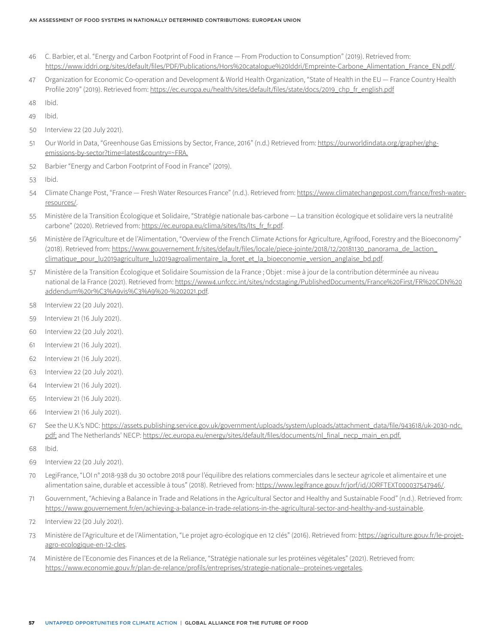- 46 C. Barbier, et al. "Energy and Carbon Footprint of Food in France From Production to Consumption" (2019). Retrieved from: [https://www.iddri.org/sites/default/files/PDF/Publications/Hors%20catalogue%20Iddri/Empreinte-Carbone\\_Alimentation\\_France\\_EN.pdf/](https://www.iddri.org/sites/default/files/PDF/Publications/Hors%20catalogue%20Iddri/Empreinte-Carbone_Alimentation_France_EN.pdf).
- 47 Organization for Economic Co-operation and Development & World Health Organization, "State of Health in the EU France Country Health Profile 2019" (2019). Retrieved from: [https://ec.europa.eu/health/sites/default/files/state/docs/2019\\_chp\\_fr\\_english.pdf](https://ec.europa.eu/health/sites/default/files/state/docs/2019_chp_fr_english.pdf)
- 48 Ibid.
- 49 Ibid.
- 50 Interview 22 (20 July 2021).
- 51 Our World in Data, "Greenhouse Gas Emissions by Sector, France, 2016" (n.d.) Retrieved from: [https://ourworldindata.org/grapher/ghg](https://ourworldindata.org/grapher/ghg-emissions-by-sector?time=latest&country=~FRA)[emissions-by-sector?time=latest&country=~FRA](https://ourworldindata.org/grapher/ghg-emissions-by-sector?time=latest&country=~FRA).
- 52 Barbier "Energy and Carbon Footprint of Food in France" (2019).
- 53 Ibid.
- 54 Climate Change Post, "France Fresh Water Resources France" (n.d.). Retrieved from: [https://www.climatechangepost.com/france/fresh-water](https://www.climatechangepost.com/france/fresh-water-resources/)[resources/.](https://www.climatechangepost.com/france/fresh-water-resources/)
- 55 Ministère de la Transition Écologique et Solidaire, "Stratégie nationale bas-carbone La transition écologique et solidaire vers la neutralité carbone" (2020). Retrieved from: [https://ec.europa.eu/clima/sites/lts/lts\\_fr\\_fr.pdf](https://ec.europa.eu/clima/sites/lts/lts_fr_fr.pdf).
- 56 Ministère de l'Agriculture et de l'Alimentation, "Overview of the French Climate Actions for Agriculture, Agrifood, Forestry and the Bioeconomy" (2018). Retrieved from: [https://www.gouvernement.fr/sites/default/files/locale/piece-jointe/2018/12/20181130\\_panorama\\_de\\_laction\\_](https://www.gouvernement.fr/sites/default/files/locale/piece-jointe/2018/12/20181130_panorama_de_laction_climatique_pour_lu2019agriculture_lu2019agroalimentaire_la_foret_et_la_bioeconomie_version_anglaise_bd.pdf) [climatique\\_pour\\_lu2019agriculture\\_lu2019agroalimentaire\\_la\\_foret\\_et\\_la\\_bioeconomie\\_version\\_anglaise\\_bd.pdf](https://www.gouvernement.fr/sites/default/files/locale/piece-jointe/2018/12/20181130_panorama_de_laction_climatique_pour_lu2019agriculture_lu2019agroalimentaire_la_foret_et_la_bioeconomie_version_anglaise_bd.pdf).
- 57 Ministère de la Transition Écologique et Solidaire Soumission de la France ; Objet : mise à jour de la contribution déterminée au niveau national de la France (2021). Retrieved from: [https://www4.unfccc.int/sites/ndcstaging/PublishedDocuments/France%20First/FR%20CDN%20](https://www4.unfccc.int/sites/ndcstaging/PublishedDocuments/France%20First/FR%20CDN%20addendum%20r%C3%A9vis%C3%A9%20-%202021.pdf) [addendum%20r%C3%A9vis%C3%A9%20-%202021.pdf.](https://www4.unfccc.int/sites/ndcstaging/PublishedDocuments/France%20First/FR%20CDN%20addendum%20r%C3%A9vis%C3%A9%20-%202021.pdf)
- 58 Interview 22 (20 July 2021).
- 59 Interview 21 (16 July 2021).
- 60 Interview 22 (20 July 2021).
- 61 Interview 21 (16 July 2021).
- 62 Interview 21 (16 July 2021).
- 63 Interview 22 (20 July 2021).
- 64 Interview 21 (16 July 2021).
- 65 Interview 21 (16 July 2021).
- 66 Interview 21 (16 July 2021).
- 67 See the U.K.'s NDC: [https://assets.publishing.service.gov.uk/government/uploads/system/uploads/attachment\\_data/file/943618/uk-2030-ndc.](https://assets.publishing.service.gov.uk/government/uploads/system/uploads/attachment_data/file/943618/uk-2030-ndc.pdf) [pdf;](https://assets.publishing.service.gov.uk/government/uploads/system/uploads/attachment_data/file/943618/uk-2030-ndc.pdf) and The Netherlands' NECP: [https://ec.europa.eu/energy/sites/default/files/documents/nl\\_final\\_necp\\_main\\_en.pdf](https://ec.europa.eu/energy/sites/default/files/documents/nl_final_necp_main_en.pdf).
- 68 Ibid.
- 69 Interview 22 (20 July 2021).
- 70 LegiFrance, "LOI n° 2018-938 du 30 octobre 2018 pour l'équilibre des relations commerciales dans le secteur agricole et alimentaire et une alimentation saine, durable et accessible à tous" (2018). Retrieved from: [https://www.legifrance.gouv.fr/jorf/id/JORFTEXT000037547946/.](https://www.legifrance.gouv.fr/jorf/id/JORFTEXT000037547946/)
- 71 Gouvernment, "Achieving a Balance in Trade and Relations in the Agricultural Sector and Healthy and Sustainable Food" (n.d.). Retrieved from: <https://www.gouvernement.fr/en/achieving-a-balance-in-trade-relations-in-the-agricultural-sector-and-healthy-and-sustainable>.
- 72 Interview 22 (20 July 2021).
- 73 Ministère de l'Agriculture et de l'Alimentation, "Le projet agro-écologique en 12 clés" (2016). Retrieved from: [https://agriculture.gouv.fr/le-projet](https://agriculture.gouv.fr/le-projet-agro-ecologique-en-12-cles)[agro-ecologique-en-12-cles](https://agriculture.gouv.fr/le-projet-agro-ecologique-en-12-cles).
- 74 Ministère de l'Economie des Finances et de la Reliance, "Stratégie nationale sur les protéines végétales" (2021). Retrieved from: [https://www.economie.gouv.fr/plan-de-relance/profils/entreprises/strategie-nationale--proteines-vegetales.](https://www.economie.gouv.fr/plan-de-relance/profils/entreprises/strategie-nationale--proteines-vegetales)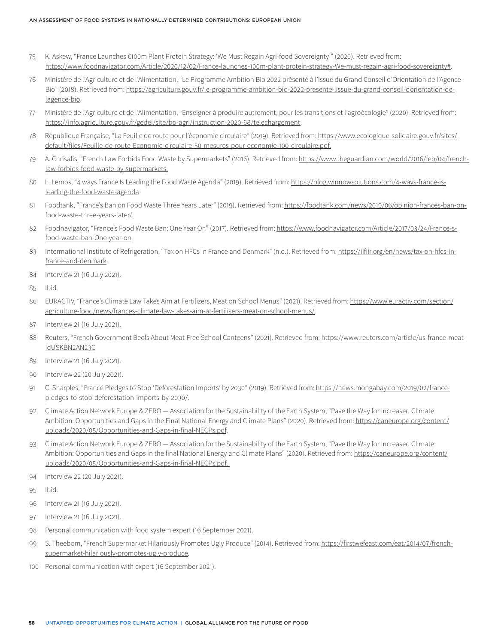- 75 K. Askew, "France Launches €100m Plant Protein Strategy: 'We Must Regain Agri-food Sovereignty'" (2020). Retrieved from: [https://www.foodnavigator.com/Article/2020/12/02/France-launches-100m-plant-protein-strategy-We-must-regain-agri-food-sovereignty#](https://www.foodnavigator.com/Article/2020/12/02/France-launches-100m-plant-protein-strategy-We-must-regain-agri-food-sovereignty).
- 76 Ministère de l'Agriculture et de l'Alimentation, "Le Programme Ambition Bio 2022 présenté à l'issue du Grand Conseil d'Orientation de l'Agence Bio" (2018). Retrieved from: [https://agriculture.gouv.fr/le-programme-ambition-bio-2022-presente-lissue-du-grand-conseil-dorientation-de](https://agriculture.gouv.fr/le-programme-ambition-bio-2022-presente-lissue-du-grand-conseil-dorientation-de-lagence-bio)[lagence-bio.](https://agriculture.gouv.fr/le-programme-ambition-bio-2022-presente-lissue-du-grand-conseil-dorientation-de-lagence-bio)
- 77 Ministère de l'Agriculture et de l'Alimentation, "Enseigner à produire autrement, pour les transitions et l'agroécologie" (2020). Retrieved from: <https://info.agriculture.gouv.fr/gedei/site/bo-agri/instruction-2020-68/telechargement>.
- 78 République Française, "La Feuille de route pour l'économie circulaire" (2019). Retrieved from: [https://www.ecologique-solidaire.gouv.fr/sites/](https://www.ecologique-solidaire.gouv.fr/sites/default/files/Feuille-de-route-Economie-circulaire-50-mesures-pour-economie-100-circulaire.pdf) [default/files/Feuille-de-route-Economie-circulaire-50-mesures-pour-economie-100-circulaire.pdf](https://www.ecologique-solidaire.gouv.fr/sites/default/files/Feuille-de-route-Economie-circulaire-50-mesures-pour-economie-100-circulaire.pdf).
- 79 A. Chrisafis, "French Law Forbids Food Waste by Supermarkets" (2016). Retrieved from: [https://www.theguardian.com/world/2016/feb/04/french](https://www.theguardian.com/world/2016/feb/04/french-law-forbids-food-waste-by-supermarkets)[law-forbids-food-waste-by-supermarkets](https://www.theguardian.com/world/2016/feb/04/french-law-forbids-food-waste-by-supermarkets).
- 80 L. Lemos, "4 ways France Is Leading the Food Waste Agenda" (2019). Retrieved from: [https://blog.winnowsolutions.com/4-ways-france-is](https://blog.winnowsolutions.com/4-ways-france-is-leading-the-food-waste-agenda)[leading-the-food-waste-agenda.](https://blog.winnowsolutions.com/4-ways-france-is-leading-the-food-waste-agenda)
- 81 Foodtank, "France's Ban on Food Waste Three Years Later" (2019). Retrieved from: [https://foodtank.com/news/2019/06/opinion-frances-ban-on](https://foodtank.com/news/2019/06/opinion-frances-ban-on-food-waste-three-years-later/)[food-waste-three-years-later/](https://foodtank.com/news/2019/06/opinion-frances-ban-on-food-waste-three-years-later/).
- 82 Foodnavigator, "France's Food Waste Ban: One Year On" (2017). Retrieved from: [https://www.foodnavigator.com/Article/2017/03/24/France-s](https://www.foodnavigator.com/Article/2017/03/24/France-s-food-waste-ban-One-year-on)[food-waste-ban-One-year-on.](https://www.foodnavigator.com/Article/2017/03/24/France-s-food-waste-ban-One-year-on)
- 83 Intermational Institute of Refrigeration, "Tax on HFCs in France and Denmark" (n.d.). Retrieved from: [https://iifiir.org/en/news/tax-on-hfcs-in](https://iifiir.org/en/news/tax-on-hfcs-in-france-and-denmark)[france-and-denmark](https://iifiir.org/en/news/tax-on-hfcs-in-france-and-denmark).
- 84 Interview 21 (16 July 2021).
- 85 Ibid.
- 86 EURACTIV, "France's Climate Law Takes Aim at Fertilizers, Meat on School Menus" (2021). Retrieved from: [https://www.euractiv.com/section/](https://www.euractiv.com/section/agriculture-food/news/frances-climate-law-takes-aim-at-fertilisers-meat-on-school-menus/) [agriculture-food/news/frances-climate-law-takes-aim-at-fertilisers-meat-on-school-menus/.](https://www.euractiv.com/section/agriculture-food/news/frances-climate-law-takes-aim-at-fertilisers-meat-on-school-menus/)
- 87 Interview 21 (16 July 2021).
- 88 Reuters, "French Government Beefs About Meat-Free School Canteens" (2021). Retrieved from: [https://www.reuters.com/article/us-france-meat](https://www.reuters.com/article/us-france-meat-idUSKBN2AN23C)[idUSKBN2AN23C](https://www.reuters.com/article/us-france-meat-idUSKBN2AN23C)
- 89 Interview 21 (16 July 2021).
- 90 Interview 22 (20 July 2021).
- 91 C. Sharples, "France Pledges to Stop 'Deforestation Imports' by 2030" (2019). Retrieved from: [https://news.mongabay.com/2019/02/france](https://news.mongabay.com/2019/02/france-pledges-to-stop-deforestation-imports-by-2030/)[pledges-to-stop-deforestation-imports-by-2030/.](https://news.mongabay.com/2019/02/france-pledges-to-stop-deforestation-imports-by-2030/)
- 92 Climate Action Network Europe & ZERO Association for the Sustainability of the Earth System, "Pave the Way for Increased Climate Ambition: Opportunities and Gaps in the Final National Energy and Climate Plans" (2020). Retrieved from: [https://caneurope.org/content/](https://caneurope.org/content/uploads/2020/05/Opportunities-and-Gaps-in-final-NECPs.pdf) [uploads/2020/05/Opportunities-and-Gaps-in-final-NECPs.pdf](https://caneurope.org/content/uploads/2020/05/Opportunities-and-Gaps-in-final-NECPs.pdf).
- 93 Climate Action Network Europe & ZERO Association for the Sustainability of the Earth System, "Pave the Way for Increased Climate Ambition: Opportunities and Gaps in the final National Energy and Climate Plans" (2020). Retrieved from: [https://caneurope.org/content/](https://caneurope.org/content/uploads/2020/05/Opportunities-and-Gaps-in-final-NECPs.pdf) [uploads/2020/05/Opportunities-and-Gaps-in-final-NECPs.pdf](https://caneurope.org/content/uploads/2020/05/Opportunities-and-Gaps-in-final-NECPs.pdf).
- 94 Interview 22 (20 July 2021).

95 Ibid.

- 96 Interview 21 (16 July 2021).
- 97 Interview 21 (16 July 2021).
- 98 Personal communication with food system expert (16 September 2021).
- 99 S. Theebom, "French Supermarket Hilariously Promotes Ugly Produce" (2014). Retrieved from: [https://firstwefeast.com/eat/2014/07/french](https://firstwefeast.com/eat/2014/07/french-supermarket-hilariously-promotes-ugly-produce)[supermarket-hilariously-promotes-ugly-produce](https://firstwefeast.com/eat/2014/07/french-supermarket-hilariously-promotes-ugly-produce).
- 100 Personal communication with expert (16 September 2021).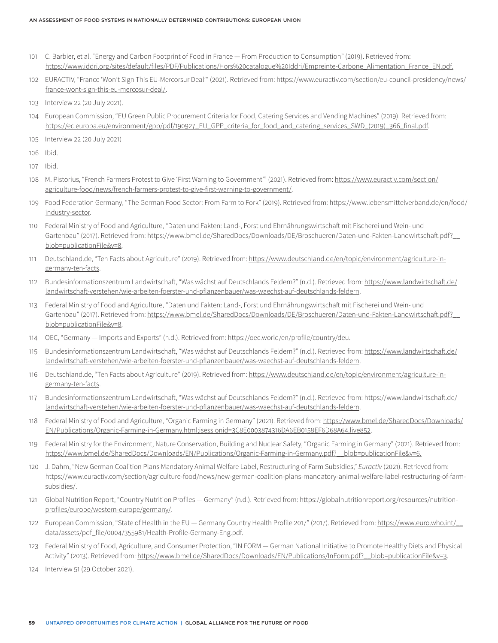- 101 C. Barbier, et al. "Energy and Carbon Footprint of Food in France From Production to Consumption" (2019). Retrieved from: [https://www.iddri.org/sites/default/files/PDF/Publications/Hors%20catalogue%20Iddri/Empreinte-Carbone\\_Alimentation\\_France\\_EN.pdf.](https://www.iddri.org/sites/default/files/PDF/Publications/Hors%20catalogue%20Iddri/Empreinte-Carbone_Alimentation_France_EN.pdf)
- 102 EURACTIV, "France 'Won't Sign This EU-Mercorsur Deal'" (2021). Retrieved from: [https://www.euractiv.com/section/eu-council-presidency/news/](https://www.euractiv.com/section/eu-council-presidency/news/france-wont-sign-this-eu-mercosur-deal/) [france-wont-sign-this-eu-mercosur-deal/.](https://www.euractiv.com/section/eu-council-presidency/news/france-wont-sign-this-eu-mercosur-deal/)
- 103 Interview 22 (20 July 2021).
- 104 European Commission, "EU Green Public Procurement Criteria for Food, Catering Services and Vending Machines" (2019). Retrieved from: [https://ec.europa.eu/environment/gpp/pdf/190927\\_EU\\_GPP\\_criteria\\_for\\_food\\_and\\_catering\\_services\\_SWD\\_\(2019\)\\_366\\_final.pdf](https://ec.europa.eu/environment/gpp/pdf/190927_EU_GPP_criteria_for_food_and_catering_services_SWD_(2019)_366_final.pdf).
- 105 Interview 22 (20 July 2021)
- 106 Ibid.
- 107 Ibid.
- 108 M. Pistorius, "French Farmers Protest to Give 'First Warning to Government'" (2021). Retrieved from: [https://www.euractiv.com/section/](https://www.euractiv.com/section/agriculture-food/news/french-farmers-protest-to-give-first-warning-to-government/) [agriculture-food/news/french-farmers-protest-to-give-first-warning-to-government/](https://www.euractiv.com/section/agriculture-food/news/french-farmers-protest-to-give-first-warning-to-government/).
- 109 Food Federation Germany, "The German Food Sector: From Farm to Fork" (2019). Retrieved from: [https://www.lebensmittelverband.de/en/food/](https://www.lebensmittelverband.de/en/food/industry-sector) [industry-sector.](https://www.lebensmittelverband.de/en/food/industry-sector)
- 110 Federal Ministry of Food and Agriculture, "Daten und Fakten: Land-, Forst und Ehrnährungswirtschaft mit Fischerei und Wein- und Gartenbau" (2017). Retrieved from: https://www.bmel.de/SharedDocs/Downloads/DE/Broschueren/Daten-und-Fakten-Landwirtschaft.pdf? [blob=publicationFile&v=8](https://www.bmel.de/SharedDocs/Downloads/DE/Broschueren/Daten-und-Fakten-Landwirtschaft.pdf?__blob=publicationFile&v=8).
- 111 Deutschland.de, "Ten Facts about Agriculture" (2019). Retrieved from: [https://www.deutschland.de/en/topic/environment/agriculture-in](https://www.deutschland.de/en/topic/environment/agriculture-in-germany-ten-facts)[germany-ten-facts](https://www.deutschland.de/en/topic/environment/agriculture-in-germany-ten-facts).
- 112 Bundesinformationszentrum Landwirtschaft, "Was wächst auf Deutschlands Feldern?" (n.d.). Retrieved from: [https://www.landwirtschaft.de/](https://www.landwirtschaft.de/landwirtschaft-verstehen/wie-arbeiten-foerster-und-pflanzenbauer/was-waechst-auf-deutschlands-feldern) [landwirtschaft-verstehen/wie-arbeiten-foerster-und-pflanzenbauer/was-waechst-auf-deutschlands-feldern.](https://www.landwirtschaft.de/landwirtschaft-verstehen/wie-arbeiten-foerster-und-pflanzenbauer/was-waechst-auf-deutschlands-feldern)
- 113 Federal Ministry of Food and Agriculture, "Daten und Fakten: Land-, Forst und Ehrnährungswirtschaft mit Fischerei und Wein- und Gartenbau" (2017). Retrieved from: https://www.bmel.de/SharedDocs/Downloads/DE/Broschueren/Daten-und-Fakten-Landwirtschaft.pdf? [blob=publicationFile&v=8](https://www.bmel.de/SharedDocs/Downloads/DE/Broschueren/Daten-und-Fakten-Landwirtschaft.pdf?__blob=publicationFile&v=8).
- 114 OEC, "Germany Imports and Exports" (n.d.). Retrieved from:<https://oec.world/en/profile/country/deu>.
- 115 Bundesinformationszentrum Landwirtschaft, "Was wächst auf Deutschlands Feldern?" (n.d.). Retrieved from: [https://www.landwirtschaft.de/](https://www.landwirtschaft.de/landwirtschaft-verstehen/wie-arbeiten-foerster-und-pflanzenbauer/was-waechst-auf-deutschlands-feldern) [landwirtschaft-verstehen/wie-arbeiten-foerster-und-pflanzenbauer/was-waechst-auf-deutschlands-feldern.](https://www.landwirtschaft.de/landwirtschaft-verstehen/wie-arbeiten-foerster-und-pflanzenbauer/was-waechst-auf-deutschlands-feldern)
- 116 Deutschland.de, "Ten Facts about Agriculture" (2019). Retrieved from: [https://www.deutschland.de/en/topic/environment/agriculture-in](https://www.deutschland.de/en/topic/environment/agriculture-in-germany-ten-facts)[germany-ten-facts](https://www.deutschland.de/en/topic/environment/agriculture-in-germany-ten-facts).
- 117 Bundesinformationszentrum Landwirtschaft, "Was wächst auf Deutschlands Feldern?" (n.d.). Retrieved from: [https://www.landwirtschaft.de/](https://www.landwirtschaft.de/landwirtschaft-verstehen/wie-arbeiten-foerster-und-pflanzenbauer/was-waechst-auf-deutschlands-feldern) [landwirtschaft-verstehen/wie-arbeiten-foerster-und-pflanzenbauer/was-waechst-auf-deutschlands-feldern.](https://www.landwirtschaft.de/landwirtschaft-verstehen/wie-arbeiten-foerster-und-pflanzenbauer/was-waechst-auf-deutschlands-feldern)
- 118 Federal Ministry of Food and Agriculture, "Organic Farming in Germany" (2021). Retrieved from: [https://www.bmel.de/SharedDocs/Downloads/](https://www.bmel.de/SharedDocs/Downloads/EN/Publications/Organic-Farming-in-Germany.html;jsessionid=3C8E0003874316DA6EB0158EF6D68A64.live852) [EN/Publications/Organic-Farming-in-Germany.html;jsessionid=3C8E0003874316DA6EB0158EF6D68A64.live852.](https://www.bmel.de/SharedDocs/Downloads/EN/Publications/Organic-Farming-in-Germany.html;jsessionid=3C8E0003874316DA6EB0158EF6D68A64.live852)
- 119 Federal Ministry for the Environment, Nature Conservation, Building and Nuclear Safety, "Organic Farming in Germany" (2021). Retrieved from: [https://www.bmel.de/SharedDocs/Downloads/EN/Publications/Organic-Farming-in-Germany.pdf?\\_\\_blob=publicationFile&v=6](https://www.bmel.de/SharedDocs/Downloads/EN/Publications/Organic-Farming-in-Germany.pdf?__blob=publicationFile&v=6).
- 120 J. Dahm, "New German Coalition Plans Mandatory Animal Welfare Label, Restructuring of Farm Subsidies," *Euractiv* (2021). Retrieved from: https://www.euractiv.com/section/agriculture-food/news/new-german-coalition-plans-mandatory-animal-welfare-label-restructuring-of-farmsubsidies/.
- 121 Global Nutrition Report, "Country Nutrition Profiles Germany" (n.d.). Retrieved from: [https://globalnutritionreport.org/resources/nutrition](https://globalnutritionreport.org/resources/nutrition-profiles/europe/western-europe/germany/)[profiles/europe/western-europe/germany/](https://globalnutritionreport.org/resources/nutrition-profiles/europe/western-europe/germany/).
- 122 European Commission, "State of Health in the EU Germany Country Health Profile 2017" (2017). Retrieved from: [https://www.euro.who.int/\\_\\_](https://www.euro.who.int/__data/assets/pdf_file/0004/355981/Health-Profile-Germany-Eng.pdf) [data/assets/pdf\\_file/0004/355981/Health-Profile-Germany-Eng.pdf](https://www.euro.who.int/__data/assets/pdf_file/0004/355981/Health-Profile-Germany-Eng.pdf).
- 123 Federal Ministry of Food, Agriculture, and Consumer Protection, "IN FORM German National Initiative to Promote Healthy Diets and Physical Activity" (2013). Retrieved from: https://www.bmel.de/SharedDocs/Downloads/EN/Publications/InForm.pdf? blob=publicationFile&v=3.
- 124 Interview 51 (29 October 2021).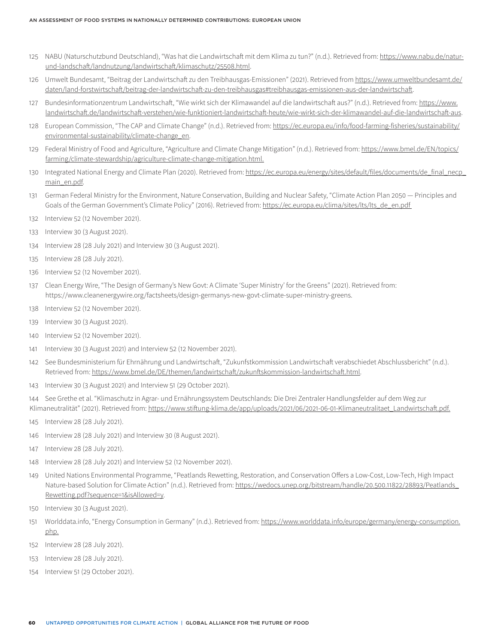- 125 NABU (Naturschutzbund Deutschland), "Was hat die Landwirtschaft mit dem Klima zu tun?" (n.d.). Retrieved from: [https://www.nabu.de/natur](https://www.nabu.de/natur-und-landschaft/landnutzung/landwirtschaft/klimaschutz/25508.html)[und-landschaft/landnutzung/landwirtschaft/klimaschutz/25508.html](https://www.nabu.de/natur-und-landschaft/landnutzung/landwirtschaft/klimaschutz/25508.html).
- 126 Umwelt Bundesamt, "Beitrag der Landwirtschaft zu den Treibhausgas-Emissionen" (2021). Retrieved from https://www.umweltbundesamt.de/ daten/land-forstwirtschaft/beitrag-der-landwirtschaft-zu-den-treibhausgas#treibhausgas-emissionen-aus-der-landwirtschaft.
- 127 Bundesinformationzentrum Landwirtschaft, "Wie wirkt sich der Klimawandel auf die landwirtschaft aus?" (n.d.). Retrieved from: [https://www.](https://www.landwirtschaft.de/landwirtschaft-verstehen/wie-funktioniert-landwirtschaft-heute/wie-wirkt-sich-der-klimawandel-auf-die-landwirtschaft-aus) [landwirtschaft.de/landwirtschaft-verstehen/wie-funktioniert-landwirtschaft-heute/wie-wirkt-sich-der-klimawandel-auf-die-landwirtschaft-aus](https://www.landwirtschaft.de/landwirtschaft-verstehen/wie-funktioniert-landwirtschaft-heute/wie-wirkt-sich-der-klimawandel-auf-die-landwirtschaft-aus).
- 128 European Commission, "The CAP and Climate Change" (n.d.). Retrieved from: [https://ec.europa.eu/info/food-farming-fisheries/sustainability/](https://ec.europa.eu/info/food-farming-fisheries/sustainability/environmental-sustainability/climate-change_en) [environmental-sustainability/climate-change\\_en.](https://ec.europa.eu/info/food-farming-fisheries/sustainability/environmental-sustainability/climate-change_en)
- 129 Federal Ministry of Food and Agriculture, "Agriculture and Climate Change Mitigation" (n.d.). Retrieved from: [https://www.bmel.de/EN/topics/](https://www.bmel.de/EN/topics/farming/climate-stewardship/agriculture-climate-change-mitigation.html) [farming/climate-stewardship/agriculture-climate-change-mitigation.html.](https://www.bmel.de/EN/topics/farming/climate-stewardship/agriculture-climate-change-mitigation.html)
- 130 Integrated National Energy and Climate Plan (2020). Retrieved from: [https://ec.europa.eu/energy/sites/default/files/documents/de\\_final\\_necp\\_](https://ec.europa.eu/energy/sites/default/files/documents/de_final_necp_main_en.pdf) [main\\_en.pdf.](https://ec.europa.eu/energy/sites/default/files/documents/de_final_necp_main_en.pdf)
- 131 German Federal Ministry for the Environment, Nature Conservation, Building and Nuclear Safety, "Climate Action Plan 2050 Principles and Goals of the German Government's Climate Policy" (2016). Retrieved from: https://ec.europa.eu/clima/sites/lts/lts\_de\_en.pdf
- 132 Interview 52 (12 November 2021).
- 133 Interview 30 (3 August 2021).
- 134 Interview 28 (28 July 2021) and Interview 30 (3 August 2021).
- 135 Interview 28 (28 July 2021).
- 136 Interview 52 (12 November 2021).
- 137 Clean Energy Wire, "The Design of Germany's New Govt: A Climate 'Super Ministry' for the Greens" (2021). Retrieved from: https://www.cleanenergywire.org/factsheets/design-germanys-new-govt-climate-super-ministry-greens.
- 138 Interview 52 (12 November 2021).
- 139 Interview 30 (3 August 2021).
- 140 Interview 52 (12 November 2021).
- 141 Interview 30 (3 August 2021) and Interview 52 (12 November 2021).
- 142 See Bundesministerium für Ehrnährung und Landwirtschaft, "Zukunfstkommission Landwirtschaft verabschiedet Abschlussbericht" (n.d.). Retrieved from: [https://www.bmel.de/DE/themen/landwirtschaft/zukunftskommission-landwirtschaft.html.](https://www.bmel.de/DE/themen/landwirtschaft/zukunftskommission-landwirtschaft.html)
- 143 Interview 30 (3 August 2021) and Interview 51 (29 October 2021).
- 144 See Grethe et al. "Klimaschutz in Agrar- und Ernährungssystem Deutschlands: Die Drei Zentraler Handlungsfelder auf dem Weg zur Klimaneutralität" (2021). Retrieved from: [https://www.stiftung-klima.de/app/uploads/2021/06/2021-06-01-Klimaneutralitaet\\_Landwirtschaft.pdf.](https://www.stiftung-klima.de/app/uploads/2021/06/2021-06-01-Klimaneutralitaet_Landwirtschaft.pdf)
- 145 Interview 28 (28 July 2021).
- 146 Interview 28 (28 July 2021) and Interview 30 (8 August 2021).
- 147 Interview 28 (28 July 2021).
- 148 Interview 28 (28 July 2021) and Interview 52 (12 November 2021).
- 149 United Nations Environmental Programme, "Peatlands Rewetting, Restoration, and Conservation Offers a Low-Cost, Low-Tech, High Impact Nature-based Solution for Climate Action" (n.d.). Retrieved from: [https://wedocs.unep.org/bitstream/handle/20.500.11822/28893/Peatlands\\_](https://wedocs.unep.org/bitstream/handle/20.500.11822/28893/Peatlands_Rewetting.pdf?sequence=1&isAllowed=y) [Rewetting.pdf?sequence=1&isAllowed=y.](https://wedocs.unep.org/bitstream/handle/20.500.11822/28893/Peatlands_Rewetting.pdf?sequence=1&isAllowed=y)
- 150 Interview 30 (3 August 2021).
- 151 Worlddata.info, "Energy Consumption in Germany" (n.d.). Retrieved from: [https://www.worlddata.info/europe/germany/energy-consumption.](https://www.worlddata.info/europe/germany/energy-consumption.php) [php](https://www.worlddata.info/europe/germany/energy-consumption.php).
- 152 Interview 28 (28 July 2021).
- 153 Interview 28 (28 July 2021).
- 154 Interview 51 (29 October 2021).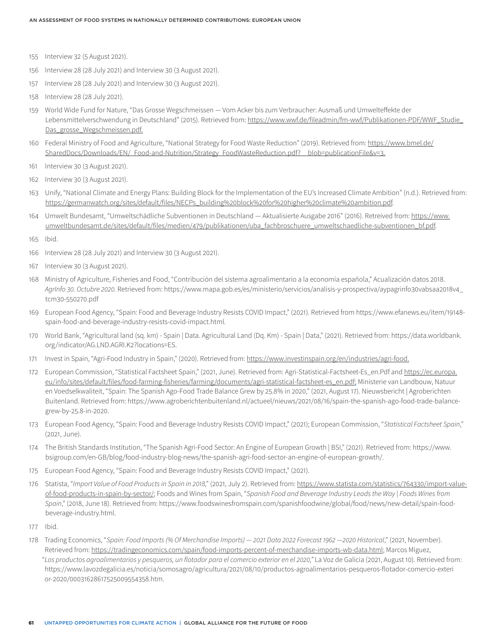- 155 Interview 32 (5 August 2021).
- 156 Interview 28 (28 July 2021) and Interview 30 (3 August 2021).
- 157 Interview 28 (28 July 2021) and Interview 30 (3 August 2021).
- 158 Interview 28 (28 July 2021).
- 159 World Wide Fund for Nature, "Das Grosse Wegschmeissen Vom Acker bis zum Verbraucher: Ausmaß und Umwelteffekte der Lebensmittelverschwendung in Deutschland" (2015). Retrieved from: [https://www.wwf.de/fileadmin/fm-wwf/Publikationen-PDF/WWF\\_Studie\\_](https://www.wwf.de/fileadmin/fm-wwf/Publikationen-PDF/WWF_Studie_Das_grosse_Wegschmeissen.pdf) [Das\\_grosse\\_Wegschmeissen.pdf.](https://www.wwf.de/fileadmin/fm-wwf/Publikationen-PDF/WWF_Studie_Das_grosse_Wegschmeissen.pdf)
- 160 Federal Ministry of Food and Agriculture, "National Strategy for Food Waste Reduction" (2019). Retrieved from: [https://www.bmel.de/](https://www.bmel.de/SharedDocs/Downloads/EN/_Food-and-Nutrition/Strategy_FoodWasteReduction.pdf?__blob=publicationFile&v=3) [SharedDocs/Downloads/EN/\\_Food-and-Nutrition/Strategy\\_FoodWasteReduction.pdf?\\_\\_blob=publicationFile&v=3.](https://www.bmel.de/SharedDocs/Downloads/EN/_Food-and-Nutrition/Strategy_FoodWasteReduction.pdf?__blob=publicationFile&v=3)
- 161 Interview 30 (3 August 2021).
- 162 Interview 30 (3 August 2021).
- 163 Unify, "National Climate and Energy Plans: Building Block for the Implementation of the EU's Increased Climate Ambition" (n.d.). Retrieved from: [https://germanwatch.org/sites/default/files/NECPs\\_building%20block%20for%20higher%20climate%20ambition.pdf.](https://germanwatch.org/sites/default/files/NECPs_building%20block%20for%20higher%20climate%20ambition.pdf)
- 164 Umwelt Bundesamt, "Umweltschädliche Subventionen in Deutschland Aktualisierte Ausgabe 2016" (2016). Retreived from: [https://www.](https://www.umweltbundesamt.de/sites/default/files/medien/479/publikationen/uba_fachbroschuere_umweltschaedliche-subventionen_bf.pdf) [umweltbundesamt.de/sites/default/files/medien/479/publikationen/uba\\_fachbroschuere\\_umweltschaedliche-subventionen\\_bf.pdf](https://www.umweltbundesamt.de/sites/default/files/medien/479/publikationen/uba_fachbroschuere_umweltschaedliche-subventionen_bf.pdf).
- 165 Ibid.
- 166 Interview 28 (28 July 2021) and Interview 30 (3 August 2021).
- 167 Interview 30 (3 August 2021).
- 168 Ministry of Agriculture, Fisheries and Food, "Contribución del sistema agroalimentario a la economía española," Acualización datos 2018. *AgrInfo 30. Octubre 2020.* Retrieved from: https://www.mapa.gob.es/es/ministerio/servicios/analisis-y-prospectiva/aypagrinfo30vabsaa2018v4\_ tcm30-550270.pdf
- 169 European Food Agency, "Spain: Food and Beverage Industry Resists COVID Impact," (2021). Retrieved from https://www.efanews.eu/item/19148 spain-food-and-beverage-industry-resists-covid-impact.html.
- 170 World Bank, "Agricultural land (sq. km) Spain | Data. Agricultural Land (Dq. Km) Spain | Data," (2021). Retrieved from: https://data.worldbank. org/indicator/AG.LND.AGRI.K2?locations=ES.
- 171 Invest in Spain, "Agri-Food Industry in Spain," (2020). Retrieved from:<https://www.investinspain.org/en/industries/agri-food>.
- 172 European Commission, "Statistical Factsheet Spain," (2021, June). Retrieved from: Agri-Statistical-Factsheet-Es\_en.Pdf and [https://ec.europa.](https://ec.europa.eu/info/sites/default/files/food-farming-fisheries/farming/documents/agri-statistical-factsheet-es_en.pdf) [eu/info/sites/default/files/food-farming-fisheries/farming/documents/agri-statistical-factsheet-es\\_en.pdf](https://ec.europa.eu/info/sites/default/files/food-farming-fisheries/farming/documents/agri-statistical-factsheet-es_en.pdf); Ministerie van Landbouw, Natuur en Voedselkwaliteit, "Spain: The Spanish Ago-Food Trade Balance Grew by 25.8% in 2020," (2021, August 17). Nieuwsbericht | Agroberichten Buitenland. Retrieved from: https://www.agroberichtenbuitenland.nl/actueel/nieuws/2021/08/16/spain-the-spanish-ago-food-trade-balancegrew-by-25.8-in-2020.
- 173 European Food Agency, "Spain: Food and Beverage Industry Resists COVID Impact," (2021); European Commission, "*Statistical Factsheet Spain*," (2021, June).
- 174 The British Standards Institution, "The Spanish Agri-Food Sector: An Engine of European Growth | BSI," (2021). Retrieved from: https://www. bsigroup.com/en-GB/blog/food-industry-blog-news/the-spanish-agri-food-sector-an-engine-of-european-growth/.
- 175 European Food Agency, "Spain: Food and Beverage Industry Resists COVID Impact," (2021).
- 176 Statista, "*Import Value of Food Products in Spain in 2018*," (2021, July 2). Retrieved from: [https://www.statista.com/statistics/764330/import-value](https://www.statista.com/statistics/764330/import-value-of-food-products-in-spain-by-sector/)[of-food-products-in-spain-by-sector/](https://www.statista.com/statistics/764330/import-value-of-food-products-in-spain-by-sector/); Foods and Wines from Spain, "*Spanish Food and Beverage Industry Leads the Way | Foods Wines from Spain*," (2018, June 18). Retrieved from: https://www.foodswinesfromspain.com/spanishfoodwine/global/food/news/new-detail/spain-foodbeverage-industry.html.
- 177 Ibid.
- 178 Trading Economics, "*Spain: Food Imports (% Of Merchandise Imports) 2021 Data 2022 Forecast 1962 —2020 Historical*," (2021, November). Retrieved from: [https://tradingeconomics.com/spain/food-imports-percent-of-merchandise-imports-wb-data.html;](https://tradingeconomics.com/spain/food-imports-percent-of-merchandise-imports-wb-data.html) Marcos Míguez, "*Los productos agroalimentarios y pesqueros, un flotador para el comercio exterior en el 2020,"* La Voz de Galicia (2021, August 10). Retrieved from: https://www.lavozdegalicia.es/noticia/somosagro/agricultura/2021/08/10/productos-agroalimentarios-pesqueros-flotador-comercio-exteri or-2020/00031628617525009554358.htm.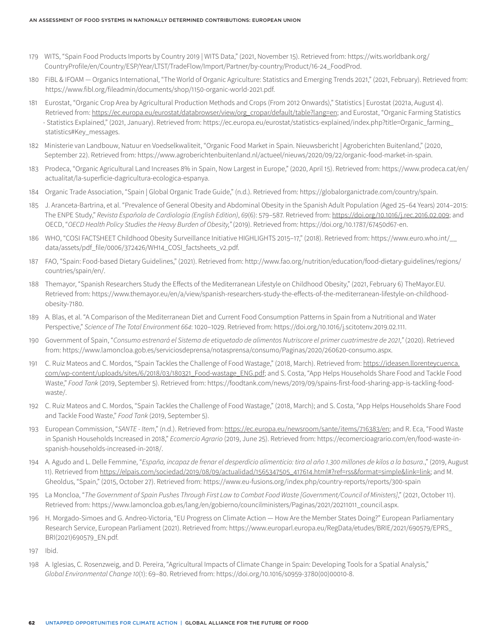- 179 WITS, "Spain Food Products Imports by Country 2019 | WITS Data," (2021, November 15). Retrieved from: https://wits.worldbank.org/ CountryProfile/en/Country/ESP/Year/LTST/TradeFlow/Import/Partner/by-country/Product/16-24\_FoodProd.
- 180 FiBL & IFOAM *—* Organics International, "The World of Organic Agriculture: Statistics and Emerging Trends 2021," (2021, February). Retrieved from: https://www.fibl.org/fileadmin/documents/shop/1150-organic-world-2021.pdf.
- 181 Eurostat, "Organic Crop Area by Agricultural Production Methods and Crops (From 2012 Onwards)," Statistics | Eurostat (2021a, August 4). Retrieved from: [https://ec.europa.eu/eurostat/databrowser/view/org\\_cropar/default/table?lang=en;](https://ec.europa.eu/eurostat/databrowser/view/org_cropar/default/table?lang=en) and Eurostat, "Organic Farming Statistics - Statistics Explained," (2021, January). Retrieved from: https://ec.europa.eu/eurostat/statistics-explained/index.php?title=Organic\_farming\_ statistics#Key\_messages.
- 182 Ministerie van Landbouw, Natuur en Voedselkwaliteit, "Organic Food Market in Spain. Nieuwsbericht | Agroberichten Buitenland," (2020, September 22). Retrieved from: https://www.agroberichtenbuitenland.nl/actueel/nieuws/2020/09/22/organic-food-market-in-spain.
- 183 Prodeca, "Organic Agricultural Land Increases 8% in Spain, Now Largest in Europe," (2020, April 15). Retrieved from: https://www.prodeca.cat/en/ actualitat/la-superficie-dagricultura-ecologica-espanya.
- 184 Organic Trade Association, "Spain | Global Organic Trade Guide," (n.d.). Retrieved from: https://globalorganictrade.com/country/spain.
- 185 J. Aranceta-Bartrina, et al. "Prevalence of General Obesity and Abdominal Obesity in the Spanish Adult Population (Aged 25–64 Years) 2014–2015: The ENPE Study," *Revista Española de Cardiología (English Edition)*, *69*(6): 579–587. Retrieved from: [https://doi.org/10.1016/j.rec.2016.02.009;](https://doi.org/10.1016/j.rec.2016.02.009) and OECD, "*OECD Health Policy Studies the Heavy Burden of Obesity,"* (2019). Retrieved from: https://doi.org/10.1787/67450d67-en.
- 186 WHO, "COSI FACTSHEET Childhood Obesity Surveillance Initiative HIGHLIGHTS 2015–17," (2018). Retrieved from: https://www.euro.who.int/\_\_ data/assets/pdf\_file/0006/372426/WH14\_COSI\_factsheets\_v2.pdf.
- 187 FAO, "Spain: Food-based Dietary Guidelines," (2021). Retrieved from: http://www.fao.org/nutrition/education/food-dietary-guidelines/regions/ countries/spain/en/.
- 188 Themayor, "Spanish Researchers Study the Effects of the Mediterranean Lifestyle on Childhood Obesity," (2021, February 6) TheMayor.EU. Retrieved from: https://www.themayor.eu/en/a/view/spanish-researchers-study-the-effects-of-the-mediterranean-lifestyle-on-childhoodobesity-7180.
- 189 A. Blas, et al. "A Comparison of the Mediterranean Diet and Current Food Consumption Patterns in Spain from a Nutritional and Water Perspective," *Science of The Total Environment 664*: 1020–1029. Retrieved from: https://doi.org/10.1016/j.scitotenv.2019.02.111.
- 190 Government of Spain, "*Consumo estrenará el Sistema de etiquetado de alimentos Nutriscore el primer cuatrimestre de 2021,"* (2020). Retrieved from: https://www.lamoncloa.gob.es/serviciosdeprensa/notasprensa/consumo/Paginas/2020/260620-consumo.aspx.
- 191 C. Ruiz Mateos and C. Mordos, "Spain Tackles the Challenge of Food Wastage," (2018, March). Retrieved from: [https://ideasen.llorenteycuenca.](https://ideasen.llorenteycuenca.com/wp-content/uploads/sites/6/2018/03/180321_Food-wastage_ENG.pdf) [com/wp-content/uploads/sites/6/2018/03/180321\\_Food-wastage\\_ENG.pdf](https://ideasen.llorenteycuenca.com/wp-content/uploads/sites/6/2018/03/180321_Food-wastage_ENG.pdf); and S. Costa, "App Helps Households Share Food and Tackle Food Waste," *Food Tank* (2019, September 5). Retrieved from: https://foodtank.com/news/2019/09/spains-first-food-sharing-app-is-tackling-foodwaste/.
- 192 C. Ruiz Mateos and C. Mordos, "Spain Tackles the Challenge of Food Wastage," (2018, March); and S. Costa, "App Helps Households Share Food and Tackle Food Waste," *Food Tank* (2019, September 5).
- 193 European Commission, "*SANTE Item*," (n.d.). Retrieved from: [https://ec.europa.eu/newsroom/sante/items/716383/en;](https://ec.europa.eu/newsroom/sante/items/716383/en) and R. Eca, "Food Waste in Spanish Households Increased in 2018," *Ecomercio Agrario* (2019, June 25). Retrieved from: https://ecomercioagrario.com/en/food-waste-inspanish-households-increased-in-2018/.
- 194 A. Agudo and L. Delle Femmine, "*España, incapaz de frenar el desperdicio alimenticio: tira al año 1.300 millones de kilos a la basura*.," (2019, August 11). Retrieved from https://elpais.com/sociedad/2019/08/09/actualidad/1565347505\_417614.html#?ref=rss&format=simple&link=link; and M. Gheoldus, "Spain," (2015, October 27). Retrieved from: https://www.eu-fusions.org/index.php/country-reports/reports/300-spain
- 195 La Moncloa, "*The Government of Spain Pushes Through First Law to Combat Food Waste [Government/Council of Ministers]*," (2021, October 11). Retrieved from: https://www.lamoncloa.gob.es/lang/en/gobierno/councilministers/Paginas/2021/20211011\_council.aspx.
- 196 H. Morgado-Simoes and G. Andreo-Victoria, "EU Progress on Climate Action How Are the Member States Doing?" European Parliamentary Research Service, European Parliament (2021). Retrieved from: https://www.europarl.europa.eu/RegData/etudes/BRIE/2021/690579/EPRS\_ BRI(2021)690579\_EN.pdf.
- 197 Ibid.
- 198 A. Iglesias, C. Rosenzweig, and D. Pereira, "Agricultural Impacts of Climate Change in Spain: Developing Tools for a Spatial Analysis," *Global Environmental Change 10*(1): 69–80. Retrieved from: https://doi.org/10.1016/s0959-3780(00)00010-8.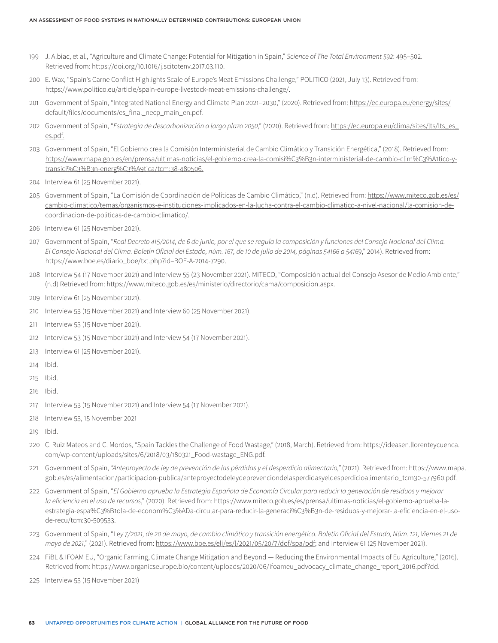- 199 J. Albiac, et al., "Agriculture and Climate Change: Potential for Mitigation in Spain," *Science of The Total Environment 592*: 495–502. Retrieved from: https://doi.org/10.1016/j.scitotenv.2017.03.110.
- 200 E. Wax, "Spain's Carne Conflict Highlights Scale of Europe's Meat Emissions Challenge," POLITICO (2021, July 13). Retrieved from: https://www.politico.eu/article/spain-europe-livestock-meat-emissions-challenge/.
- 201 Government of Spain, "Integrated National Energy and Climate Plan 2021–2030," (2020). Retrieved from: [https://ec.europa.eu/energy/sites/](https://ec.europa.eu/energy/sites/default/files/documents/es_final_necp_main_en.pdf) [default/files/documents/es\\_final\\_necp\\_main\\_en.pdf.](https://ec.europa.eu/energy/sites/default/files/documents/es_final_necp_main_en.pdf)
- 202 Government of Spain, "*Estrategia de descarbonización a largo plazo 2050*," (2020). Retrieved from: [https://ec.europa.eu/clima/sites/lts/lts\\_es\\_](https://ec.europa.eu/clima/sites/lts/lts_es_es.pdf) [es.pdf](https://ec.europa.eu/clima/sites/lts/lts_es_es.pdf).
- 203 Government of Spain, "El Gobierno crea la Comisión Interministerial de Cambio Climático y Transición Energética," (2018). Retrieved from: [https://www.mapa.gob.es/en/prensa/ultimas-noticias/el-gobierno-crea-la-comisi%C3%B3n-interministerial-de-cambio-clim%C3%A1tico-y](https://www.mapa.gob.es/en/prensa/ultimas-noticias/el-gobierno-crea-la-comisi%C3%B3n-interministerial-de-cambio-clim%C3%A1tico-y-transici%C3%B3n-energ%C3%A9tica/tcm:38-480506)[transici%C3%B3n-energ%C3%A9tica/tcm:38-480506](https://www.mapa.gob.es/en/prensa/ultimas-noticias/el-gobierno-crea-la-comisi%C3%B3n-interministerial-de-cambio-clim%C3%A1tico-y-transici%C3%B3n-energ%C3%A9tica/tcm:38-480506).
- 204 Interview 61 (25 November 2021).
- 205 Government of Spain, "La Comisión de Coordinación de Políticas de Cambio Climático," (n.d). Retrieved from: [https://www.miteco.gob.es/es/](https://www.miteco.gob.es/es/cambio-climatico/temas/organismos-e-instituciones-implicados-en-la-lucha-contra-el-cambio-climatico-a-nivel-nacional/la-comision-de-coordinacion-de-politicas-de-cambio-climatico/) [cambio-climatico/temas/organismos-e-instituciones-implicados-en-la-lucha-contra-el-cambio-climatico-a-nivel-nacional/la-comision-de](https://www.miteco.gob.es/es/cambio-climatico/temas/organismos-e-instituciones-implicados-en-la-lucha-contra-el-cambio-climatico-a-nivel-nacional/la-comision-de-coordinacion-de-politicas-de-cambio-climatico/)[coordinacion-de-politicas-de-cambio-climatico/](https://www.miteco.gob.es/es/cambio-climatico/temas/organismos-e-instituciones-implicados-en-la-lucha-contra-el-cambio-climatico-a-nivel-nacional/la-comision-de-coordinacion-de-politicas-de-cambio-climatico/).
- 206 Interview 61 (25 November 2021).
- 207 Government of Spain, "*Real Decreto 415/2014, de 6 de junio, por el que se regula la composición y funciones del Consejo Nacional del Clima. El Consejo Nacional del Clima. Boletín Oficial del Estado, núm. 167, de 10 de julio de 2014, páginas 54166 a 54169*," 2014). Retrieved from: https://www.boe.es/diario\_boe/txt.php?id=BOE-A-2014-7290.
- 208 Interview 54 (17 November 2021) and Interview 55 (23 November 2021). MITECO, "Composición actual del Consejo Asesor de Medio Ambiente," (n.d) Retrieved from: https://www.miteco.gob.es/es/ministerio/directorio/cama/composicion.aspx.
- 209 Interview 61 (25 November 2021).
- 210 Interview 53 (15 November 2021) and Interview 60 (25 November 2021).
- 211 Interview 53 (15 November 2021).
- 212 Interview 53 (15 November 2021) and Interview 54 (17 November 2021).
- 213 Interview 61 (25 November 2021).
- 214 Ibid.
- 215 Ibid.
- 216 Ibid.
- 217 Interview 53 (15 November 2021) and Interview 54 (17 November 2021).
- 218 Interview 53, 15 November 2021
- 219 Ibid.
- 220 C. Ruiz Mateos and C. Mordos, "Spain Tackles the Challenge of Food Wastage," (2018, March). Retrieved from: https://ideasen.llorenteycuenca. com/wp-content/uploads/sites/6/2018/03/180321\_Food-wastage\_ENG.pdf.
- 221 Government of Spain, *"Anteproyecto de ley de prevención de las pérdidas y el desperdicio alimentario,"* (2021). Retrieved from: https://www.mapa. gob.es/es/alimentacion/participacion-publica/anteproyectodeleydeprevenciondelasperdidasyeldesperdicioalimentario\_tcm30-577960.pdf.
- 222 Government of Spain, "*El Gobierno aprueba la Estrategia Española de Economía Circular para reducir la generación de residuos y mejorar la eficiencia en el uso de recursos*," (2020). Retrieved from: https://www.miteco.gob.es/es/prensa/ultimas-noticias/el-gobierno-aprueba-laestrategia-espa%C3%B1ola-de-econom%C3%ADa-circular-para-reducir-la-generaci%C3%B3n-de-residuos-y-mejorar-la-eficiencia-en-el-usode-recu/tcm:30-509533.
- 223 Government of Spain, "Le*y 7/2021, de 20 de mayo, de cambio climático y transición energética. Boletín Oficial del Estado, Núm. 121, Viernes 21 de mayo de 2021*," (2021). Retrieved from: [https://www.boe.es/eli/es/l/2021/05/20/7/dof/spa/pdf;](https://www.boe.es/eli/es/l/2021/05/20/7/dof/spa/pdf) and Interview 61 (25 November 2021).
- 224 FiBL & IFOAM EU, "Organic Farming, Climate Change Mitigation and Beyond Reducing the Environmental Impacts of Eu Agriculture," (2016). Retrieved from: https://www.organicseurope.bio/content/uploads/2020/06/ifoameu\_advocacy\_climate\_change\_report\_2016.pdf?dd.
- 225 Interview 53 (15 November 2021)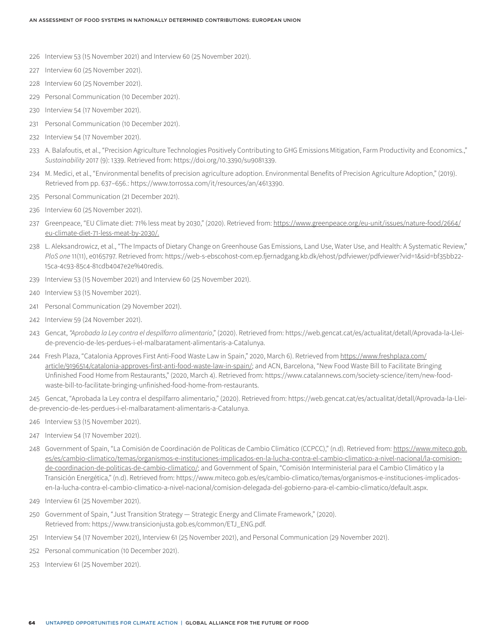- 226 Interview 53 (15 November 2021) and Interview 60 (25 November 2021).
- 227 Interview 60 (25 November 2021).
- 228 Interview 60 (25 November 2021).
- 229 Personal Communication (10 December 2021).
- 230 Interview 54 (17 November 2021).
- 231 Personal Communication (10 December 2021).
- 232 Interview 54 (17 November 2021).
- 233 A. Balafoutis, et al., "Precision Agriculture Technologies Positively Contributing to GHG Emissions Mitigation, Farm Productivity and Economics.," *Sustainability* 2017 (9): 1339. Retrieved from: https://doi.org/10.3390/su9081339.
- 234 M. Medici, et al., "Environmental benefits of precision agriculture adoption. Environmental Benefits of Precision Agriculture Adoption," (2019). Retrieved from pp. 637–656.: https://www.torrossa.com/it/resources/an/4613390.
- 235 Personal Communication (21 December 2021).
- 236 Interview 60 (25 November 2021).
- 237 Greenpeace, "EU Climate diet: 71% less meat by 2030," (2020). Retrieved from: [https://www.greenpeace.org/eu-unit/issues/nature-food/2664/](https://www.greenpeace.org/eu-unit/issues/nature-food/2664/eu-climate-diet-71-less-meat-by-2030/) [eu-climate-diet-71-less-meat-by-2030/.](https://www.greenpeace.org/eu-unit/issues/nature-food/2664/eu-climate-diet-71-less-meat-by-2030/)
- 238 L. Aleksandrowicz, et al., "The Impacts of Dietary Change on Greenhouse Gas Emissions, Land Use, Water Use, and Health: A Systematic Review," *PloS one* 11(11), e0165797. Retrieved from: https://web-s-ebscohost-com.ep.fjernadgang.kb.dk/ehost/pdfviewer/pdfviewer?vid=1&sid=bf35bb22- 15ca-4c93-85c4-81cdb4047e2e%40redis.
- 239 Interview 53 (15 November 2021) and Interview 60 (25 November 2021).
- 240 Interview 53 (15 November 2021).
- 241 Personal Communication (29 November 2021).
- 242 Interview 59 (24 November 2021).
- 243 Gencat, *"Aprobada la Ley contra el despilfarro alimentario*," (2020). Retrieved from: https://web.gencat.cat/es/actualitat/detall/Aprovada-la-Lleide-prevencio-de-les-perdues-i-el-malbaratament-alimentaris-a-Catalunya.
- 244 Fresh Plaza, "Catalonia Approves First Anti-Food Waste Law in Spain," 2020, March 6). Retrieved from [https://www.freshplaza.com/](https://www.freshplaza.com/article/9196514/catalonia-approves-first-anti-food-waste-law-in-spain/) [article/9196514/catalonia-approves-first-anti-food-waste-law-in-spain/;](https://www.freshplaza.com/article/9196514/catalonia-approves-first-anti-food-waste-law-in-spain/) and ACN, Barcelona, "New Food Waste Bill to Facilitate Bringing Unfinished Food Home from Restaurants," (2020, March 4). Retrieved from: https://www.catalannews.com/society-science/item/new-foodwaste-bill-to-facilitate-bringing-unfinished-food-home-from-restaurants.
- 245 Gencat, "Aprobada la Ley contra el despilfarro alimentario," (2020). Retrieved from: https://web.gencat.cat/es/actualitat/detall/Aprovada-la-Lleide-prevencio-de-les-perdues-i-el-malbaratament-alimentaris-a-Catalunya.
- 246 Interview 53 (15 November 2021).
- 247 Interview 54 (17 November 2021).
- 248 Government of Spain, "La Comisión de Coordinación de Políticas de Cambio Climático (CCPCC)," (n.d). Retrieved from: [https://www.miteco.gob.](https://www.miteco.gob.es/es/cambio-climatico/temas/organismos-e-instituciones-implicados-en-la-lucha-contra-el-cambio-climatico-a-nivel-nacional/la-comision-de-coordinacion-de-politicas-de-cambio-climatico/) [es/es/cambio-climatico/temas/organismos-e-instituciones-implicados-en-la-lucha-contra-el-cambio-climatico-a-nivel-nacional/la-comision](https://www.miteco.gob.es/es/cambio-climatico/temas/organismos-e-instituciones-implicados-en-la-lucha-contra-el-cambio-climatico-a-nivel-nacional/la-comision-de-coordinacion-de-politicas-de-cambio-climatico/)[de-coordinacion-de-politicas-de-cambio-climatico/](https://www.miteco.gob.es/es/cambio-climatico/temas/organismos-e-instituciones-implicados-en-la-lucha-contra-el-cambio-climatico-a-nivel-nacional/la-comision-de-coordinacion-de-politicas-de-cambio-climatico/); and Government of Spain, "Comisión Interministerial para el Cambio Climático y la Transición Energética," (n.d). Retrieved from: https://www.miteco.gob.es/es/cambio-climatico/temas/organismos-e-instituciones-implicadosen-la-lucha-contra-el-cambio-climatico-a-nivel-nacional/comision-delegada-del-gobierno-para-el-cambio-climatico/default.aspx.
- 249 Interview 61 (25 November 2021).
- 250 Government of Spain, "Just Transition Strategy Strategic Energy and Climate Framework," (2020). Retrieved from: https://www.transicionjusta.gob.es/common/ETJ\_ENG.pdf.
- 251 Interview 54 (17 November 2021), Interview 61 (25 November 2021), and Personal Communication (29 November 2021).
- 252 Personal communication (10 December 2021).
- 253 Interview 61 (25 November 2021).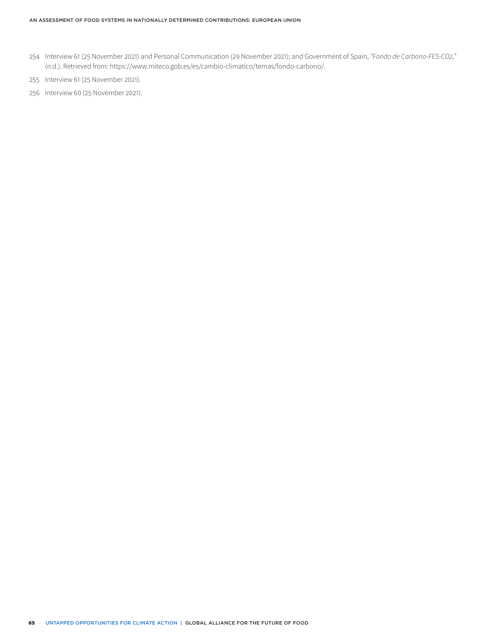- 254 Interview 61 (25 November 2021) and Personal Communication (29 November 2021); and Government of Spain, *"Fondo de Carbono-FES-CO2,"* (n.d.). Retrieved from: https://www.miteco.gob.es/es/cambio-climatico/temas/fondo-carbono/.
- 255 Interview 61 (25 November 2021).
- 256 Interview 60 (25 November 2021).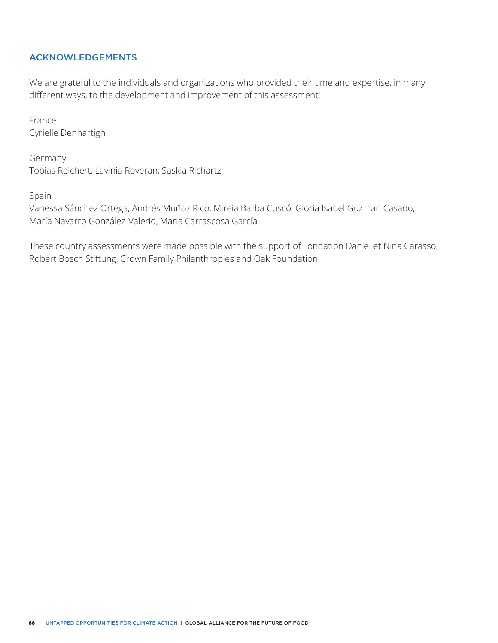# ACKNOWLEDGEMENTS

We are grateful to the individuals and organizations who provided their time and expertise, in many different ways, to the development and improvement of this assessment:

France Cyrielle Denhartigh

Germany Tobias Reichert, Lavinia Roveran, Saskia Richartz

Spain

Vanessa Sánchez Ortega, Andrés Muñoz Rico, Mireia Barba Cuscó, Gloria Isabel Guzman Casado, María Navarro González-Valerio, Maria Carrascosa García

These country assessments were made possible with the support of Fondation Daniel et Nina Carasso, Robert Bosch Stiftung, Crown Family Philanthropies and Oak Foundation.